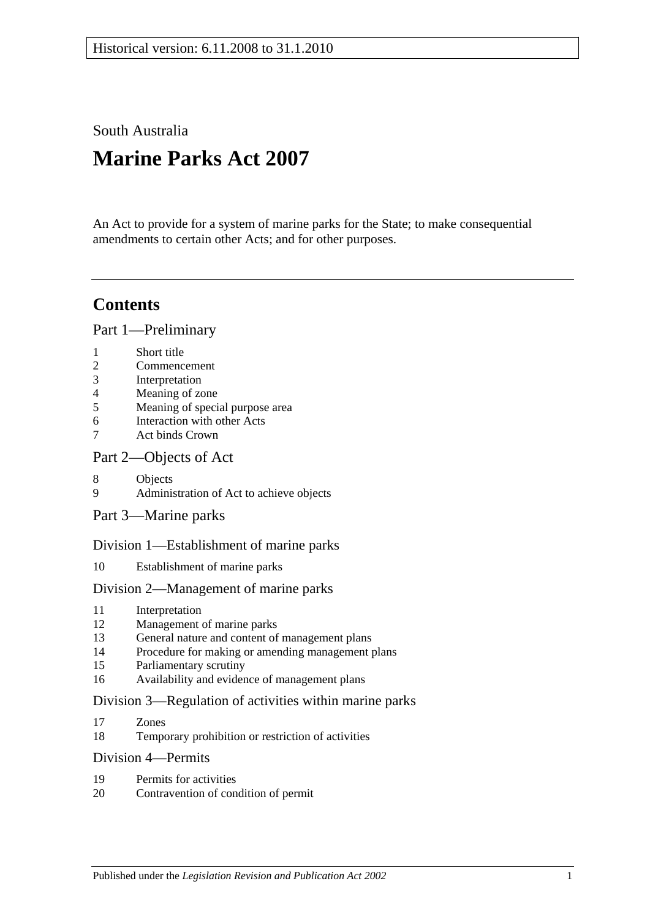South Australia

# **Marine Parks Act 2007**

An Act to provide for a system of marine parks for the State; to make consequential amendments to certain other Acts; and for other purposes.

# **Contents**

[Part 1—Preliminary](#page-4-0)

- 2 [Commencement](#page-4-2)
- 3 [Interpretation](#page-4-3)
- 4 [Meaning of zone](#page-6-0)
- 5 [Meaning of special purpose area](#page-7-0)
- 6 [Interaction with other Acts](#page-7-1)
- 7 [Act binds Crown](#page-7-2)

### [Part 2—Objects of Act](#page-8-0)

- 8 [Objects](#page-8-1)
- 9 [Administration of Act to achieve objects](#page-9-0)
- [Part 3—Marine parks](#page-9-1)

# [Division 1—Establishment of marine parks](#page-9-2)

10 [Establishment of marine parks](#page-9-3)

# [Division 2—Management of marine parks](#page-11-0)

- 11 [Interpretation](#page-11-1)
- 12 [Management of marine parks](#page-11-2)
- 13 [General nature and content of management plans](#page-11-3)
- 14 [Procedure for making or amending management plans](#page-12-0)
- 15 [Parliamentary scrutiny](#page-14-0)
- 16 [Availability and evidence of management plans](#page-14-1)

### [Division 3—Regulation of activities within marine parks](#page-15-0)

- 17 [Zones](#page-15-1)
- 18 [Temporary prohibition or restriction of activities](#page-15-2)

#### [Division 4—Permits](#page-16-0)

- 19 [Permits for activities](#page-16-1)
- 20 [Contravention of condition of permit](#page-17-0)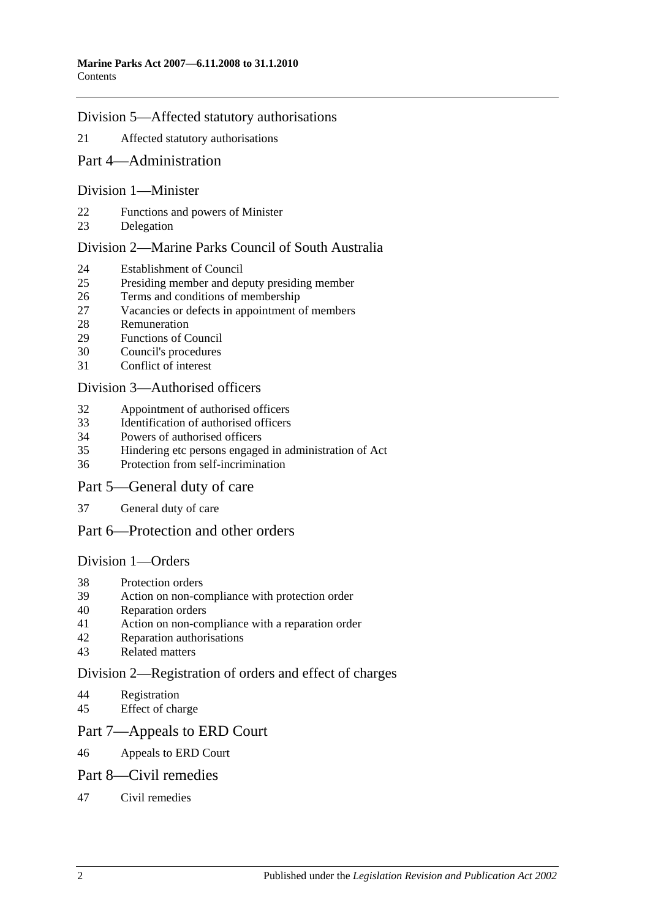#### [Division 5—Affected statutory authorisations](#page-17-1)

- [Affected statutory authorisations](#page-17-2)
- [Part 4—Administration](#page-18-0)

#### [Division 1—Minister](#page-18-1)

- [Functions and powers of Minister](#page-18-2)
- [Delegation](#page-18-3)

#### [Division 2—Marine Parks Council of South Australia](#page-19-0)

- [Establishment of Council](#page-19-1)
- [Presiding member and deputy presiding member](#page-20-0)
- [Terms and conditions of membership](#page-20-1)
- [Vacancies or defects in appointment of members](#page-20-2)<br>28 Remuneration
- **[Remuneration](#page-20-3)**
- [Functions of Council](#page-20-4)
- [Council's procedures](#page-21-0)
- [Conflict of interest](#page-22-0)

#### [Division 3—Authorised officers](#page-22-1)

- [Appointment of authorised officers](#page-22-2)
- [Identification of authorised officers](#page-23-0)
- [Powers of authorised officers](#page-23-1)
- [Hindering etc persons engaged in administration of Act](#page-25-0)
- [Protection from self-incrimination](#page-25-1)

#### [Part 5—General duty of care](#page-25-2)

[General duty of care](#page-25-3)

# [Part 6—Protection and other orders](#page-26-0)

#### [Division 1—Orders](#page-26-1)

- [Protection orders](#page-26-2)
- [Action on non-compliance with protection order](#page-27-0)
- [Reparation orders](#page-28-0)
- [Action on non-compliance with a reparation order](#page-29-0)
- [Reparation authorisations](#page-29-1)
- [Related matters](#page-30-0)

#### [Division 2—Registration of orders and effect of charges](#page-31-0)

- [Registration](#page-31-1)
- [Effect of charge](#page-32-0)

#### [Part 7—Appeals to ERD Court](#page-32-1)

[Appeals to ERD Court](#page-32-2)

#### [Part 8—Civil remedies](#page-33-0)

[Civil remedies](#page-33-1)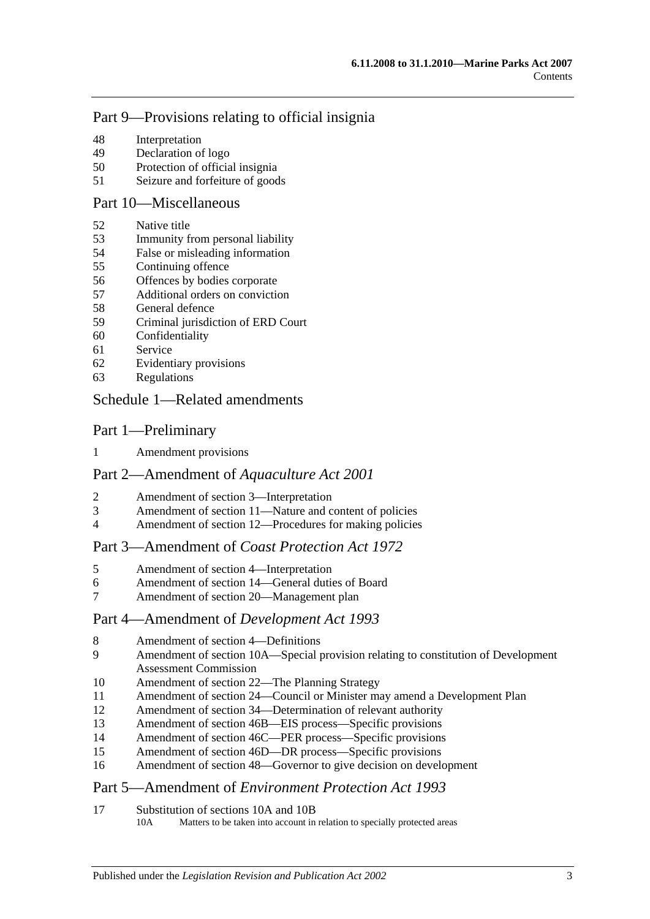# [Part 9—Provisions relating to official insignia](#page-36-0)

- [Interpretation](#page-36-1)
- [Declaration of logo](#page-37-0)
- [Protection of official insignia](#page-37-1)
- [Seizure and forfeiture of goods](#page-37-2)

# [Part 10—Miscellaneous](#page-38-0)

- [Native title](#page-38-1)
- [Immunity from personal liability](#page-38-2)
- [False or misleading information](#page-38-3)
- [Continuing offence](#page-39-0)
- [Offences by bodies corporate](#page-39-1)
- [Additional orders on conviction](#page-39-2)
- [General defence](#page-39-3)
- [Criminal jurisdiction of ERD Court](#page-40-0)
- [Confidentiality](#page-40-1)
- [Service](#page-40-2)
- [Evidentiary provisions](#page-41-0)
- [Regulations](#page-41-1)

#### [Schedule 1—Related amendments](#page-42-0)

#### Part 1—Preliminary

[Amendment provisions](#page-42-1)

# Part 2—Amendment of *Aquaculture Act 2001*

- [Amendment of section 3—Interpretation](#page-42-2)
- [Amendment of section 11—Nature and content of policies](#page-43-0)
- [Amendment of section 12—Procedures for making policies](#page-43-1)

# Part 3—Amendment of *Coast Protection Act 1972*

- [Amendment of section 4—Interpretation](#page-43-2)
- [Amendment of section 14—General duties of Board](#page-44-0)
- [Amendment of section 20—Management plan](#page-44-1)

# Part 4—Amendment of *Development Act 1993*

- [Amendment of section 4—Definitions](#page-44-2)<br>9 Amendment of section 10A—Special r
- Amendment of section 10A—Special provision relating to constitution of Development [Assessment Commission](#page-44-3)
- [Amendment of section 22—The Planning Strategy](#page-45-0)
- [Amendment of section 24—Council or Minister may amend a Development Plan](#page-45-1)
- [Amendment of section 34—Determination of relevant authority](#page-46-0)
- [Amendment of section 46B—EIS process—Specific provisions](#page-46-1)
- [Amendment of section 46C—PER process—Specific provisions](#page-47-0)
- [Amendment of section 46D—DR process—Specific provisions](#page-47-1)
- [Amendment of section 48—Governor to give decision on development](#page-47-2)

# Part 5—Amendment of *Environment Protection Act 1993*

[Substitution of sections 10A and 10B](#page-48-0)<br>10A Matters to be taken into account in

Matters to be taken into account in relation to specially protected areas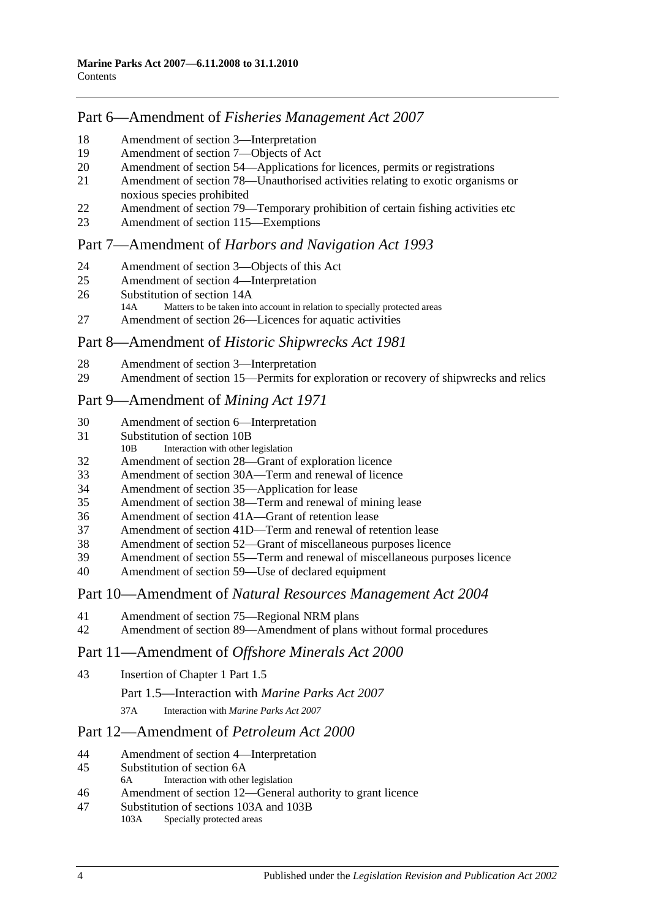# Part 6—Amendment of *Fisheries Management Act 2007*

- [Amendment of section](#page-48-1) 3—Interpretation
- [Amendment of section](#page-49-0) 7—Objects of Act
- Amendment of section [54—Applications for licences, permits or registrations](#page-49-1)
- Amendment of section [78—Unauthorised activities relating to exotic organisms or](#page-49-2)  [noxious species prohibited](#page-49-2)
- [Amendment of section 79—Temporary prohibition of certain fishing activities etc](#page-49-3)
- [Amendment of section](#page-50-0) 115—Exemptions

# Part 7—Amendment of *Harbors and Navigation Act 1993*

- 
- [Amendment of section 3—Objects of this Act](#page-50-1)<br>25 Amendment of section 4—Interpretation [Amendment of section 4—Interpretation](#page-50-2)
- [Substitution of section 14A](#page-50-3)<br>14A Matters to be taken into
- Matters to be taken into account in relation to specially protected areas
- [Amendment of section 26—Licences for aquatic activities](#page-51-0)

# Part 8—Amendment of *Historic Shipwrecks Act 1981*

- [Amendment of section 3—Interpretation](#page-51-1)
- [Amendment of section 15—Permits for exploration or recovery of shipwrecks and relics](#page-51-2)

# Part 9—Amendment of *Mining Act 1971*

- [Amendment of section 6—Interpretation](#page-52-0)
- [Substitution of section 10B](#page-53-0)<br>10B Interaction with other
- Interaction with other legislation
- [Amendment of section 28—Grant of exploration licence](#page-53-1)
- [Amendment of section 30A—Term and renewal of licence](#page-54-0)
- [Amendment of section 35—Application for lease](#page-54-1)
- [Amendment of section 38—Term and renewal of mining lease](#page-54-2)
- [Amendment of section 41A—Grant of retention lease](#page-55-0)
- [Amendment of section 41D—Term and renewal of retention lease](#page-55-1)
- [Amendment of section 52—Grant of miscellaneous purposes licence](#page-56-0)
- [Amendment of section 55—Term and renewal of miscellaneous purposes licence](#page-56-1)
- [Amendment of section 59—Use of declared equipment](#page-57-0)

# Part 10—Amendment of *Natural Resources Management Act 2004*

- [Amendment of section 75—Regional NRM plans](#page-57-1)
- [Amendment of section 89—Amendment of plans without formal procedures](#page-57-2)

# Part 11—Amendment of *Offshore Minerals Act 2000*

- [Insertion of Chapter 1 Part 1.5](#page-57-3)
	- Part 1.5—Interaction with *Marine Parks Act 2007*
	- 37A Interaction with *Marine Parks Act 2007*

# Part 12—Amendment of *Petroleum Act 2000*

- [Amendment of section 4—Interpretation](#page-58-0)
- [Substitution of section 6A](#page-58-1)<br>6A Interaction with other
- Interaction with other legislation
- [Amendment of section 12—General authority to grant licence](#page-59-0)
- [Substitution of sections 103A and 103B](#page-59-1)<br>103A Specially protected areas Specially protected areas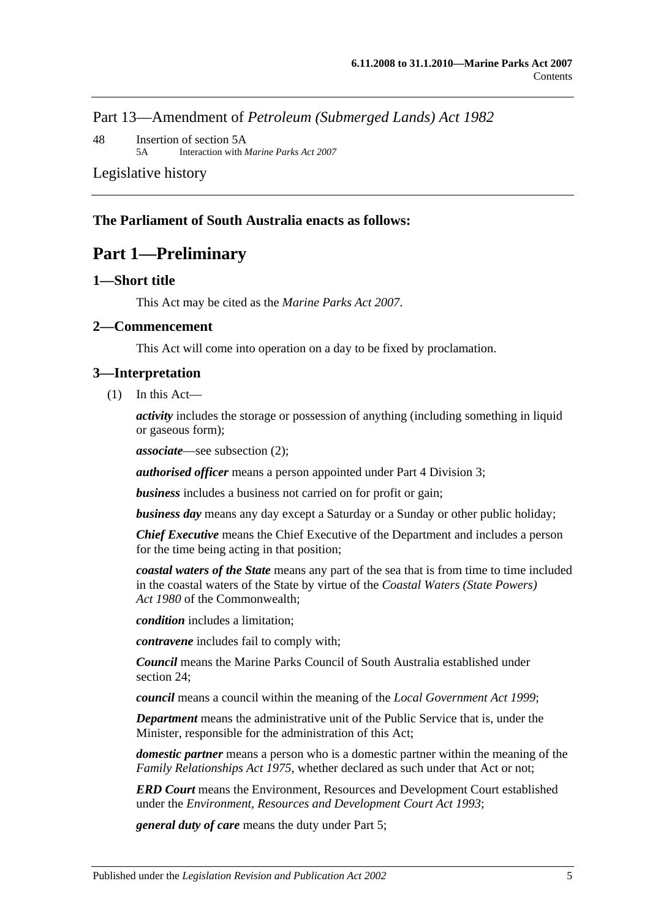Part 13—Amendment of *Petroleum (Submerged Lands) Act 1982*

48 [Insertion of section 5A](#page-59-2) 5A Interaction with *Marine Parks Act 2007*

[Legislative history](#page-60-0)

#### <span id="page-4-0"></span>**The Parliament of South Australia enacts as follows:**

# **Part 1—Preliminary**

#### <span id="page-4-1"></span>**1—Short title**

This Act may be cited as the *Marine Parks Act 2007*.

#### <span id="page-4-2"></span>**2—Commencement**

This Act will come into operation on a day to be fixed by proclamation.

#### <span id="page-4-3"></span>**3—Interpretation**

(1) In this Act—

*activity* includes the storage or possession of anything (including something in liquid or gaseous form);

*associate*—see [subsection](#page-5-0) (2);

*authorised officer* means a person appointed under Part 4 [Division 3;](#page-22-1)

*business* includes a business not carried on for profit or gain;

*business day* means any day except a Saturday or a Sunday or other public holiday;

*Chief Executive* means the Chief Executive of the Department and includes a person for the time being acting in that position;

*coastal waters of the State* means any part of the sea that is from time to time included in the coastal waters of the State by virtue of the *Coastal Waters (State Powers) Act 1980* of the Commonwealth;

*condition* includes a limitation;

*contravene* includes fail to comply with;

*Council* means the Marine Parks Council of South Australia established under [section](#page-19-1) 24;

*council* means a council within the meaning of the *[Local Government Act](http://www.legislation.sa.gov.au/index.aspx?action=legref&type=act&legtitle=Local%20Government%20Act%201999) 1999*;

*Department* means the administrative unit of the Public Service that is, under the Minister, responsible for the administration of this Act;

*domestic partner* means a person who is a domestic partner within the meaning of the *[Family Relationships Act](http://www.legislation.sa.gov.au/index.aspx?action=legref&type=act&legtitle=Family%20Relationships%20Act%201975) 1975*, whether declared as such under that Act or not;

*ERD Court* means the Environment, Resources and Development Court established under the *[Environment, Resources and Development Court Act](http://www.legislation.sa.gov.au/index.aspx?action=legref&type=act&legtitle=Environment%20Resources%20and%20Development%20Court%20Act%201993) 1993*;

*general duty of care* means the duty under [Part 5;](#page-25-2)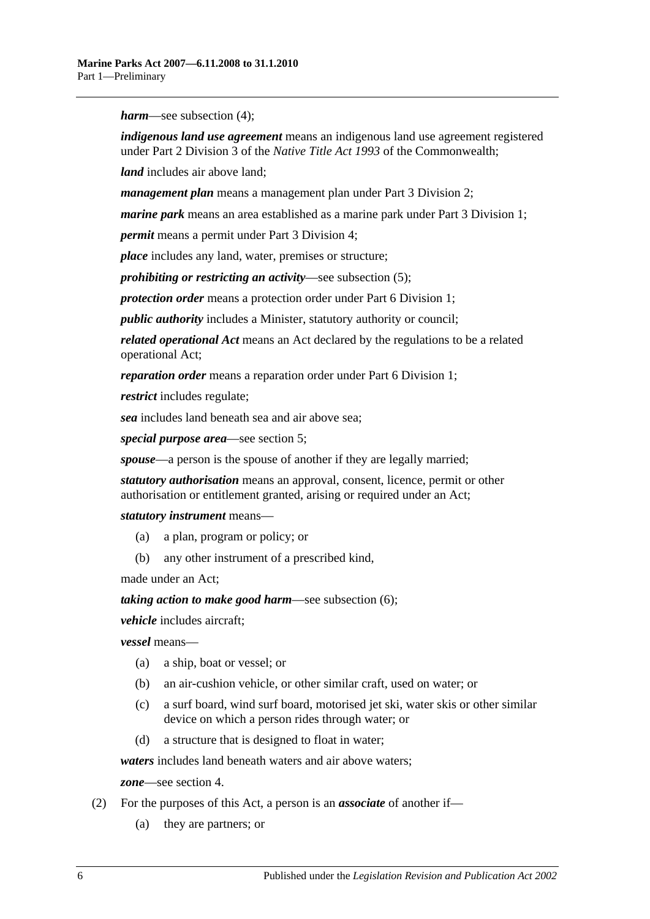*harm*—see [subsection](#page-6-1) (4);

*indigenous land use agreement* means an indigenous land use agreement registered under Part 2 Division 3 of the *Native Title Act 1993* of the Commonwealth;

*land* includes air above land;

*management plan* means a management plan under [Part 3 Division 2;](#page-11-0)

*marine park* means an area established as a marine park under [Part 3 Division 1;](#page-9-2)

*permit* means a permit under [Part 3 Division 4;](#page-16-0)

*place* includes any land, water, premises or structure;

*prohibiting or restricting an activity*—see [subsection](#page-6-2) (5);

*protection order* means a protection order under [Part 6 Division 1;](#page-26-1)

*public authority* includes a Minister, statutory authority or council;

*related operational Act* means an Act declared by the regulations to be a related operational Act;

*reparation order* means a reparation order under [Part 6 Division 1;](#page-26-1)

*restrict* includes regulate;

*sea* includes land beneath sea and air above sea;

*special purpose area*—see [section](#page-7-0) 5;

*spouse*—a person is the spouse of another if they are legally married;

*statutory authorisation* means an approval, consent, licence, permit or other authorisation or entitlement granted, arising or required under an Act;

*statutory instrument* means—

- (a) a plan, program or policy; or
- (b) any other instrument of a prescribed kind,

made under an Act;

*taking action to make good harm*—see [subsection](#page-6-3) (6);

*vehicle* includes aircraft;

*vessel* means—

- (a) a ship, boat or vessel; or
- (b) an air-cushion vehicle, or other similar craft, used on water; or
- (c) a surf board, wind surf board, motorised jet ski, water skis or other similar device on which a person rides through water; or
- (d) a structure that is designed to float in water;

*waters* includes land beneath waters and air above waters;

*zone*—see [section](#page-6-0) 4.

- <span id="page-5-0"></span>(2) For the purposes of this Act, a person is an *associate* of another if—
	- (a) they are partners; or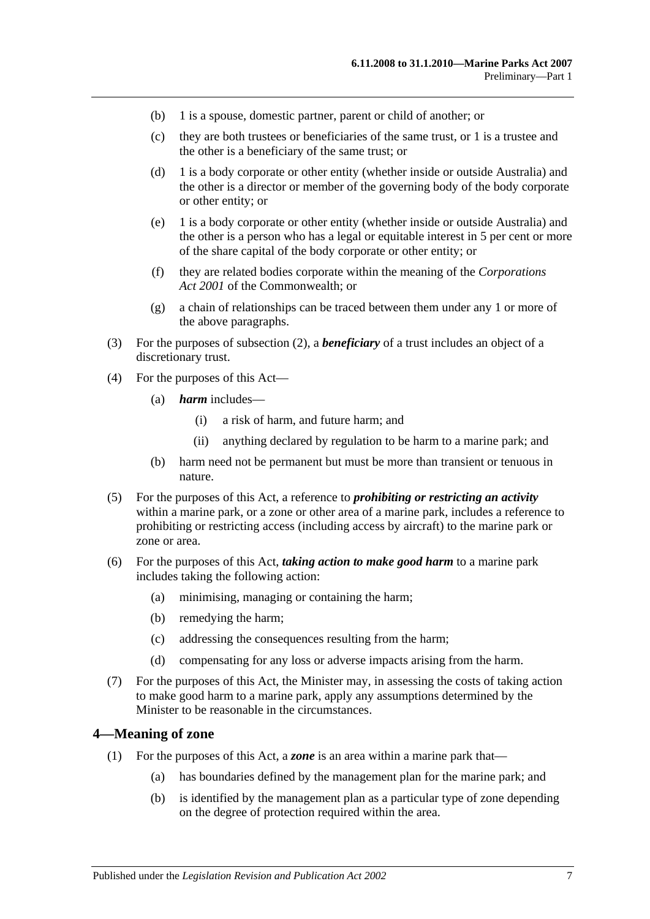- (b) 1 is a spouse, domestic partner, parent or child of another; or
- (c) they are both trustees or beneficiaries of the same trust, or 1 is a trustee and the other is a beneficiary of the same trust; or
- (d) 1 is a body corporate or other entity (whether inside or outside Australia) and the other is a director or member of the governing body of the body corporate or other entity; or
- (e) 1 is a body corporate or other entity (whether inside or outside Australia) and the other is a person who has a legal or equitable interest in 5 per cent or more of the share capital of the body corporate or other entity; or
- (f) they are related bodies corporate within the meaning of the *Corporations Act 2001* of the Commonwealth; or
- (g) a chain of relationships can be traced between them under any 1 or more of the above paragraphs.
- (3) For the purposes of [subsection](#page-5-0) (2), a *beneficiary* of a trust includes an object of a discretionary trust.
- <span id="page-6-1"></span>(4) For the purposes of this Act—
	- (a) *harm* includes—
		- (i) a risk of harm, and future harm; and
		- (ii) anything declared by regulation to be harm to a marine park; and
	- (b) harm need not be permanent but must be more than transient or tenuous in nature.
- <span id="page-6-2"></span>(5) For the purposes of this Act, a reference to *prohibiting or restricting an activity* within a marine park, or a zone or other area of a marine park, includes a reference to prohibiting or restricting access (including access by aircraft) to the marine park or zone or area.
- <span id="page-6-3"></span>(6) For the purposes of this Act, *taking action to make good harm* to a marine park includes taking the following action:
	- (a) minimising, managing or containing the harm;
	- (b) remedying the harm;
	- (c) addressing the consequences resulting from the harm;
	- (d) compensating for any loss or adverse impacts arising from the harm.
- (7) For the purposes of this Act, the Minister may, in assessing the costs of taking action to make good harm to a marine park, apply any assumptions determined by the Minister to be reasonable in the circumstances.

#### <span id="page-6-0"></span>**4—Meaning of zone**

- (1) For the purposes of this Act, a *zone* is an area within a marine park that—
	- (a) has boundaries defined by the management plan for the marine park; and
	- (b) is identified by the management plan as a particular type of zone depending on the degree of protection required within the area.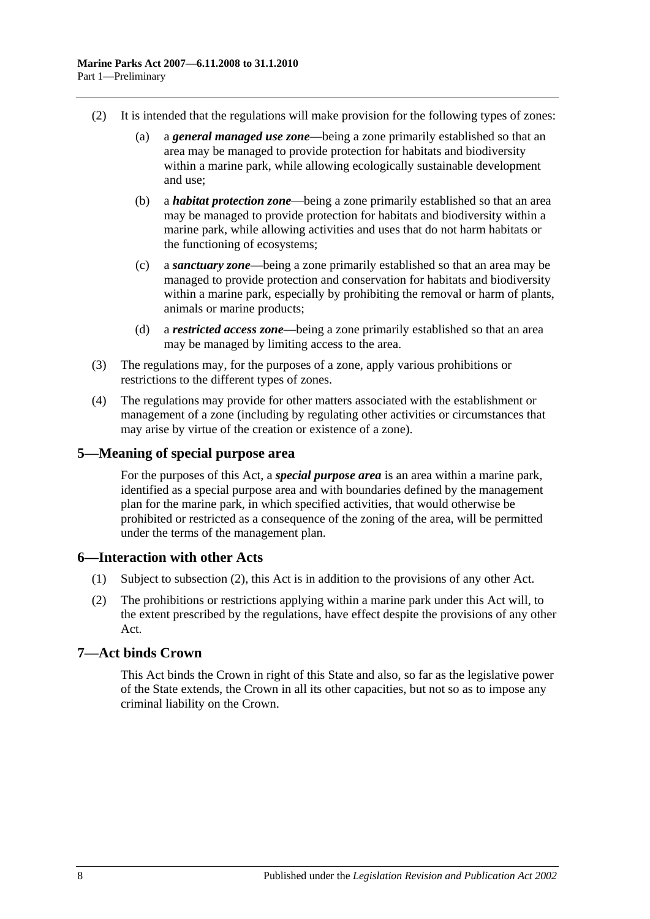- (2) It is intended that the regulations will make provision for the following types of zones:
	- (a) a *general managed use zone*—being a zone primarily established so that an area may be managed to provide protection for habitats and biodiversity within a marine park, while allowing ecologically sustainable development and use;
	- (b) a *habitat protection zone*—being a zone primarily established so that an area may be managed to provide protection for habitats and biodiversity within a marine park, while allowing activities and uses that do not harm habitats or the functioning of ecosystems;
	- (c) a *sanctuary zone*—being a zone primarily established so that an area may be managed to provide protection and conservation for habitats and biodiversity within a marine park, especially by prohibiting the removal or harm of plants, animals or marine products;
	- (d) a *restricted access zone*—being a zone primarily established so that an area may be managed by limiting access to the area.
- (3) The regulations may, for the purposes of a zone, apply various prohibitions or restrictions to the different types of zones.
- (4) The regulations may provide for other matters associated with the establishment or management of a zone (including by regulating other activities or circumstances that may arise by virtue of the creation or existence of a zone).

# <span id="page-7-0"></span>**5—Meaning of special purpose area**

For the purposes of this Act, a *special purpose area* is an area within a marine park, identified as a special purpose area and with boundaries defined by the management plan for the marine park, in which specified activities, that would otherwise be prohibited or restricted as a consequence of the zoning of the area, will be permitted under the terms of the management plan.

# <span id="page-7-1"></span>**6—Interaction with other Acts**

- (1) Subject to [subsection](#page-7-3) (2), this Act is in addition to the provisions of any other Act.
- <span id="page-7-3"></span>(2) The prohibitions or restrictions applying within a marine park under this Act will, to the extent prescribed by the regulations, have effect despite the provisions of any other Act.

# <span id="page-7-2"></span>**7—Act binds Crown**

This Act binds the Crown in right of this State and also, so far as the legislative power of the State extends, the Crown in all its other capacities, but not so as to impose any criminal liability on the Crown.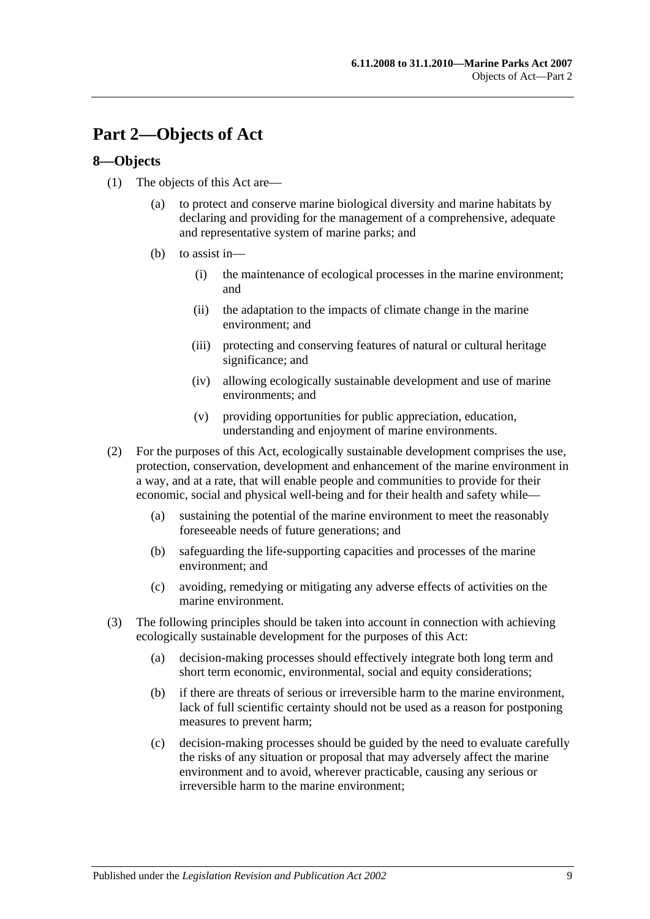# <span id="page-8-0"></span>**Part 2—Objects of Act**

# <span id="page-8-1"></span>**8—Objects**

- (1) The objects of this Act are—
	- (a) to protect and conserve marine biological diversity and marine habitats by declaring and providing for the management of a comprehensive, adequate and representative system of marine parks; and
	- (b) to assist in—
		- (i) the maintenance of ecological processes in the marine environment; and
		- (ii) the adaptation to the impacts of climate change in the marine environment; and
		- (iii) protecting and conserving features of natural or cultural heritage significance; and
		- (iv) allowing ecologically sustainable development and use of marine environments; and
		- (v) providing opportunities for public appreciation, education, understanding and enjoyment of marine environments.
- (2) For the purposes of this Act, ecologically sustainable development comprises the use, protection, conservation, development and enhancement of the marine environment in a way, and at a rate, that will enable people and communities to provide for their economic, social and physical well-being and for their health and safety while—
	- (a) sustaining the potential of the marine environment to meet the reasonably foreseeable needs of future generations; and
	- (b) safeguarding the life-supporting capacities and processes of the marine environment; and
	- (c) avoiding, remedying or mitigating any adverse effects of activities on the marine environment.
- (3) The following principles should be taken into account in connection with achieving ecologically sustainable development for the purposes of this Act:
	- (a) decision-making processes should effectively integrate both long term and short term economic, environmental, social and equity considerations;
	- (b) if there are threats of serious or irreversible harm to the marine environment, lack of full scientific certainty should not be used as a reason for postponing measures to prevent harm;
	- (c) decision-making processes should be guided by the need to evaluate carefully the risks of any situation or proposal that may adversely affect the marine environment and to avoid, wherever practicable, causing any serious or irreversible harm to the marine environment;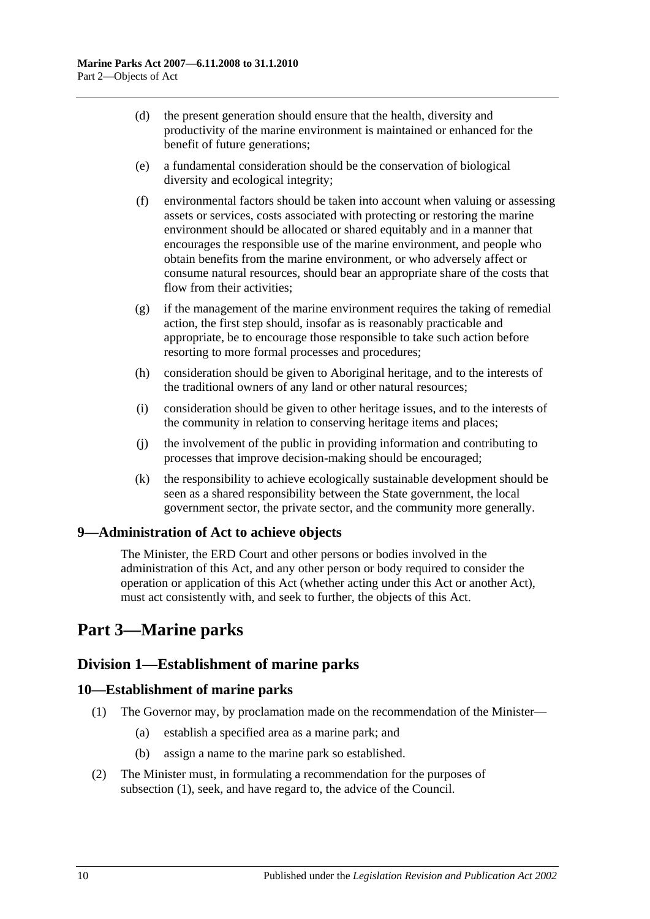- (d) the present generation should ensure that the health, diversity and productivity of the marine environment is maintained or enhanced for the benefit of future generations;
- (e) a fundamental consideration should be the conservation of biological diversity and ecological integrity;
- (f) environmental factors should be taken into account when valuing or assessing assets or services, costs associated with protecting or restoring the marine environment should be allocated or shared equitably and in a manner that encourages the responsible use of the marine environment, and people who obtain benefits from the marine environment, or who adversely affect or consume natural resources, should bear an appropriate share of the costs that flow from their activities;
- $(g)$  if the management of the marine environment requires the taking of remedial action, the first step should, insofar as is reasonably practicable and appropriate, be to encourage those responsible to take such action before resorting to more formal processes and procedures;
- (h) consideration should be given to Aboriginal heritage, and to the interests of the traditional owners of any land or other natural resources;
- (i) consideration should be given to other heritage issues, and to the interests of the community in relation to conserving heritage items and places;
- (j) the involvement of the public in providing information and contributing to processes that improve decision-making should be encouraged;
- (k) the responsibility to achieve ecologically sustainable development should be seen as a shared responsibility between the State government, the local government sector, the private sector, and the community more generally.

# <span id="page-9-0"></span>**9—Administration of Act to achieve objects**

The Minister, the ERD Court and other persons or bodies involved in the administration of this Act, and any other person or body required to consider the operation or application of this Act (whether acting under this Act or another Act), must act consistently with, and seek to further, the objects of this Act.

# <span id="page-9-1"></span>**Part 3—Marine parks**

# <span id="page-9-2"></span>**Division 1—Establishment of marine parks**

# <span id="page-9-4"></span><span id="page-9-3"></span>**10—Establishment of marine parks**

- (1) The Governor may, by proclamation made on the recommendation of the Minister—
	- (a) establish a specified area as a marine park; and
	- (b) assign a name to the marine park so established.
- (2) The Minister must, in formulating a recommendation for the purposes of [subsection](#page-9-4) (1), seek, and have regard to, the advice of the Council.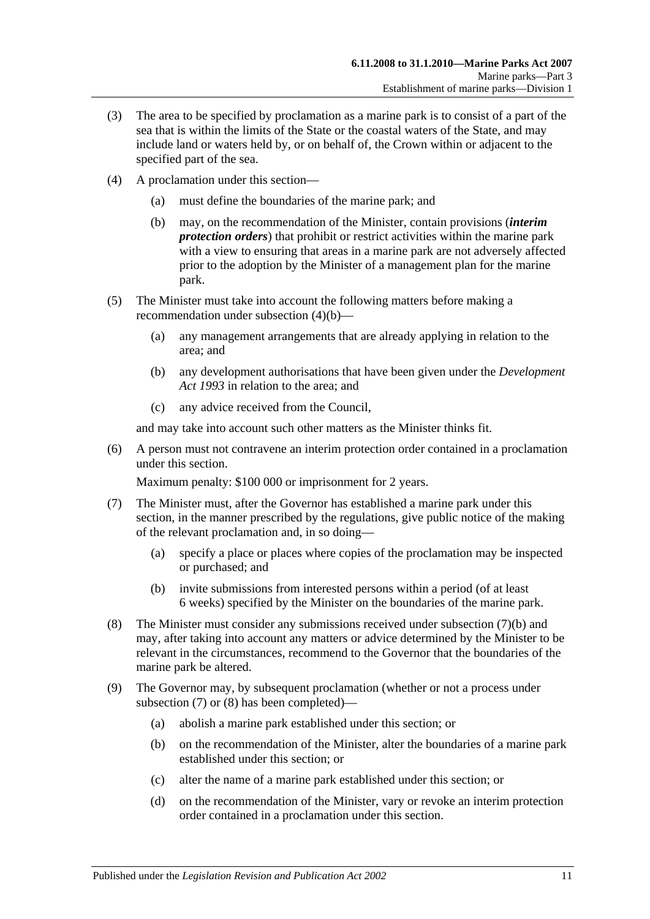- (3) The area to be specified by proclamation as a marine park is to consist of a part of the sea that is within the limits of the State or the coastal waters of the State, and may include land or waters held by, or on behalf of, the Crown within or adjacent to the specified part of the sea.
- <span id="page-10-0"></span>(4) A proclamation under this section—
	- (a) must define the boundaries of the marine park; and
	- (b) may, on the recommendation of the Minister, contain provisions (*interim protection orders*) that prohibit or restrict activities within the marine park with a view to ensuring that areas in a marine park are not adversely affected prior to the adoption by the Minister of a management plan for the marine park.
- (5) The Minister must take into account the following matters before making a recommendation under [subsection](#page-10-0) (4)(b)—
	- (a) any management arrangements that are already applying in relation to the area; and
	- (b) any development authorisations that have been given under the *[Development](http://www.legislation.sa.gov.au/index.aspx?action=legref&type=act&legtitle=Development%20Act%201993)  Act [1993](http://www.legislation.sa.gov.au/index.aspx?action=legref&type=act&legtitle=Development%20Act%201993)* in relation to the area; and
	- (c) any advice received from the Council,

and may take into account such other matters as the Minister thinks fit.

(6) A person must not contravene an interim protection order contained in a proclamation under this section.

Maximum penalty: \$100 000 or imprisonment for 2 years.

- <span id="page-10-2"></span>(7) The Minister must, after the Governor has established a marine park under this section, in the manner prescribed by the regulations, give public notice of the making of the relevant proclamation and, in so doing—
	- (a) specify a place or places where copies of the proclamation may be inspected or purchased; and
	- (b) invite submissions from interested persons within a period (of at least 6 weeks) specified by the Minister on the boundaries of the marine park.
- <span id="page-10-3"></span><span id="page-10-1"></span>(8) The Minister must consider any submissions received under [subsection](#page-10-1) (7)(b) and may, after taking into account any matters or advice determined by the Minister to be relevant in the circumstances, recommend to the Governor that the boundaries of the marine park be altered.
- <span id="page-10-7"></span><span id="page-10-6"></span><span id="page-10-5"></span><span id="page-10-4"></span>(9) The Governor may, by subsequent proclamation (whether or not a process under [subsection](#page-10-2) (7) or [\(8\)](#page-10-3) has been completed)—
	- (a) abolish a marine park established under this section; or
	- (b) on the recommendation of the Minister, alter the boundaries of a marine park established under this section; or
	- (c) alter the name of a marine park established under this section; or
	- (d) on the recommendation of the Minister, vary or revoke an interim protection order contained in a proclamation under this section.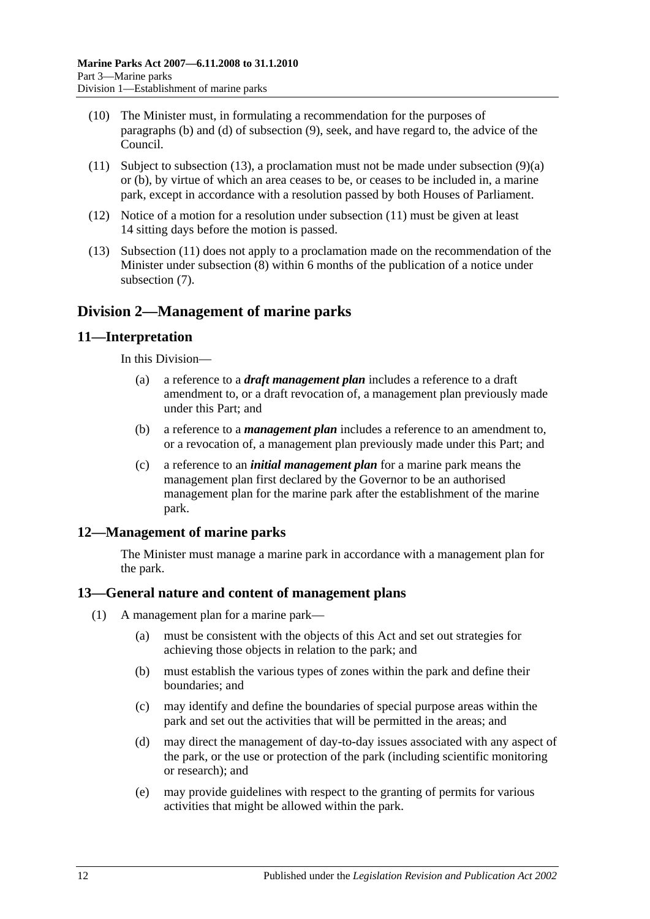- (10) The Minister must, in formulating a recommendation for the purposes of [paragraphs](#page-10-4) (b) and [\(d\)](#page-10-5) of [subsection](#page-10-6) (9), seek, and have regard to, the advice of the Council.
- <span id="page-11-5"></span>(11) Subject to [subsection](#page-11-4) (13), a proclamation must not be made under [subsection](#page-10-7) (9)(a) or [\(b\),](#page-10-4) by virtue of which an area ceases to be, or ceases to be included in, a marine park, except in accordance with a resolution passed by both Houses of Parliament.
- (12) Notice of a motion for a resolution under [subsection](#page-11-5) (11) must be given at least 14 sitting days before the motion is passed.
- <span id="page-11-4"></span>(13) [Subsection](#page-11-5) (11) does not apply to a proclamation made on the recommendation of the Minister under [subsection](#page-10-3) (8) within 6 months of the publication of a notice under [subsection](#page-10-2) (7).

# <span id="page-11-0"></span>**Division 2—Management of marine parks**

# <span id="page-11-1"></span>**11—Interpretation**

In this Division—

- (a) a reference to a *draft management plan* includes a reference to a draft amendment to, or a draft revocation of, a management plan previously made under this Part; and
- (b) a reference to a *management plan* includes a reference to an amendment to, or a revocation of, a management plan previously made under this Part; and
- (c) a reference to an *initial management plan* for a marine park means the management plan first declared by the Governor to be an authorised management plan for the marine park after the establishment of the marine park.

# <span id="page-11-2"></span>**12—Management of marine parks**

The Minister must manage a marine park in accordance with a management plan for the park.

# <span id="page-11-3"></span>**13—General nature and content of management plans**

- (1) A management plan for a marine park—
	- (a) must be consistent with the objects of this Act and set out strategies for achieving those objects in relation to the park; and
	- (b) must establish the various types of zones within the park and define their boundaries; and
	- (c) may identify and define the boundaries of special purpose areas within the park and set out the activities that will be permitted in the areas; and
	- (d) may direct the management of day-to-day issues associated with any aspect of the park, or the use or protection of the park (including scientific monitoring or research); and
	- (e) may provide guidelines with respect to the granting of permits for various activities that might be allowed within the park.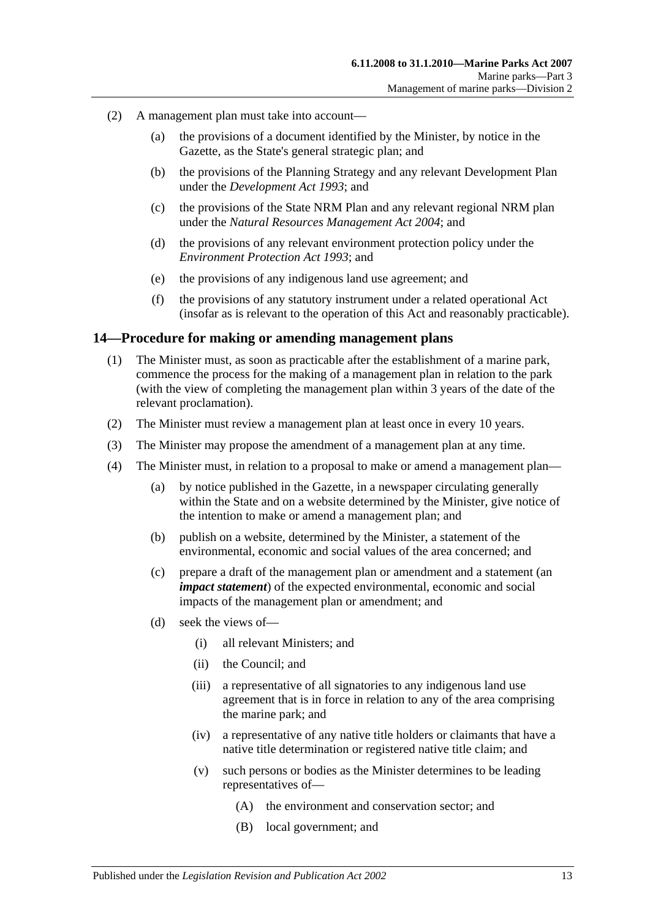- (2) A management plan must take into account—
	- (a) the provisions of a document identified by the Minister, by notice in the Gazette, as the State's general strategic plan; and
	- (b) the provisions of the Planning Strategy and any relevant Development Plan under the *[Development Act](http://www.legislation.sa.gov.au/index.aspx?action=legref&type=act&legtitle=Development%20Act%201993) 1993*; and
	- (c) the provisions of the State NRM Plan and any relevant regional NRM plan under the *[Natural Resources Management Act](http://www.legislation.sa.gov.au/index.aspx?action=legref&type=act&legtitle=Natural%20Resources%20Management%20Act%202004) 2004*; and
	- (d) the provisions of any relevant environment protection policy under the *[Environment Protection Act](http://www.legislation.sa.gov.au/index.aspx?action=legref&type=act&legtitle=Environment%20Protection%20Act%201993) 1993*; and
	- (e) the provisions of any indigenous land use agreement; and
	- (f) the provisions of any statutory instrument under a related operational Act (insofar as is relevant to the operation of this Act and reasonably practicable).

#### <span id="page-12-0"></span>**14—Procedure for making or amending management plans**

- (1) The Minister must, as soon as practicable after the establishment of a marine park, commence the process for the making of a management plan in relation to the park (with the view of completing the management plan within 3 years of the date of the relevant proclamation).
- (2) The Minister must review a management plan at least once in every 10 years.
- (3) The Minister may propose the amendment of a management plan at any time.
- (4) The Minister must, in relation to a proposal to make or amend a management plan—
	- (a) by notice published in the Gazette, in a newspaper circulating generally within the State and on a website determined by the Minister, give notice of the intention to make or amend a management plan; and
	- (b) publish on a website, determined by the Minister, a statement of the environmental, economic and social values of the area concerned; and
	- (c) prepare a draft of the management plan or amendment and a statement (an *impact statement*) of the expected environmental, economic and social impacts of the management plan or amendment; and
	- (d) seek the views of—
		- (i) all relevant Ministers; and
		- (ii) the Council; and
		- (iii) a representative of all signatories to any indigenous land use agreement that is in force in relation to any of the area comprising the marine park; and
		- (iv) a representative of any native title holders or claimants that have a native title determination or registered native title claim; and
		- (v) such persons or bodies as the Minister determines to be leading representatives of—
			- (A) the environment and conservation sector; and
			- (B) local government; and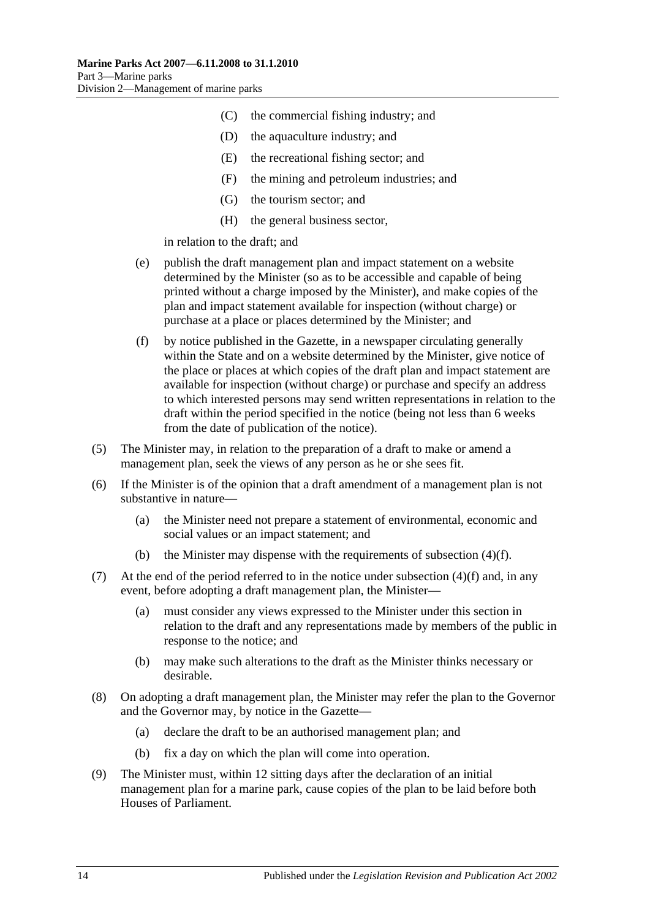- (C) the commercial fishing industry; and
- (D) the aquaculture industry; and
- (E) the recreational fishing sector; and
- (F) the mining and petroleum industries; and
- (G) the tourism sector; and
- (H) the general business sector,

in relation to the draft; and

- (e) publish the draft management plan and impact statement on a website determined by the Minister (so as to be accessible and capable of being printed without a charge imposed by the Minister), and make copies of the plan and impact statement available for inspection (without charge) or purchase at a place or places determined by the Minister; and
- <span id="page-13-0"></span>(f) by notice published in the Gazette, in a newspaper circulating generally within the State and on a website determined by the Minister, give notice of the place or places at which copies of the draft plan and impact statement are available for inspection (without charge) or purchase and specify an address to which interested persons may send written representations in relation to the draft within the period specified in the notice (being not less than 6 weeks from the date of publication of the notice).
- (5) The Minister may, in relation to the preparation of a draft to make or amend a management plan, seek the views of any person as he or she sees fit.
- (6) If the Minister is of the opinion that a draft amendment of a management plan is not substantive in nature—
	- (a) the Minister need not prepare a statement of environmental, economic and social values or an impact statement; and
	- (b) the Minister may dispense with the requirements of [subsection](#page-13-0)  $(4)(f)$ .
- (7) At the end of the period referred to in the notice under [subsection](#page-13-0)  $(4)(f)$  and, in any event, before adopting a draft management plan, the Minister—
	- (a) must consider any views expressed to the Minister under this section in relation to the draft and any representations made by members of the public in response to the notice; and
	- (b) may make such alterations to the draft as the Minister thinks necessary or desirable.
- (8) On adopting a draft management plan, the Minister may refer the plan to the Governor and the Governor may, by notice in the Gazette—
	- (a) declare the draft to be an authorised management plan; and
	- (b) fix a day on which the plan will come into operation.
- (9) The Minister must, within 12 sitting days after the declaration of an initial management plan for a marine park, cause copies of the plan to be laid before both Houses of Parliament.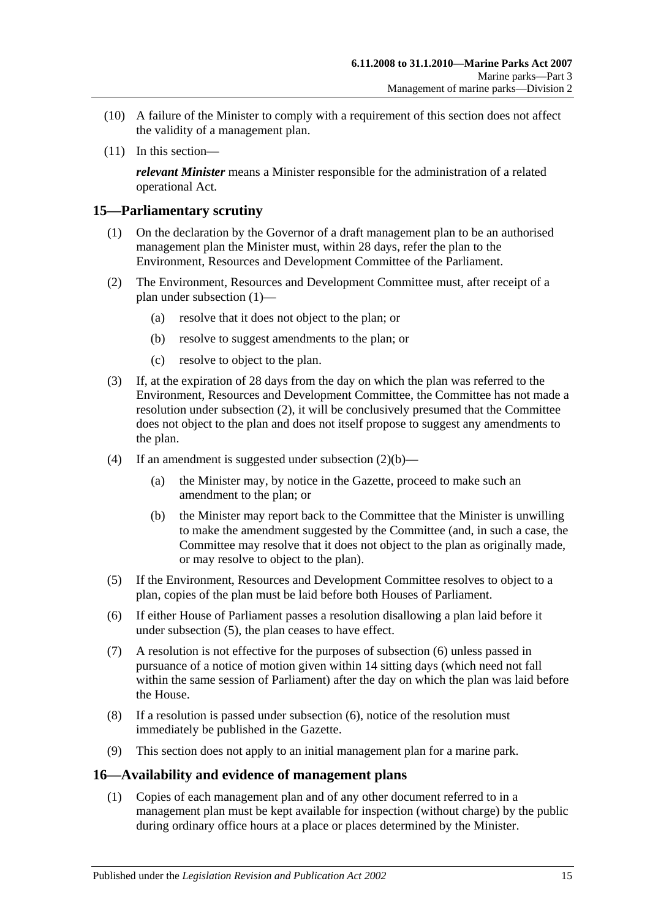- (10) A failure of the Minister to comply with a requirement of this section does not affect the validity of a management plan.
- (11) In this section—

*relevant Minister* means a Minister responsible for the administration of a related operational Act.

### <span id="page-14-2"></span><span id="page-14-0"></span>**15—Parliamentary scrutiny**

- (1) On the declaration by the Governor of a draft management plan to be an authorised management plan the Minister must, within 28 days, refer the plan to the Environment, Resources and Development Committee of the Parliament.
- <span id="page-14-4"></span><span id="page-14-3"></span>(2) The Environment, Resources and Development Committee must, after receipt of a plan under [subsection](#page-14-2) (1)—
	- (a) resolve that it does not object to the plan; or
	- (b) resolve to suggest amendments to the plan; or
	- (c) resolve to object to the plan.
- (3) If, at the expiration of 28 days from the day on which the plan was referred to the Environment, Resources and Development Committee, the Committee has not made a resolution under [subsection](#page-14-3) (2), it will be conclusively presumed that the Committee does not object to the plan and does not itself propose to suggest any amendments to the plan.
- (4) If an amendment is suggested under [subsection](#page-14-4)  $(2)(b)$ 
	- (a) the Minister may, by notice in the Gazette, proceed to make such an amendment to the plan; or
	- (b) the Minister may report back to the Committee that the Minister is unwilling to make the amendment suggested by the Committee (and, in such a case, the Committee may resolve that it does not object to the plan as originally made, or may resolve to object to the plan).
- <span id="page-14-5"></span>(5) If the Environment, Resources and Development Committee resolves to object to a plan, copies of the plan must be laid before both Houses of Parliament.
- <span id="page-14-6"></span>(6) If either House of Parliament passes a resolution disallowing a plan laid before it under [subsection](#page-14-5) (5), the plan ceases to have effect.
- (7) A resolution is not effective for the purposes of [subsection](#page-14-6) (6) unless passed in pursuance of a notice of motion given within 14 sitting days (which need not fall within the same session of Parliament) after the day on which the plan was laid before the House.
- (8) If a resolution is passed under [subsection](#page-14-6) (6), notice of the resolution must immediately be published in the Gazette.
- (9) This section does not apply to an initial management plan for a marine park.

#### <span id="page-14-1"></span>**16—Availability and evidence of management plans**

(1) Copies of each management plan and of any other document referred to in a management plan must be kept available for inspection (without charge) by the public during ordinary office hours at a place or places determined by the Minister.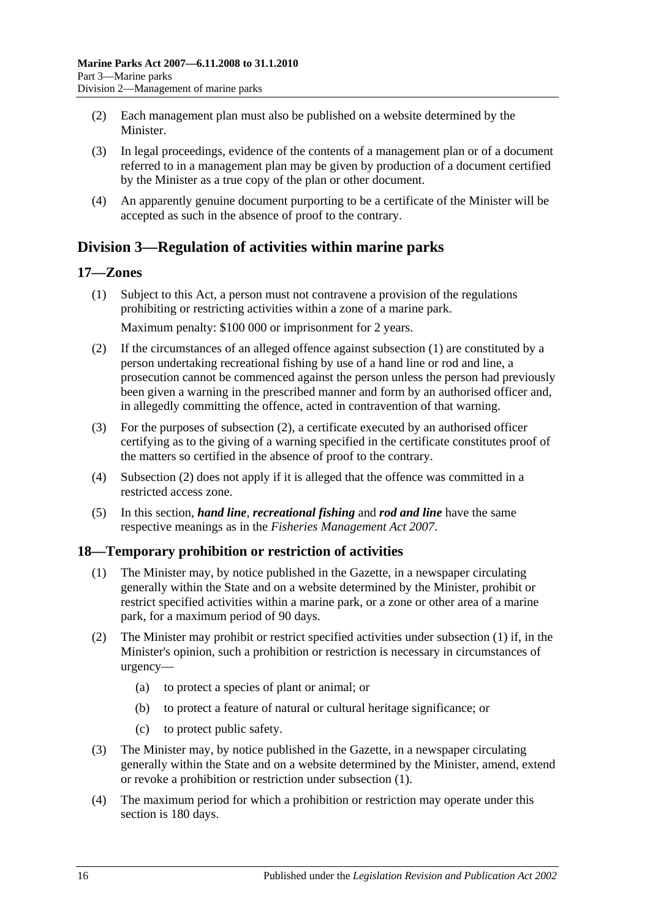- (2) Each management plan must also be published on a website determined by the **Minister**
- (3) In legal proceedings, evidence of the contents of a management plan or of a document referred to in a management plan may be given by production of a document certified by the Minister as a true copy of the plan or other document.
- (4) An apparently genuine document purporting to be a certificate of the Minister will be accepted as such in the absence of proof to the contrary.

# <span id="page-15-0"></span>**Division 3—Regulation of activities within marine parks**

# <span id="page-15-3"></span><span id="page-15-1"></span>**17—Zones**

(1) Subject to this Act, a person must not contravene a provision of the regulations prohibiting or restricting activities within a zone of a marine park.

Maximum penalty: \$100 000 or imprisonment for 2 years.

- <span id="page-15-4"></span>(2) If the circumstances of an alleged offence against [subsection](#page-15-3) (1) are constituted by a person undertaking recreational fishing by use of a hand line or rod and line, a prosecution cannot be commenced against the person unless the person had previously been given a warning in the prescribed manner and form by an authorised officer and, in allegedly committing the offence, acted in contravention of that warning.
- (3) For the purposes of [subsection](#page-15-4) (2), a certificate executed by an authorised officer certifying as to the giving of a warning specified in the certificate constitutes proof of the matters so certified in the absence of proof to the contrary.
- (4) [Subsection](#page-15-4) (2) does not apply if it is alleged that the offence was committed in a restricted access zone.
- (5) In this section, *hand line*, *recreational fishing* and *rod and line* have the same respective meanings as in the *[Fisheries Management Act](http://www.legislation.sa.gov.au/index.aspx?action=legref&type=act&legtitle=Fisheries%20Management%20Act%202007) 2007*.

# <span id="page-15-5"></span><span id="page-15-2"></span>**18—Temporary prohibition or restriction of activities**

- (1) The Minister may, by notice published in the Gazette, in a newspaper circulating generally within the State and on a website determined by the Minister, prohibit or restrict specified activities within a marine park, or a zone or other area of a marine park, for a maximum period of 90 days.
- (2) The Minister may prohibit or restrict specified activities under [subsection](#page-15-5) (1) if, in the Minister's opinion, such a prohibition or restriction is necessary in circumstances of urgency—
	- (a) to protect a species of plant or animal; or
	- (b) to protect a feature of natural or cultural heritage significance; or
	- (c) to protect public safety.
- (3) The Minister may, by notice published in the Gazette, in a newspaper circulating generally within the State and on a website determined by the Minister, amend, extend or revoke a prohibition or restriction under [subsection](#page-15-5) (1).
- (4) The maximum period for which a prohibition or restriction may operate under this section is 180 days.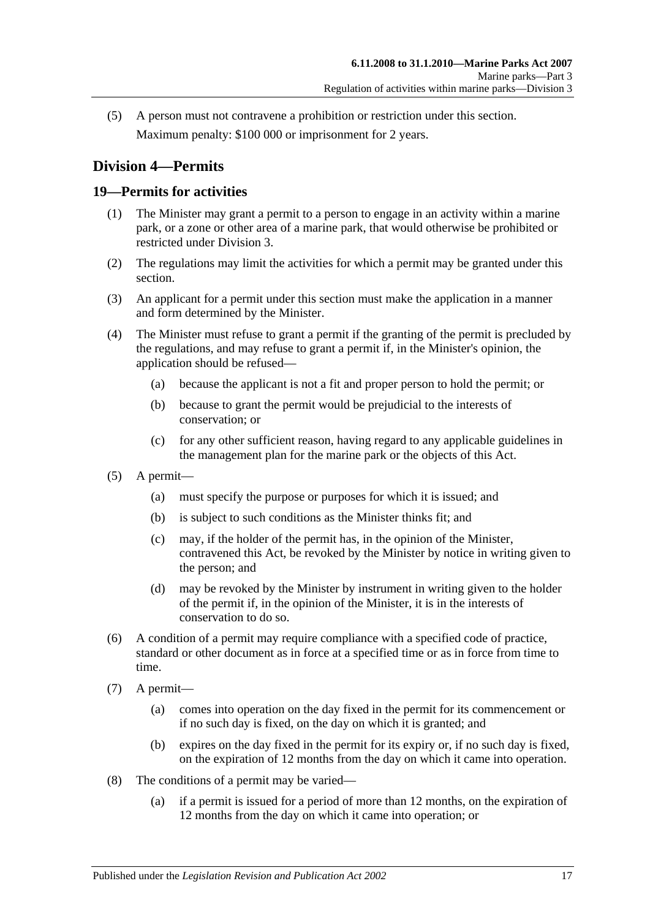(5) A person must not contravene a prohibition or restriction under this section. Maximum penalty: \$100 000 or imprisonment for 2 years.

# <span id="page-16-0"></span>**Division 4—Permits**

# <span id="page-16-1"></span>**19—Permits for activities**

- (1) The Minister may grant a permit to a person to engage in an activity within a marine park, or a zone or other area of a marine park, that would otherwise be prohibited or restricted under [Division 3.](#page-15-0)
- (2) The regulations may limit the activities for which a permit may be granted under this section.
- (3) An applicant for a permit under this section must make the application in a manner and form determined by the Minister.
- (4) The Minister must refuse to grant a permit if the granting of the permit is precluded by the regulations, and may refuse to grant a permit if, in the Minister's opinion, the application should be refused—
	- (a) because the applicant is not a fit and proper person to hold the permit; or
	- (b) because to grant the permit would be prejudicial to the interests of conservation; or
	- (c) for any other sufficient reason, having regard to any applicable guidelines in the management plan for the marine park or the objects of this Act.
- (5) A permit—
	- (a) must specify the purpose or purposes for which it is issued; and
	- (b) is subject to such conditions as the Minister thinks fit; and
	- (c) may, if the holder of the permit has, in the opinion of the Minister, contravened this Act, be revoked by the Minister by notice in writing given to the person; and
	- (d) may be revoked by the Minister by instrument in writing given to the holder of the permit if, in the opinion of the Minister, it is in the interests of conservation to do so.
- (6) A condition of a permit may require compliance with a specified code of practice, standard or other document as in force at a specified time or as in force from time to time.
- (7) A permit—
	- (a) comes into operation on the day fixed in the permit for its commencement or if no such day is fixed, on the day on which it is granted; and
	- (b) expires on the day fixed in the permit for its expiry or, if no such day is fixed, on the expiration of 12 months from the day on which it came into operation.
- (8) The conditions of a permit may be varied—
	- (a) if a permit is issued for a period of more than 12 months, on the expiration of 12 months from the day on which it came into operation; or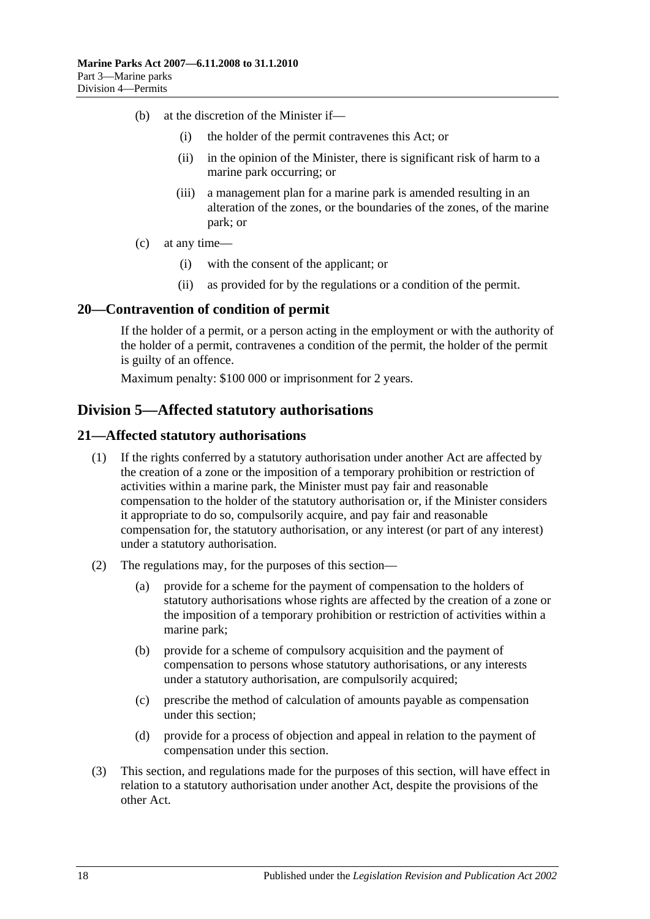- (b) at the discretion of the Minister if—
	- (i) the holder of the permit contravenes this Act; or
	- (ii) in the opinion of the Minister, there is significant risk of harm to a marine park occurring; or
	- (iii) a management plan for a marine park is amended resulting in an alteration of the zones, or the boundaries of the zones, of the marine park; or
- (c) at any time—
	- (i) with the consent of the applicant; or
	- (ii) as provided for by the regulations or a condition of the permit.

#### <span id="page-17-0"></span>**20—Contravention of condition of permit**

If the holder of a permit, or a person acting in the employment or with the authority of the holder of a permit, contravenes a condition of the permit, the holder of the permit is guilty of an offence.

Maximum penalty: \$100 000 or imprisonment for 2 years.

# <span id="page-17-1"></span>**Division 5—Affected statutory authorisations**

#### <span id="page-17-2"></span>**21—Affected statutory authorisations**

- (1) If the rights conferred by a statutory authorisation under another Act are affected by the creation of a zone or the imposition of a temporary prohibition or restriction of activities within a marine park, the Minister must pay fair and reasonable compensation to the holder of the statutory authorisation or, if the Minister considers it appropriate to do so, compulsorily acquire, and pay fair and reasonable compensation for, the statutory authorisation, or any interest (or part of any interest) under a statutory authorisation.
- (2) The regulations may, for the purposes of this section—
	- (a) provide for a scheme for the payment of compensation to the holders of statutory authorisations whose rights are affected by the creation of a zone or the imposition of a temporary prohibition or restriction of activities within a marine park;
	- (b) provide for a scheme of compulsory acquisition and the payment of compensation to persons whose statutory authorisations, or any interests under a statutory authorisation, are compulsorily acquired;
	- (c) prescribe the method of calculation of amounts payable as compensation under this section;
	- (d) provide for a process of objection and appeal in relation to the payment of compensation under this section.
- (3) This section, and regulations made for the purposes of this section, will have effect in relation to a statutory authorisation under another Act, despite the provisions of the other Act.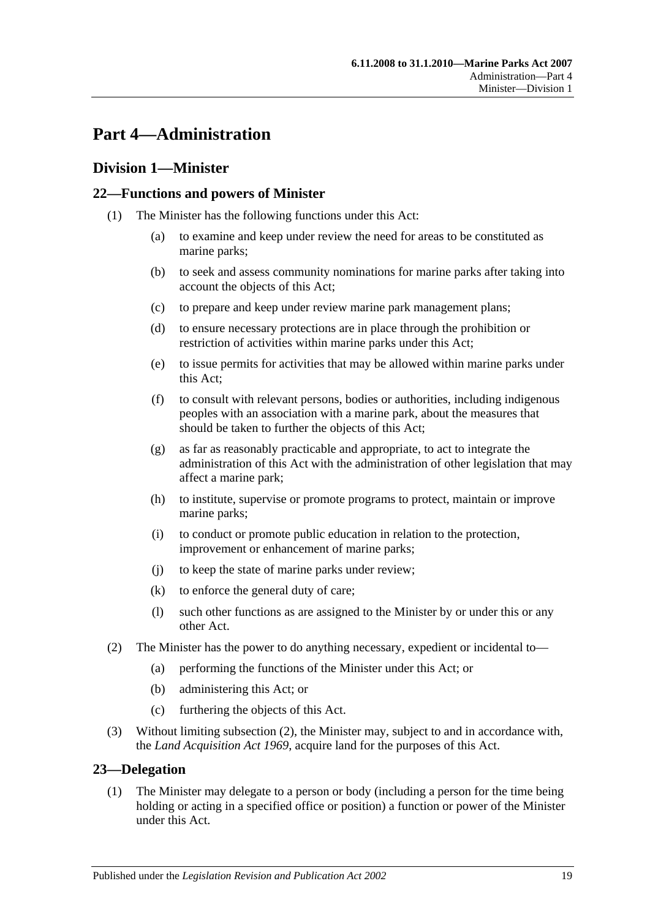# <span id="page-18-0"></span>**Part 4—Administration**

# <span id="page-18-1"></span>**Division 1—Minister**

# <span id="page-18-2"></span>**22—Functions and powers of Minister**

- (1) The Minister has the following functions under this Act:
	- (a) to examine and keep under review the need for areas to be constituted as marine parks;
	- (b) to seek and assess community nominations for marine parks after taking into account the objects of this Act;
	- (c) to prepare and keep under review marine park management plans;
	- (d) to ensure necessary protections are in place through the prohibition or restriction of activities within marine parks under this Act;
	- (e) to issue permits for activities that may be allowed within marine parks under this Act;
	- (f) to consult with relevant persons, bodies or authorities, including indigenous peoples with an association with a marine park, about the measures that should be taken to further the objects of this Act;
	- (g) as far as reasonably practicable and appropriate, to act to integrate the administration of this Act with the administration of other legislation that may affect a marine park;
	- (h) to institute, supervise or promote programs to protect, maintain or improve marine parks;
	- (i) to conduct or promote public education in relation to the protection, improvement or enhancement of marine parks;
	- (j) to keep the state of marine parks under review;
	- (k) to enforce the general duty of care;
	- (l) such other functions as are assigned to the Minister by or under this or any other Act.
- <span id="page-18-4"></span>(2) The Minister has the power to do anything necessary, expedient or incidental to—
	- (a) performing the functions of the Minister under this Act; or
	- (b) administering this Act; or
	- (c) furthering the objects of this Act.
- (3) Without limiting [subsection](#page-18-4) (2), the Minister may, subject to and in accordance with, the *[Land Acquisition Act](http://www.legislation.sa.gov.au/index.aspx?action=legref&type=act&legtitle=Land%20Acquisition%20Act%201969) 1969*, acquire land for the purposes of this Act.

#### <span id="page-18-3"></span>**23—Delegation**

(1) The Minister may delegate to a person or body (including a person for the time being holding or acting in a specified office or position) a function or power of the Minister under this Act.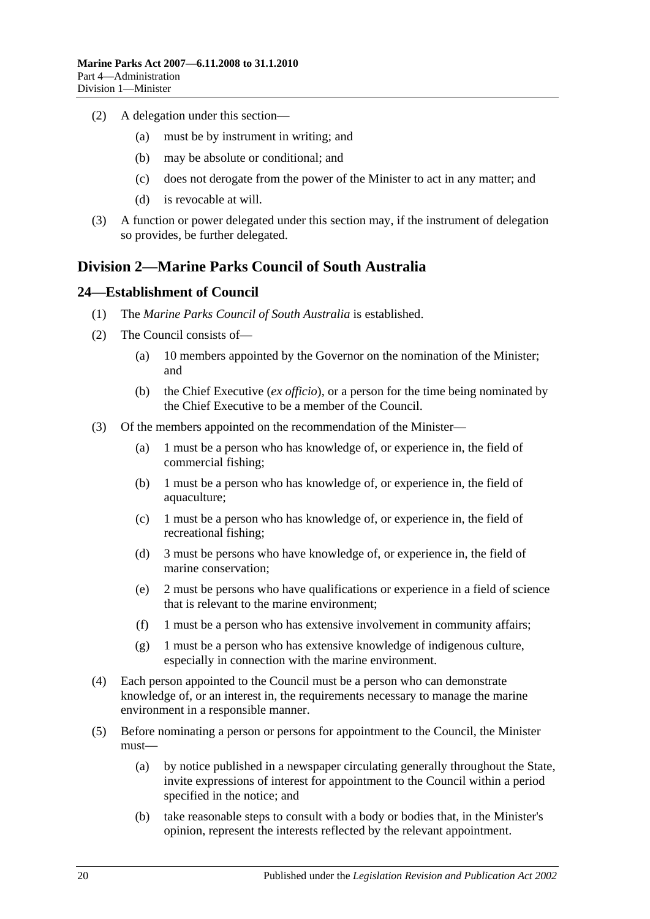- (2) A delegation under this section—
	- (a) must be by instrument in writing; and
	- (b) may be absolute or conditional; and
	- (c) does not derogate from the power of the Minister to act in any matter; and
	- (d) is revocable at will.
- (3) A function or power delegated under this section may, if the instrument of delegation so provides, be further delegated.

# <span id="page-19-0"></span>**Division 2—Marine Parks Council of South Australia**

#### <span id="page-19-1"></span>**24—Establishment of Council**

- (1) The *Marine Parks Council of South Australia* is established.
- (2) The Council consists of—
	- (a) 10 members appointed by the Governor on the nomination of the Minister; and
	- (b) the Chief Executive (*ex officio*), or a person for the time being nominated by the Chief Executive to be a member of the Council.
- <span id="page-19-2"></span>(3) Of the members appointed on the recommendation of the Minister—
	- (a) 1 must be a person who has knowledge of, or experience in, the field of commercial fishing;
	- (b) 1 must be a person who has knowledge of, or experience in, the field of aquaculture;
	- (c) 1 must be a person who has knowledge of, or experience in, the field of recreational fishing;
	- (d) 3 must be persons who have knowledge of, or experience in, the field of marine conservation;
	- (e) 2 must be persons who have qualifications or experience in a field of science that is relevant to the marine environment;
	- (f) 1 must be a person who has extensive involvement in community affairs;
	- (g) 1 must be a person who has extensive knowledge of indigenous culture, especially in connection with the marine environment.
- (4) Each person appointed to the Council must be a person who can demonstrate knowledge of, or an interest in, the requirements necessary to manage the marine environment in a responsible manner.
- (5) Before nominating a person or persons for appointment to the Council, the Minister must—
	- (a) by notice published in a newspaper circulating generally throughout the State, invite expressions of interest for appointment to the Council within a period specified in the notice; and
	- (b) take reasonable steps to consult with a body or bodies that, in the Minister's opinion, represent the interests reflected by the relevant appointment.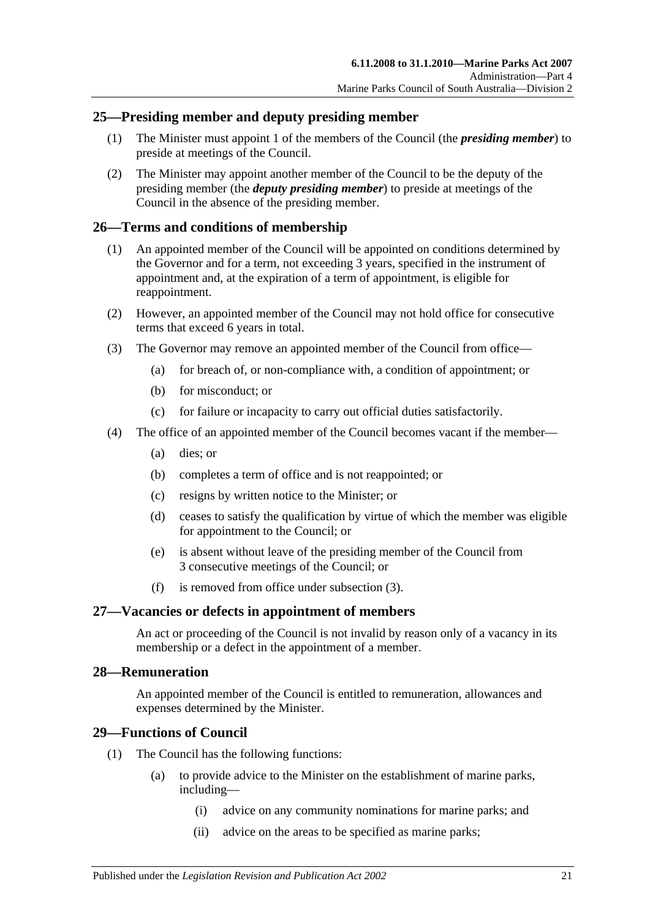# <span id="page-20-0"></span>**25—Presiding member and deputy presiding member**

- (1) The Minister must appoint 1 of the members of the Council (the *presiding member*) to preside at meetings of the Council.
- (2) The Minister may appoint another member of the Council to be the deputy of the presiding member (the *deputy presiding member*) to preside at meetings of the Council in the absence of the presiding member.

# <span id="page-20-1"></span>**26—Terms and conditions of membership**

- (1) An appointed member of the Council will be appointed on conditions determined by the Governor and for a term, not exceeding 3 years, specified in the instrument of appointment and, at the expiration of a term of appointment, is eligible for reappointment.
- (2) However, an appointed member of the Council may not hold office for consecutive terms that exceed 6 years in total.
- <span id="page-20-5"></span>(3) The Governor may remove an appointed member of the Council from office—
	- (a) for breach of, or non-compliance with, a condition of appointment; or
	- (b) for misconduct; or
	- (c) for failure or incapacity to carry out official duties satisfactorily.
- (4) The office of an appointed member of the Council becomes vacant if the member—
	- (a) dies; or
	- (b) completes a term of office and is not reappointed; or
	- (c) resigns by written notice to the Minister; or
	- (d) ceases to satisfy the qualification by virtue of which the member was eligible for appointment to the Council; or
	- (e) is absent without leave of the presiding member of the Council from 3 consecutive meetings of the Council; or
	- (f) is removed from office under [subsection](#page-20-5) (3).

# <span id="page-20-2"></span>**27—Vacancies or defects in appointment of members**

An act or proceeding of the Council is not invalid by reason only of a vacancy in its membership or a defect in the appointment of a member.

# <span id="page-20-3"></span>**28—Remuneration**

An appointed member of the Council is entitled to remuneration, allowances and expenses determined by the Minister.

# <span id="page-20-4"></span>**29—Functions of Council**

- (1) The Council has the following functions:
	- (a) to provide advice to the Minister on the establishment of marine parks, including—
		- (i) advice on any community nominations for marine parks; and
		- (ii) advice on the areas to be specified as marine parks;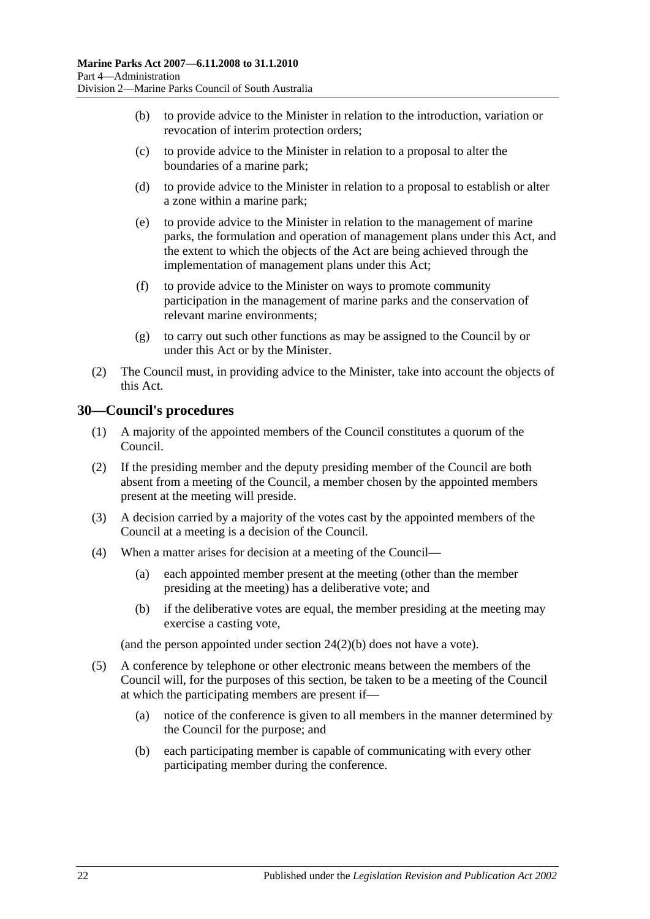- (b) to provide advice to the Minister in relation to the introduction, variation or revocation of interim protection orders;
- (c) to provide advice to the Minister in relation to a proposal to alter the boundaries of a marine park;
- (d) to provide advice to the Minister in relation to a proposal to establish or alter a zone within a marine park;
- (e) to provide advice to the Minister in relation to the management of marine parks, the formulation and operation of management plans under this Act, and the extent to which the objects of the Act are being achieved through the implementation of management plans under this Act;
- (f) to provide advice to the Minister on ways to promote community participation in the management of marine parks and the conservation of relevant marine environments;
- (g) to carry out such other functions as may be assigned to the Council by or under this Act or by the Minister.
- (2) The Council must, in providing advice to the Minister, take into account the objects of this Act.

# <span id="page-21-0"></span>**30—Council's procedures**

- (1) A majority of the appointed members of the Council constitutes a quorum of the Council.
- (2) If the presiding member and the deputy presiding member of the Council are both absent from a meeting of the Council, a member chosen by the appointed members present at the meeting will preside.
- (3) A decision carried by a majority of the votes cast by the appointed members of the Council at a meeting is a decision of the Council.
- (4) When a matter arises for decision at a meeting of the Council—
	- (a) each appointed member present at the meeting (other than the member presiding at the meeting) has a deliberative vote; and
	- (b) if the deliberative votes are equal, the member presiding at the meeting may exercise a casting vote,

(and the person appointed under section [24\(2\)\(b\)](#page-19-2) does not have a vote).

- (5) A conference by telephone or other electronic means between the members of the Council will, for the purposes of this section, be taken to be a meeting of the Council at which the participating members are present if—
	- (a) notice of the conference is given to all members in the manner determined by the Council for the purpose; and
	- (b) each participating member is capable of communicating with every other participating member during the conference.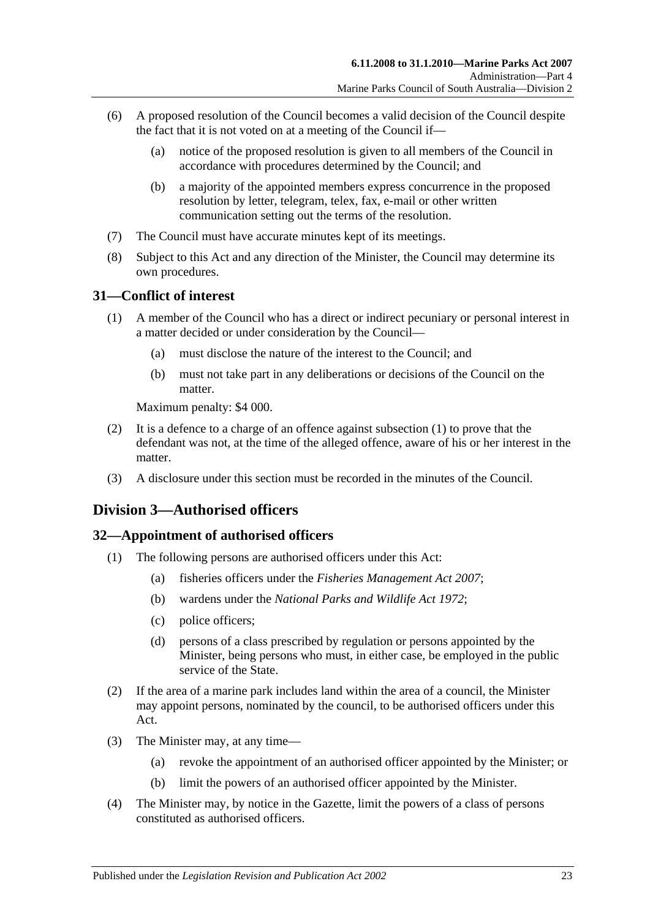- (6) A proposed resolution of the Council becomes a valid decision of the Council despite the fact that it is not voted on at a meeting of the Council if—
	- (a) notice of the proposed resolution is given to all members of the Council in accordance with procedures determined by the Council; and
	- (b) a majority of the appointed members express concurrence in the proposed resolution by letter, telegram, telex, fax, e-mail or other written communication setting out the terms of the resolution.
- (7) The Council must have accurate minutes kept of its meetings.
- (8) Subject to this Act and any direction of the Minister, the Council may determine its own procedures.

# <span id="page-22-3"></span><span id="page-22-0"></span>**31—Conflict of interest**

- (1) A member of the Council who has a direct or indirect pecuniary or personal interest in a matter decided or under consideration by the Council—
	- (a) must disclose the nature of the interest to the Council; and
	- (b) must not take part in any deliberations or decisions of the Council on the matter.

Maximum penalty: \$4 000.

- (2) It is a defence to a charge of an offence against [subsection](#page-22-3) (1) to prove that the defendant was not, at the time of the alleged offence, aware of his or her interest in the matter.
- (3) A disclosure under this section must be recorded in the minutes of the Council.

# <span id="page-22-1"></span>**Division 3—Authorised officers**

# <span id="page-22-2"></span>**32—Appointment of authorised officers**

- (1) The following persons are authorised officers under this Act:
	- (a) fisheries officers under the *[Fisheries Management Act](http://www.legislation.sa.gov.au/index.aspx?action=legref&type=act&legtitle=Fisheries%20Management%20Act%202007) 2007*;
	- (b) wardens under the *[National Parks and Wildlife Act](http://www.legislation.sa.gov.au/index.aspx?action=legref&type=act&legtitle=National%20Parks%20and%20Wildlife%20Act%201972) 1972*;
	- (c) police officers;
	- (d) persons of a class prescribed by regulation or persons appointed by the Minister, being persons who must, in either case, be employed in the public service of the State.
- (2) If the area of a marine park includes land within the area of a council, the Minister may appoint persons, nominated by the council, to be authorised officers under this Act.
- (3) The Minister may, at any time—
	- (a) revoke the appointment of an authorised officer appointed by the Minister; or
	- (b) limit the powers of an authorised officer appointed by the Minister.
- (4) The Minister may, by notice in the Gazette, limit the powers of a class of persons constituted as authorised officers.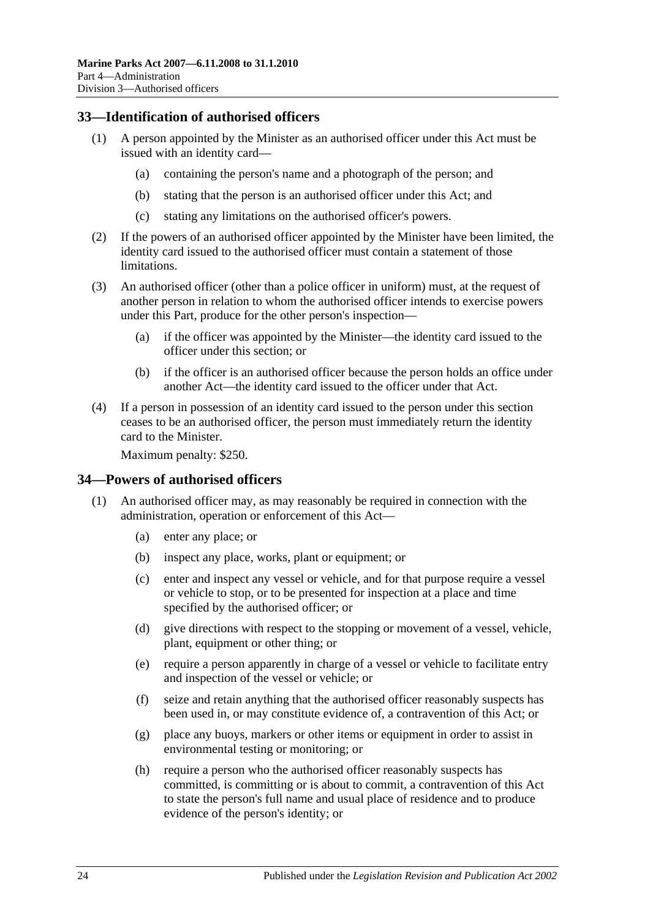# <span id="page-23-0"></span>**33—Identification of authorised officers**

- (1) A person appointed by the Minister as an authorised officer under this Act must be issued with an identity card—
	- (a) containing the person's name and a photograph of the person; and
	- (b) stating that the person is an authorised officer under this Act; and
	- (c) stating any limitations on the authorised officer's powers.
- (2) If the powers of an authorised officer appointed by the Minister have been limited, the identity card issued to the authorised officer must contain a statement of those limitations.
- (3) An authorised officer (other than a police officer in uniform) must, at the request of another person in relation to whom the authorised officer intends to exercise powers under this Part, produce for the other person's inspection—
	- (a) if the officer was appointed by the Minister—the identity card issued to the officer under this section; or
	- (b) if the officer is an authorised officer because the person holds an office under another Act—the identity card issued to the officer under that Act.
- (4) If a person in possession of an identity card issued to the person under this section ceases to be an authorised officer, the person must immediately return the identity card to the Minister.

Maximum penalty: \$250.

#### <span id="page-23-2"></span><span id="page-23-1"></span>**34—Powers of authorised officers**

- <span id="page-23-3"></span>(1) An authorised officer may, as may reasonably be required in connection with the administration, operation or enforcement of this Act—
	- (a) enter any place; or
	- (b) inspect any place, works, plant or equipment; or
	- (c) enter and inspect any vessel or vehicle, and for that purpose require a vessel or vehicle to stop, or to be presented for inspection at a place and time specified by the authorised officer; or
	- (d) give directions with respect to the stopping or movement of a vessel, vehicle, plant, equipment or other thing; or
	- (e) require a person apparently in charge of a vessel or vehicle to facilitate entry and inspection of the vessel or vehicle; or
	- (f) seize and retain anything that the authorised officer reasonably suspects has been used in, or may constitute evidence of, a contravention of this Act; or
	- (g) place any buoys, markers or other items or equipment in order to assist in environmental testing or monitoring; or
	- (h) require a person who the authorised officer reasonably suspects has committed, is committing or is about to commit, a contravention of this Act to state the person's full name and usual place of residence and to produce evidence of the person's identity; or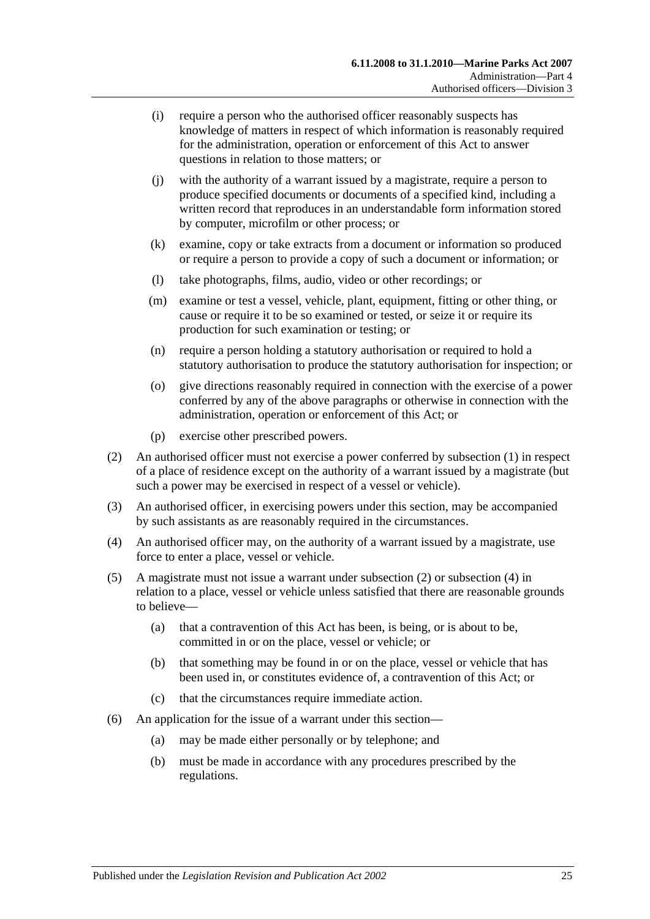- (i) require a person who the authorised officer reasonably suspects has knowledge of matters in respect of which information is reasonably required for the administration, operation or enforcement of this Act to answer questions in relation to those matters; or
- (j) with the authority of a warrant issued by a magistrate, require a person to produce specified documents or documents of a specified kind, including a written record that reproduces in an understandable form information stored by computer, microfilm or other process; or
- (k) examine, copy or take extracts from a document or information so produced or require a person to provide a copy of such a document or information; or
- (l) take photographs, films, audio, video or other recordings; or
- (m) examine or test a vessel, vehicle, plant, equipment, fitting or other thing, or cause or require it to be so examined or tested, or seize it or require its production for such examination or testing; or
- (n) require a person holding a statutory authorisation or required to hold a statutory authorisation to produce the statutory authorisation for inspection; or
- (o) give directions reasonably required in connection with the exercise of a power conferred by any of the above paragraphs or otherwise in connection with the administration, operation or enforcement of this Act; or
- (p) exercise other prescribed powers.
- <span id="page-24-0"></span>(2) An authorised officer must not exercise a power conferred by [subsection](#page-23-2) (1) in respect of a place of residence except on the authority of a warrant issued by a magistrate (but such a power may be exercised in respect of a vessel or vehicle).
- (3) An authorised officer, in exercising powers under this section, may be accompanied by such assistants as are reasonably required in the circumstances.
- <span id="page-24-1"></span>(4) An authorised officer may, on the authority of a warrant issued by a magistrate, use force to enter a place, vessel or vehicle.
- (5) A magistrate must not issue a warrant under [subsection](#page-24-0) (2) or [subsection](#page-24-1) (4) in relation to a place, vessel or vehicle unless satisfied that there are reasonable grounds to believe—
	- (a) that a contravention of this Act has been, is being, or is about to be, committed in or on the place, vessel or vehicle; or
	- (b) that something may be found in or on the place, vessel or vehicle that has been used in, or constitutes evidence of, a contravention of this Act; or
	- (c) that the circumstances require immediate action.
- (6) An application for the issue of a warrant under this section—
	- (a) may be made either personally or by telephone; and
	- (b) must be made in accordance with any procedures prescribed by the regulations.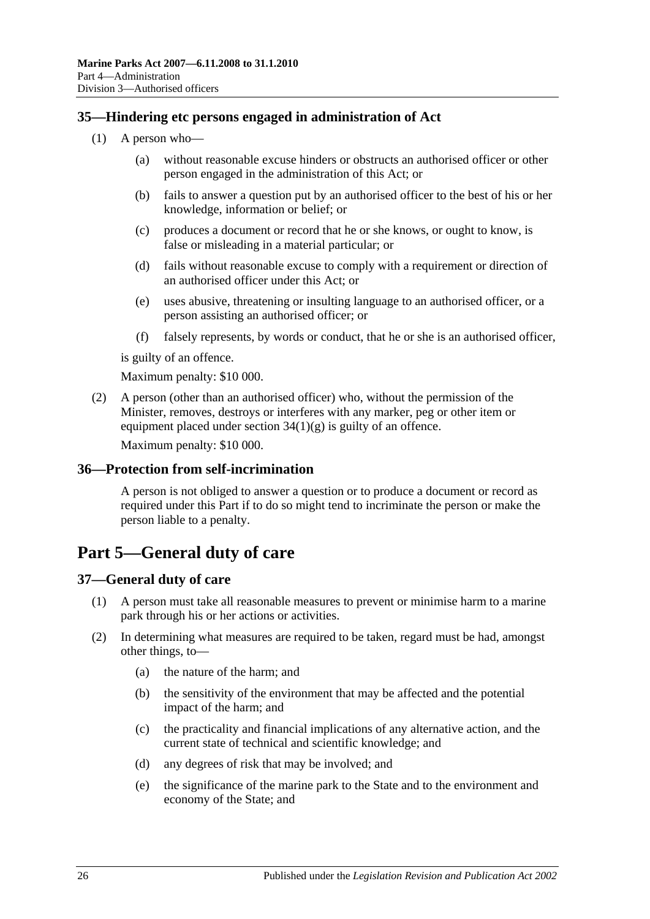# <span id="page-25-0"></span>**35—Hindering etc persons engaged in administration of Act**

- (1) A person who—
	- (a) without reasonable excuse hinders or obstructs an authorised officer or other person engaged in the administration of this Act; or
	- (b) fails to answer a question put by an authorised officer to the best of his or her knowledge, information or belief; or
	- (c) produces a document or record that he or she knows, or ought to know, is false or misleading in a material particular; or
	- (d) fails without reasonable excuse to comply with a requirement or direction of an authorised officer under this Act; or
	- (e) uses abusive, threatening or insulting language to an authorised officer, or a person assisting an authorised officer; or
	- (f) falsely represents, by words or conduct, that he or she is an authorised officer,

is guilty of an offence.

Maximum penalty: \$10 000.

(2) A person (other than an authorised officer) who, without the permission of the Minister, removes, destroys or interferes with any marker, peg or other item or equipment placed under section  $34(1)(g)$  is guilty of an offence.

Maximum penalty: \$10 000.

#### <span id="page-25-1"></span>**36—Protection from self-incrimination**

A person is not obliged to answer a question or to produce a document or record as required under this Part if to do so might tend to incriminate the person or make the person liable to a penalty.

# <span id="page-25-2"></span>**Part 5—General duty of care**

# <span id="page-25-4"></span><span id="page-25-3"></span>**37—General duty of care**

- (1) A person must take all reasonable measures to prevent or minimise harm to a marine park through his or her actions or activities.
- (2) In determining what measures are required to be taken, regard must be had, amongst other things, to—
	- (a) the nature of the harm; and
	- (b) the sensitivity of the environment that may be affected and the potential impact of the harm; and
	- (c) the practicality and financial implications of any alternative action, and the current state of technical and scientific knowledge; and
	- (d) any degrees of risk that may be involved; and
	- (e) the significance of the marine park to the State and to the environment and economy of the State; and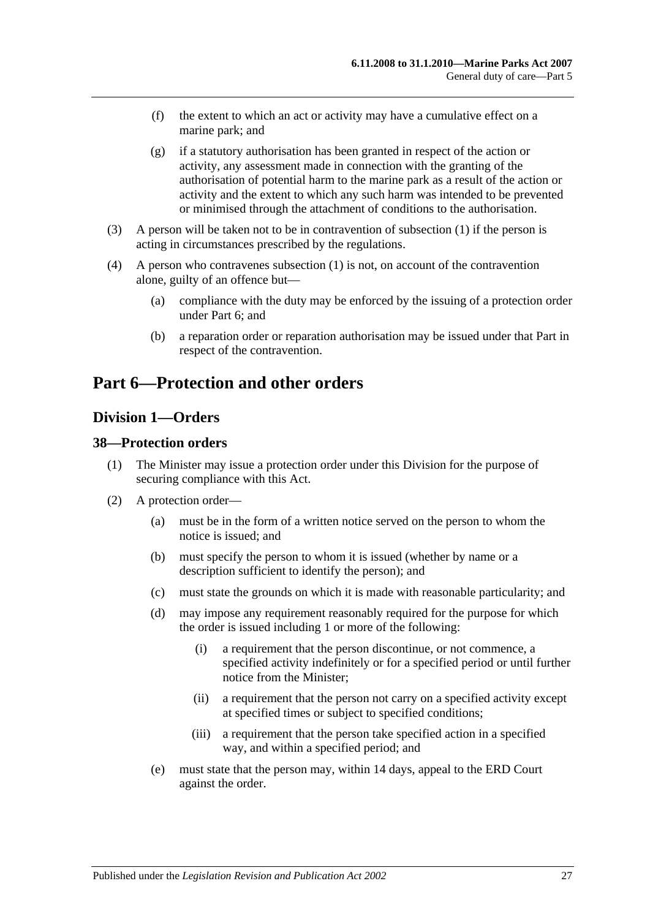- (f) the extent to which an act or activity may have a cumulative effect on a marine park; and
- (g) if a statutory authorisation has been granted in respect of the action or activity, any assessment made in connection with the granting of the authorisation of potential harm to the marine park as a result of the action or activity and the extent to which any such harm was intended to be prevented or minimised through the attachment of conditions to the authorisation.
- (3) A person will be taken not to be in contravention of [subsection](#page-25-4) (1) if the person is acting in circumstances prescribed by the regulations.
- (4) A person who contravenes [subsection](#page-25-4) (1) is not, on account of the contravention alone, guilty of an offence but—
	- (a) compliance with the duty may be enforced by the issuing of a protection order under [Part 6;](#page-26-0) and
	- (b) a reparation order or reparation authorisation may be issued under that Part in respect of the contravention.

# <span id="page-26-0"></span>**Part 6—Protection and other orders**

# <span id="page-26-1"></span>**Division 1—Orders**

# <span id="page-26-2"></span>**38—Protection orders**

- (1) The Minister may issue a protection order under this Division for the purpose of securing compliance with this Act.
- <span id="page-26-3"></span>(2) A protection order—
	- (a) must be in the form of a written notice served on the person to whom the notice is issued; and
	- (b) must specify the person to whom it is issued (whether by name or a description sufficient to identify the person); and
	- (c) must state the grounds on which it is made with reasonable particularity; and
	- (d) may impose any requirement reasonably required for the purpose for which the order is issued including 1 or more of the following:
		- (i) a requirement that the person discontinue, or not commence, a specified activity indefinitely or for a specified period or until further notice from the Minister;
		- (ii) a requirement that the person not carry on a specified activity except at specified times or subject to specified conditions;
		- (iii) a requirement that the person take specified action in a specified way, and within a specified period; and
	- (e) must state that the person may, within 14 days, appeal to the ERD Court against the order.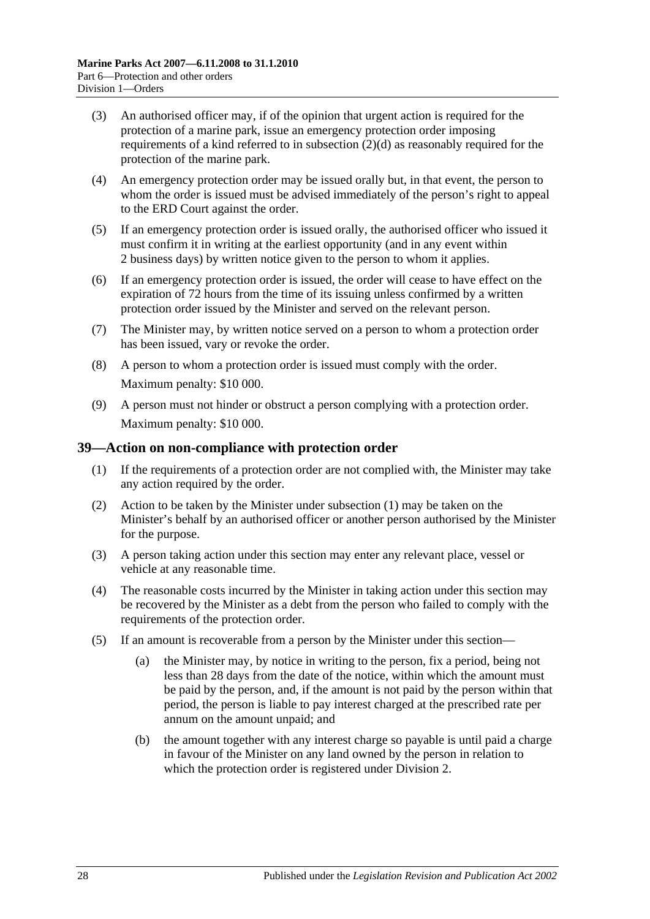- (3) An authorised officer may, if of the opinion that urgent action is required for the protection of a marine park, issue an emergency protection order imposing requirements of a kind referred to in [subsection](#page-26-3) (2)(d) as reasonably required for the protection of the marine park.
- (4) An emergency protection order may be issued orally but, in that event, the person to whom the order is issued must be advised immediately of the person's right to appeal to the ERD Court against the order.
- (5) If an emergency protection order is issued orally, the authorised officer who issued it must confirm it in writing at the earliest opportunity (and in any event within 2 business days) by written notice given to the person to whom it applies.
- (6) If an emergency protection order is issued, the order will cease to have effect on the expiration of 72 hours from the time of its issuing unless confirmed by a written protection order issued by the Minister and served on the relevant person.
- (7) The Minister may, by written notice served on a person to whom a protection order has been issued, vary or revoke the order.
- (8) A person to whom a protection order is issued must comply with the order. Maximum penalty: \$10 000.
- (9) A person must not hinder or obstruct a person complying with a protection order. Maximum penalty: \$10 000.

#### <span id="page-27-1"></span><span id="page-27-0"></span>**39—Action on non-compliance with protection order**

- (1) If the requirements of a protection order are not complied with, the Minister may take any action required by the order.
- (2) Action to be taken by the Minister under [subsection](#page-27-1) (1) may be taken on the Minister's behalf by an authorised officer or another person authorised by the Minister for the purpose.
- (3) A person taking action under this section may enter any relevant place, vessel or vehicle at any reasonable time.
- (4) The reasonable costs incurred by the Minister in taking action under this section may be recovered by the Minister as a debt from the person who failed to comply with the requirements of the protection order.
- (5) If an amount is recoverable from a person by the Minister under this section—
	- (a) the Minister may, by notice in writing to the person, fix a period, being not less than 28 days from the date of the notice, within which the amount must be paid by the person, and, if the amount is not paid by the person within that period, the person is liable to pay interest charged at the prescribed rate per annum on the amount unpaid; and
	- (b) the amount together with any interest charge so payable is until paid a charge in favour of the Minister on any land owned by the person in relation to which the protection order is registered under [Division 2.](#page-31-0)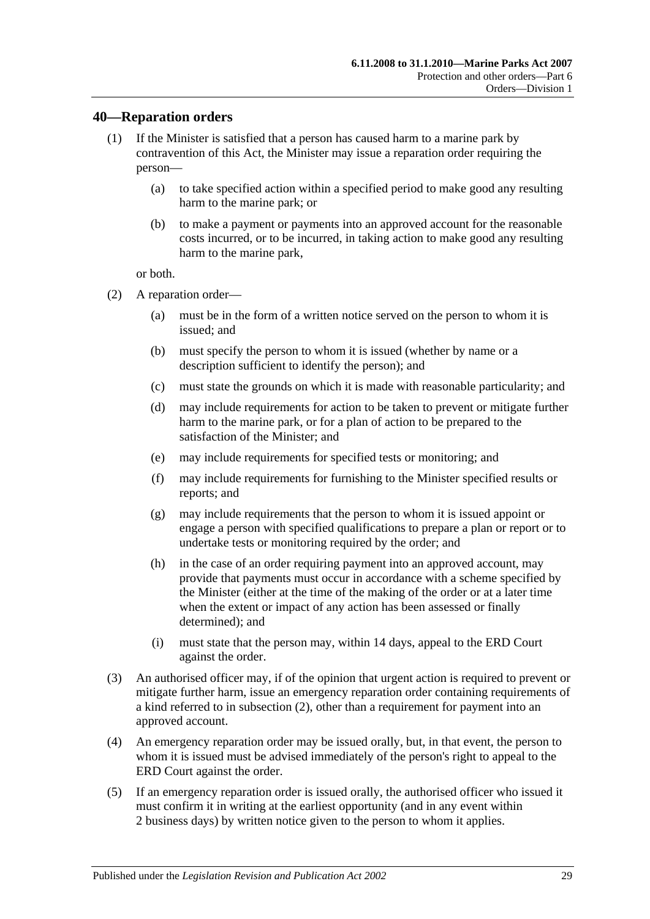### <span id="page-28-0"></span>**40—Reparation orders**

- (1) If the Minister is satisfied that a person has caused harm to a marine park by contravention of this Act, the Minister may issue a reparation order requiring the person—
	- (a) to take specified action within a specified period to make good any resulting harm to the marine park; or
	- (b) to make a payment or payments into an approved account for the reasonable costs incurred, or to be incurred, in taking action to make good any resulting harm to the marine park,

or both.

- <span id="page-28-1"></span>(2) A reparation order—
	- (a) must be in the form of a written notice served on the person to whom it is issued; and
	- (b) must specify the person to whom it is issued (whether by name or a description sufficient to identify the person); and
	- (c) must state the grounds on which it is made with reasonable particularity; and
	- (d) may include requirements for action to be taken to prevent or mitigate further harm to the marine park, or for a plan of action to be prepared to the satisfaction of the Minister; and
	- (e) may include requirements for specified tests or monitoring; and
	- (f) may include requirements for furnishing to the Minister specified results or reports; and
	- (g) may include requirements that the person to whom it is issued appoint or engage a person with specified qualifications to prepare a plan or report or to undertake tests or monitoring required by the order; and
	- (h) in the case of an order requiring payment into an approved account, may provide that payments must occur in accordance with a scheme specified by the Minister (either at the time of the making of the order or at a later time when the extent or impact of any action has been assessed or finally determined); and
	- (i) must state that the person may, within 14 days, appeal to the ERD Court against the order.
- (3) An authorised officer may, if of the opinion that urgent action is required to prevent or mitigate further harm, issue an emergency reparation order containing requirements of a kind referred to in [subsection](#page-28-1) (2), other than a requirement for payment into an approved account.
- (4) An emergency reparation order may be issued orally, but, in that event, the person to whom it is issued must be advised immediately of the person's right to appeal to the ERD Court against the order.
- (5) If an emergency reparation order is issued orally, the authorised officer who issued it must confirm it in writing at the earliest opportunity (and in any event within 2 business days) by written notice given to the person to whom it applies.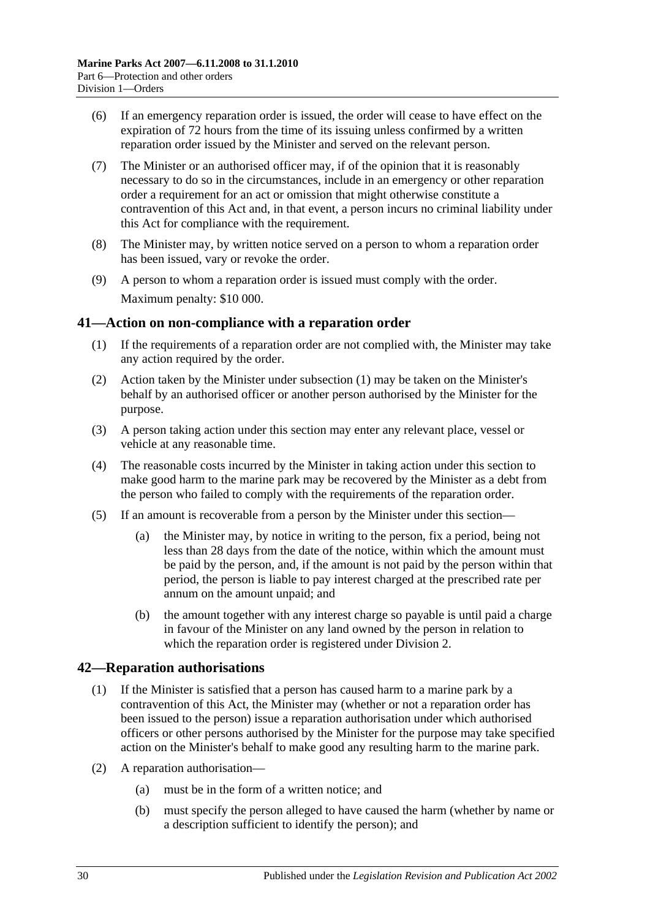- (6) If an emergency reparation order is issued, the order will cease to have effect on the expiration of 72 hours from the time of its issuing unless confirmed by a written reparation order issued by the Minister and served on the relevant person.
- (7) The Minister or an authorised officer may, if of the opinion that it is reasonably necessary to do so in the circumstances, include in an emergency or other reparation order a requirement for an act or omission that might otherwise constitute a contravention of this Act and, in that event, a person incurs no criminal liability under this Act for compliance with the requirement.
- (8) The Minister may, by written notice served on a person to whom a reparation order has been issued, vary or revoke the order.
- (9) A person to whom a reparation order is issued must comply with the order. Maximum penalty: \$10 000.

# <span id="page-29-2"></span><span id="page-29-0"></span>**41—Action on non-compliance with a reparation order**

- (1) If the requirements of a reparation order are not complied with, the Minister may take any action required by the order.
- (2) Action taken by the Minister under [subsection](#page-29-2) (1) may be taken on the Minister's behalf by an authorised officer or another person authorised by the Minister for the purpose.
- (3) A person taking action under this section may enter any relevant place, vessel or vehicle at any reasonable time.
- (4) The reasonable costs incurred by the Minister in taking action under this section to make good harm to the marine park may be recovered by the Minister as a debt from the person who failed to comply with the requirements of the reparation order.
- (5) If an amount is recoverable from a person by the Minister under this section—
	- (a) the Minister may, by notice in writing to the person, fix a period, being not less than 28 days from the date of the notice, within which the amount must be paid by the person, and, if the amount is not paid by the person within that period, the person is liable to pay interest charged at the prescribed rate per annum on the amount unpaid; and
	- (b) the amount together with any interest charge so payable is until paid a charge in favour of the Minister on any land owned by the person in relation to which the reparation order is registered under [Division 2.](#page-31-0)

# <span id="page-29-3"></span><span id="page-29-1"></span>**42—Reparation authorisations**

- (1) If the Minister is satisfied that a person has caused harm to a marine park by a contravention of this Act, the Minister may (whether or not a reparation order has been issued to the person) issue a reparation authorisation under which authorised officers or other persons authorised by the Minister for the purpose may take specified action on the Minister's behalf to make good any resulting harm to the marine park.
- (2) A reparation authorisation—
	- (a) must be in the form of a written notice; and
	- (b) must specify the person alleged to have caused the harm (whether by name or a description sufficient to identify the person); and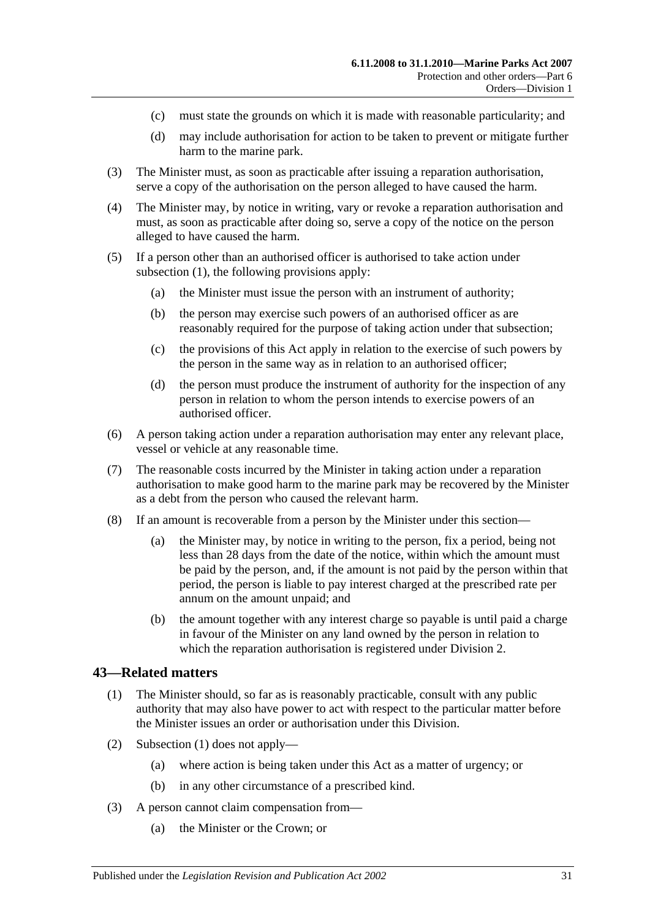- (c) must state the grounds on which it is made with reasonable particularity; and
- (d) may include authorisation for action to be taken to prevent or mitigate further harm to the marine park.
- (3) The Minister must, as soon as practicable after issuing a reparation authorisation, serve a copy of the authorisation on the person alleged to have caused the harm.
- (4) The Minister may, by notice in writing, vary or revoke a reparation authorisation and must, as soon as practicable after doing so, serve a copy of the notice on the person alleged to have caused the harm.
- (5) If a person other than an authorised officer is authorised to take action under [subsection](#page-29-3) (1), the following provisions apply:
	- (a) the Minister must issue the person with an instrument of authority;
	- (b) the person may exercise such powers of an authorised officer as are reasonably required for the purpose of taking action under that subsection;
	- (c) the provisions of this Act apply in relation to the exercise of such powers by the person in the same way as in relation to an authorised officer;
	- (d) the person must produce the instrument of authority for the inspection of any person in relation to whom the person intends to exercise powers of an authorised officer.
- (6) A person taking action under a reparation authorisation may enter any relevant place, vessel or vehicle at any reasonable time.
- (7) The reasonable costs incurred by the Minister in taking action under a reparation authorisation to make good harm to the marine park may be recovered by the Minister as a debt from the person who caused the relevant harm.
- (8) If an amount is recoverable from a person by the Minister under this section—
	- (a) the Minister may, by notice in writing to the person, fix a period, being not less than 28 days from the date of the notice, within which the amount must be paid by the person, and, if the amount is not paid by the person within that period, the person is liable to pay interest charged at the prescribed rate per annum on the amount unpaid; and
	- (b) the amount together with any interest charge so payable is until paid a charge in favour of the Minister on any land owned by the person in relation to which the reparation authorisation is registered under [Division 2.](#page-31-0)

#### <span id="page-30-1"></span><span id="page-30-0"></span>**43—Related matters**

- (1) The Minister should, so far as is reasonably practicable, consult with any public authority that may also have power to act with respect to the particular matter before the Minister issues an order or authorisation under this Division.
- (2) [Subsection](#page-30-1) (1) does not apply—
	- (a) where action is being taken under this Act as a matter of urgency; or
	- (b) in any other circumstance of a prescribed kind.
- (3) A person cannot claim compensation from—
	- (a) the Minister or the Crown; or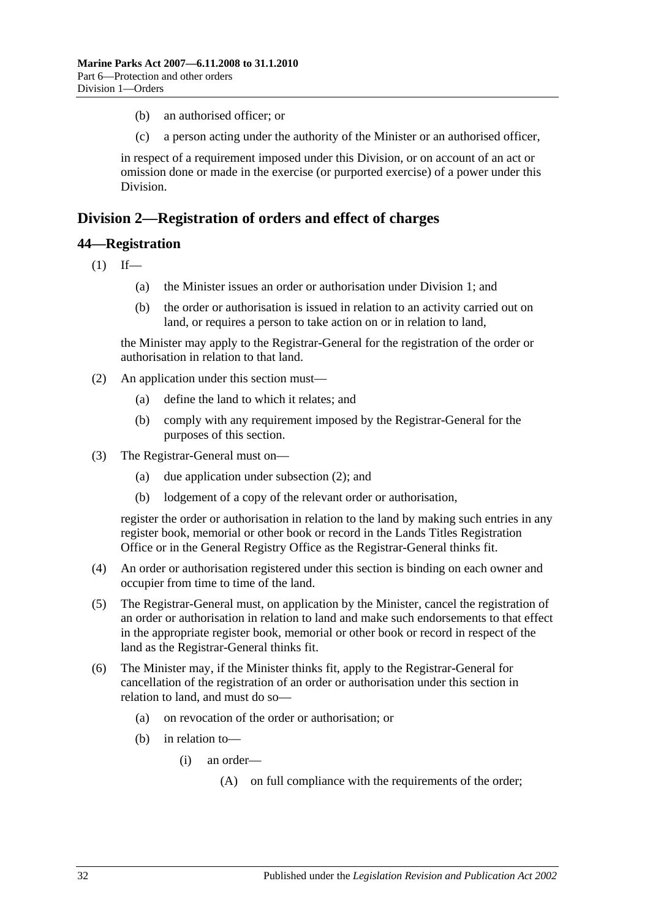- (b) an authorised officer; or
- (c) a person acting under the authority of the Minister or an authorised officer,

in respect of a requirement imposed under this Division, or on account of an act or omission done or made in the exercise (or purported exercise) of a power under this Division.

# <span id="page-31-0"></span>**Division 2—Registration of orders and effect of charges**

#### <span id="page-31-1"></span>**44—Registration**

 $(1)$  If—

- (a) the Minister issues an order or authorisation under [Division 1;](#page-26-1) and
- (b) the order or authorisation is issued in relation to an activity carried out on land, or requires a person to take action on or in relation to land,

the Minister may apply to the Registrar-General for the registration of the order or authorisation in relation to that land.

- <span id="page-31-2"></span>(2) An application under this section must—
	- (a) define the land to which it relates; and
	- (b) comply with any requirement imposed by the Registrar-General for the purposes of this section.
- (3) The Registrar-General must on—
	- (a) due application under [subsection](#page-31-2) (2); and
	- (b) lodgement of a copy of the relevant order or authorisation,

register the order or authorisation in relation to the land by making such entries in any register book, memorial or other book or record in the Lands Titles Registration Office or in the General Registry Office as the Registrar-General thinks fit.

- (4) An order or authorisation registered under this section is binding on each owner and occupier from time to time of the land.
- (5) The Registrar-General must, on application by the Minister, cancel the registration of an order or authorisation in relation to land and make such endorsements to that effect in the appropriate register book, memorial or other book or record in respect of the land as the Registrar-General thinks fit.
- (6) The Minister may, if the Minister thinks fit, apply to the Registrar-General for cancellation of the registration of an order or authorisation under this section in relation to land, and must do so—
	- (a) on revocation of the order or authorisation; or
	- (b) in relation to—
		- (i) an order—
			- (A) on full compliance with the requirements of the order;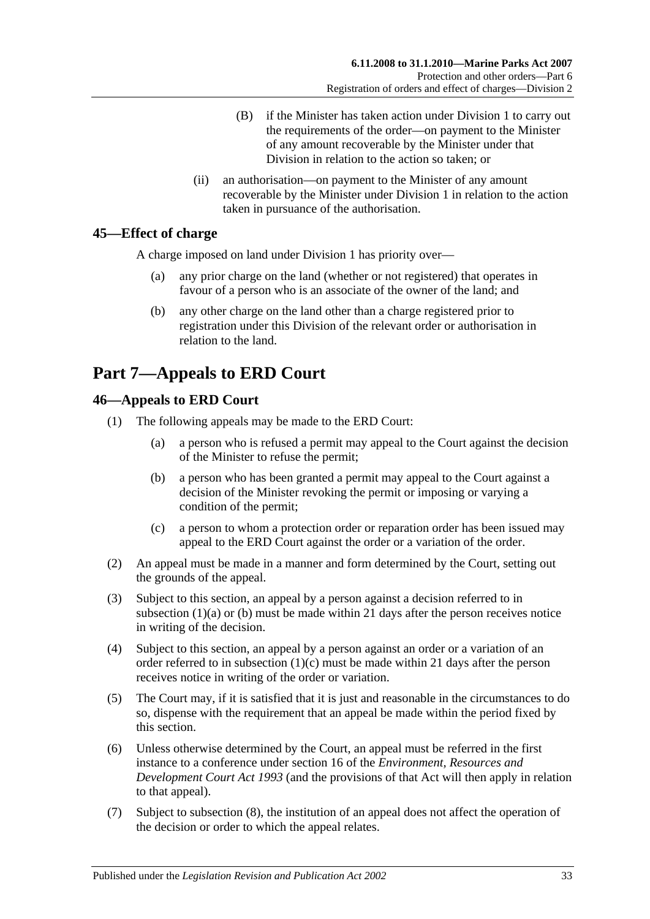- (B) if the Minister has taken action under [Division 1](#page-26-1) to carry out the requirements of the order—on payment to the Minister of any amount recoverable by the Minister under that Division in relation to the action so taken; or
- (ii) an authorisation—on payment to the Minister of any amount recoverable by the Minister under [Division 1](#page-26-1) in relation to the action taken in pursuance of the authorisation.

# <span id="page-32-0"></span>**45—Effect of charge**

A charge imposed on land under [Division 1](#page-26-1) has priority over—

- (a) any prior charge on the land (whether or not registered) that operates in favour of a person who is an associate of the owner of the land; and
- (b) any other charge on the land other than a charge registered prior to registration under this Division of the relevant order or authorisation in relation to the land.

# <span id="page-32-1"></span>**Part 7—Appeals to ERD Court**

# <span id="page-32-2"></span>**46—Appeals to ERD Court**

- <span id="page-32-4"></span><span id="page-32-3"></span>(1) The following appeals may be made to the ERD Court:
	- (a) a person who is refused a permit may appeal to the Court against the decision of the Minister to refuse the permit;
	- (b) a person who has been granted a permit may appeal to the Court against a decision of the Minister revoking the permit or imposing or varying a condition of the permit;
	- (c) a person to whom a protection order or reparation order has been issued may appeal to the ERD Court against the order or a variation of the order.
- <span id="page-32-5"></span>(2) An appeal must be made in a manner and form determined by the Court, setting out the grounds of the appeal.
- (3) Subject to this section, an appeal by a person against a decision referred to in [subsection](#page-32-3)  $(1)(a)$  or  $(b)$  must be made within 21 days after the person receives notice in writing of the decision.
- (4) Subject to this section, an appeal by a person against an order or a variation of an order referred to in [subsection](#page-32-5)  $(1)(c)$  must be made within 21 days after the person receives notice in writing of the order or variation.
- (5) The Court may, if it is satisfied that it is just and reasonable in the circumstances to do so, dispense with the requirement that an appeal be made within the period fixed by this section.
- (6) Unless otherwise determined by the Court, an appeal must be referred in the first instance to a conference under section 16 of the *[Environment, Resources and](http://www.legislation.sa.gov.au/index.aspx?action=legref&type=act&legtitle=Environment%20Resources%20and%20Development%20Court%20Act%201993)  [Development Court Act](http://www.legislation.sa.gov.au/index.aspx?action=legref&type=act&legtitle=Environment%20Resources%20and%20Development%20Court%20Act%201993) 1993* (and the provisions of that Act will then apply in relation to that appeal).
- (7) Subject to [subsection](#page-33-2) (8), the institution of an appeal does not affect the operation of the decision or order to which the appeal relates.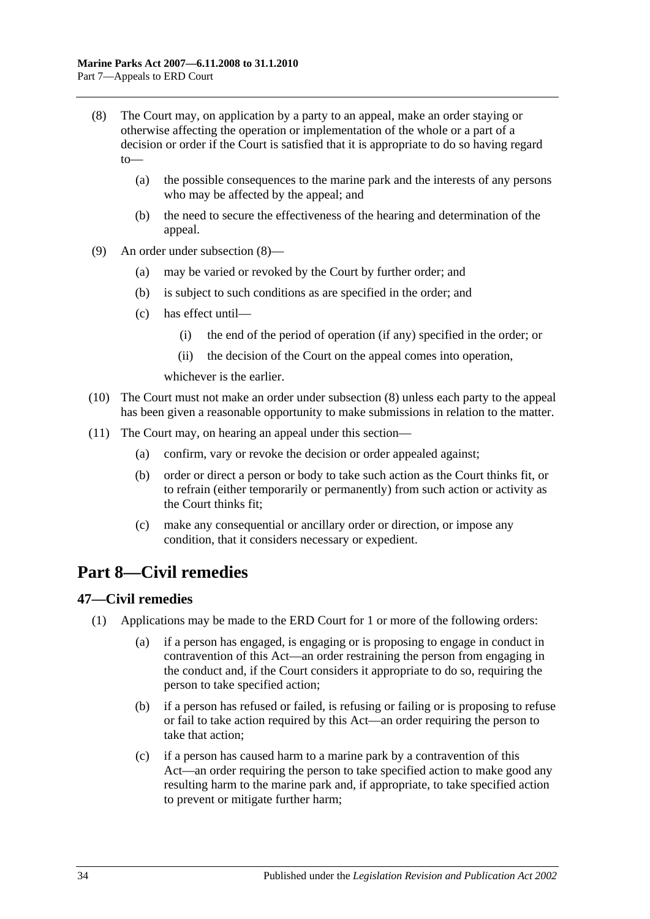- <span id="page-33-2"></span>(8) The Court may, on application by a party to an appeal, make an order staying or otherwise affecting the operation or implementation of the whole or a part of a decision or order if the Court is satisfied that it is appropriate to do so having regard to—
	- (a) the possible consequences to the marine park and the interests of any persons who may be affected by the appeal; and
	- (b) the need to secure the effectiveness of the hearing and determination of the appeal.
- (9) An order under [subsection](#page-33-2) (8)—
	- (a) may be varied or revoked by the Court by further order; and
	- (b) is subject to such conditions as are specified in the order; and
	- (c) has effect until—
		- (i) the end of the period of operation (if any) specified in the order; or
		- (ii) the decision of the Court on the appeal comes into operation,

whichever is the earlier.

- (10) The Court must not make an order under [subsection](#page-33-2) (8) unless each party to the appeal has been given a reasonable opportunity to make submissions in relation to the matter.
- (11) The Court may, on hearing an appeal under this section—
	- (a) confirm, vary or revoke the decision or order appealed against;
	- (b) order or direct a person or body to take such action as the Court thinks fit, or to refrain (either temporarily or permanently) from such action or activity as the Court thinks fit;
	- (c) make any consequential or ancillary order or direction, or impose any condition, that it considers necessary or expedient.

# <span id="page-33-0"></span>**Part 8—Civil remedies**

# <span id="page-33-3"></span><span id="page-33-1"></span>**47—Civil remedies**

- (1) Applications may be made to the ERD Court for 1 or more of the following orders:
	- (a) if a person has engaged, is engaging or is proposing to engage in conduct in contravention of this Act—an order restraining the person from engaging in the conduct and, if the Court considers it appropriate to do so, requiring the person to take specified action;
	- (b) if a person has refused or failed, is refusing or failing or is proposing to refuse or fail to take action required by this Act—an order requiring the person to take that action;
	- (c) if a person has caused harm to a marine park by a contravention of this Act—an order requiring the person to take specified action to make good any resulting harm to the marine park and, if appropriate, to take specified action to prevent or mitigate further harm;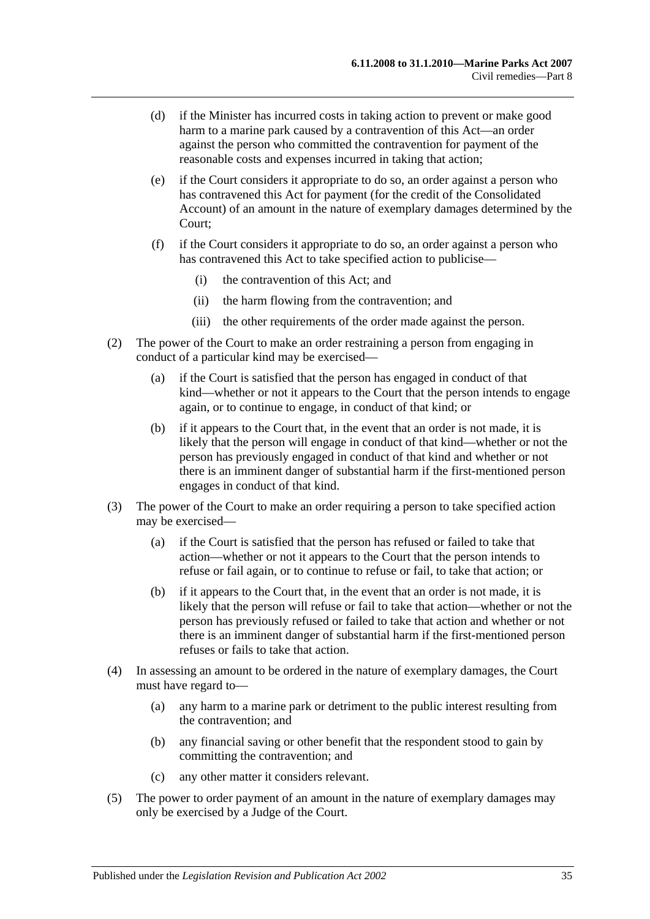- (d) if the Minister has incurred costs in taking action to prevent or make good harm to a marine park caused by a contravention of this Act—an order against the person who committed the contravention for payment of the reasonable costs and expenses incurred in taking that action;
- (e) if the Court considers it appropriate to do so, an order against a person who has contravened this Act for payment (for the credit of the Consolidated Account) of an amount in the nature of exemplary damages determined by the Court;
- (f) if the Court considers it appropriate to do so, an order against a person who has contravened this Act to take specified action to publicise—
	- (i) the contravention of this Act; and
	- (ii) the harm flowing from the contravention; and
	- (iii) the other requirements of the order made against the person.
- (2) The power of the Court to make an order restraining a person from engaging in conduct of a particular kind may be exercised—
	- (a) if the Court is satisfied that the person has engaged in conduct of that kind—whether or not it appears to the Court that the person intends to engage again, or to continue to engage, in conduct of that kind; or
	- (b) if it appears to the Court that, in the event that an order is not made, it is likely that the person will engage in conduct of that kind—whether or not the person has previously engaged in conduct of that kind and whether or not there is an imminent danger of substantial harm if the first-mentioned person engages in conduct of that kind.
- (3) The power of the Court to make an order requiring a person to take specified action may be exercised—
	- (a) if the Court is satisfied that the person has refused or failed to take that action—whether or not it appears to the Court that the person intends to refuse or fail again, or to continue to refuse or fail, to take that action; or
	- (b) if it appears to the Court that, in the event that an order is not made, it is likely that the person will refuse or fail to take that action—whether or not the person has previously refused or failed to take that action and whether or not there is an imminent danger of substantial harm if the first-mentioned person refuses or fails to take that action.
- (4) In assessing an amount to be ordered in the nature of exemplary damages, the Court must have regard to—
	- (a) any harm to a marine park or detriment to the public interest resulting from the contravention; and
	- (b) any financial saving or other benefit that the respondent stood to gain by committing the contravention; and
	- (c) any other matter it considers relevant.
- (5) The power to order payment of an amount in the nature of exemplary damages may only be exercised by a Judge of the Court.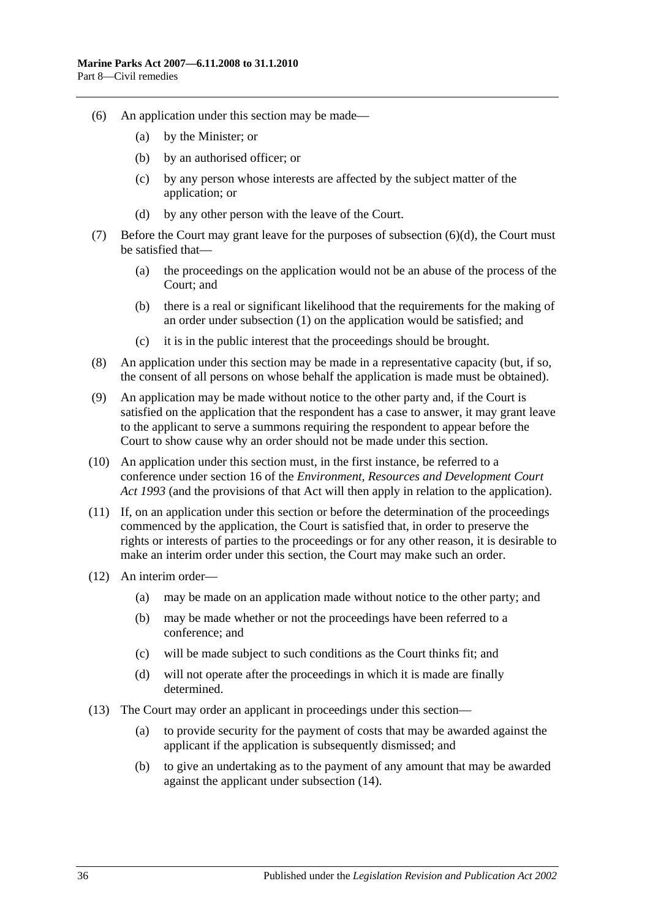- (6) An application under this section may be made—
	- (a) by the Minister; or
	- (b) by an authorised officer; or
	- (c) by any person whose interests are affected by the subject matter of the application; or
	- (d) by any other person with the leave of the Court.
- <span id="page-35-0"></span>(7) Before the Court may grant leave for the purposes of [subsection](#page-35-0) (6)(d), the Court must be satisfied that—
	- (a) the proceedings on the application would not be an abuse of the process of the Court; and
	- (b) there is a real or significant likelihood that the requirements for the making of an order under [subsection](#page-33-3) (1) on the application would be satisfied; and
	- (c) it is in the public interest that the proceedings should be brought.
- (8) An application under this section may be made in a representative capacity (but, if so, the consent of all persons on whose behalf the application is made must be obtained).
- (9) An application may be made without notice to the other party and, if the Court is satisfied on the application that the respondent has a case to answer, it may grant leave to the applicant to serve a summons requiring the respondent to appear before the Court to show cause why an order should not be made under this section.
- (10) An application under this section must, in the first instance, be referred to a conference under section 16 of the *[Environment, Resources and Development Court](http://www.legislation.sa.gov.au/index.aspx?action=legref&type=act&legtitle=Environment%20Resources%20and%20Development%20Court%20Act%201993)  Act [1993](http://www.legislation.sa.gov.au/index.aspx?action=legref&type=act&legtitle=Environment%20Resources%20and%20Development%20Court%20Act%201993)* (and the provisions of that Act will then apply in relation to the application).
- (11) If, on an application under this section or before the determination of the proceedings commenced by the application, the Court is satisfied that, in order to preserve the rights or interests of parties to the proceedings or for any other reason, it is desirable to make an interim order under this section, the Court may make such an order.
- (12) An interim order—
	- (a) may be made on an application made without notice to the other party; and
	- (b) may be made whether or not the proceedings have been referred to a conference; and
	- (c) will be made subject to such conditions as the Court thinks fit; and
	- (d) will not operate after the proceedings in which it is made are finally determined.
- (13) The Court may order an applicant in proceedings under this section—
	- (a) to provide security for the payment of costs that may be awarded against the applicant if the application is subsequently dismissed; and
	- (b) to give an undertaking as to the payment of any amount that may be awarded against the applicant under [subsection](#page-36-2) (14).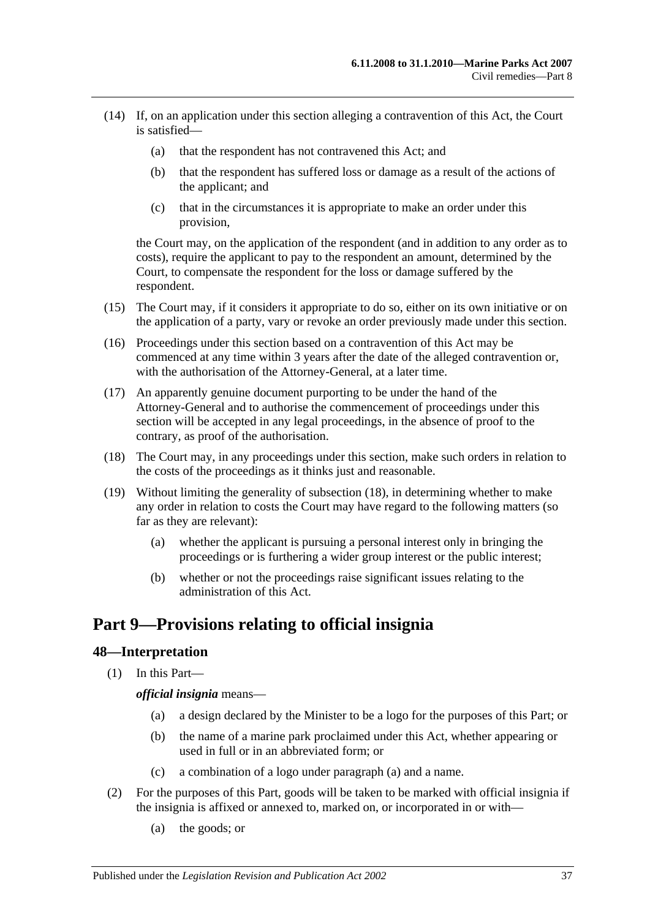- <span id="page-36-2"></span>(14) If, on an application under this section alleging a contravention of this Act, the Court is satisfied—
	- (a) that the respondent has not contravened this Act; and
	- (b) that the respondent has suffered loss or damage as a result of the actions of the applicant; and
	- (c) that in the circumstances it is appropriate to make an order under this provision,

the Court may, on the application of the respondent (and in addition to any order as to costs), require the applicant to pay to the respondent an amount, determined by the Court, to compensate the respondent for the loss or damage suffered by the respondent.

- (15) The Court may, if it considers it appropriate to do so, either on its own initiative or on the application of a party, vary or revoke an order previously made under this section.
- (16) Proceedings under this section based on a contravention of this Act may be commenced at any time within 3 years after the date of the alleged contravention or, with the authorisation of the Attorney-General, at a later time.
- (17) An apparently genuine document purporting to be under the hand of the Attorney-General and to authorise the commencement of proceedings under this section will be accepted in any legal proceedings, in the absence of proof to the contrary, as proof of the authorisation.
- <span id="page-36-3"></span>(18) The Court may, in any proceedings under this section, make such orders in relation to the costs of the proceedings as it thinks just and reasonable.
- (19) Without limiting the generality of [subsection](#page-36-3) (18), in determining whether to make any order in relation to costs the Court may have regard to the following matters (so far as they are relevant):
	- (a) whether the applicant is pursuing a personal interest only in bringing the proceedings or is furthering a wider group interest or the public interest;
	- (b) whether or not the proceedings raise significant issues relating to the administration of this Act.

# <span id="page-36-0"></span>**Part 9—Provisions relating to official insignia**

# <span id="page-36-1"></span>**48—Interpretation**

<span id="page-36-4"></span>(1) In this Part—

*official insignia* means—

- (a) a design declared by the Minister to be a logo for the purposes of this Part; or
- (b) the name of a marine park proclaimed under this Act, whether appearing or used in full or in an abbreviated form; or
- (c) a combination of a logo under [paragraph](#page-36-4) (a) and a name.
- (2) For the purposes of this Part, goods will be taken to be marked with official insignia if the insignia is affixed or annexed to, marked on, or incorporated in or with—
	- (a) the goods; or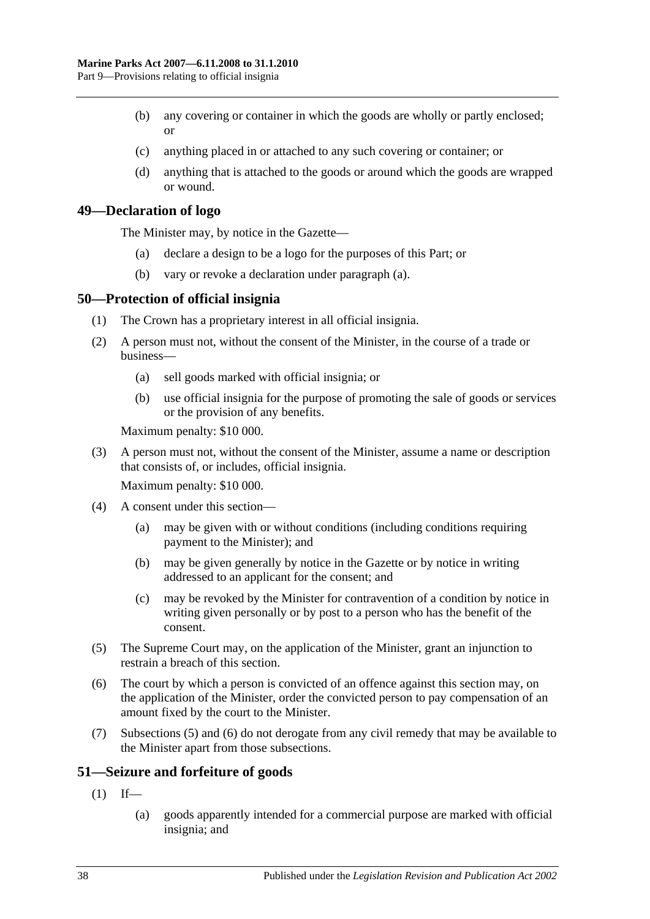- (b) any covering or container in which the goods are wholly or partly enclosed; or
- (c) anything placed in or attached to any such covering or container; or
- (d) anything that is attached to the goods or around which the goods are wrapped or wound.

#### <span id="page-37-3"></span><span id="page-37-0"></span>**49—Declaration of logo**

The Minister may, by notice in the Gazette—

- (a) declare a design to be a logo for the purposes of this Part; or
- (b) vary or revoke a declaration under [paragraph](#page-37-3) (a).

#### <span id="page-37-1"></span>**50—Protection of official insignia**

- (1) The Crown has a proprietary interest in all official insignia.
- <span id="page-37-6"></span>(2) A person must not, without the consent of the Minister, in the course of a trade or business—
	- (a) sell goods marked with official insignia; or
	- (b) use official insignia for the purpose of promoting the sale of goods or services or the provision of any benefits.

Maximum penalty: \$10 000.

(3) A person must not, without the consent of the Minister, assume a name or description that consists of, or includes, official insignia.

Maximum penalty: \$10 000.

- (4) A consent under this section—
	- (a) may be given with or without conditions (including conditions requiring payment to the Minister); and
	- (b) may be given generally by notice in the Gazette or by notice in writing addressed to an applicant for the consent; and
	- (c) may be revoked by the Minister for contravention of a condition by notice in writing given personally or by post to a person who has the benefit of the consent.
- <span id="page-37-4"></span>(5) The Supreme Court may, on the application of the Minister, grant an injunction to restrain a breach of this section.
- <span id="page-37-5"></span>(6) The court by which a person is convicted of an offence against this section may, on the application of the Minister, order the convicted person to pay compensation of an amount fixed by the court to the Minister.
- (7) [Subsections](#page-37-4) (5) and [\(6\)](#page-37-5) do not derogate from any civil remedy that may be available to the Minister apart from those subsections.

# <span id="page-37-2"></span>**51—Seizure and forfeiture of goods**

- $(1)$  If—
	- (a) goods apparently intended for a commercial purpose are marked with official insignia; and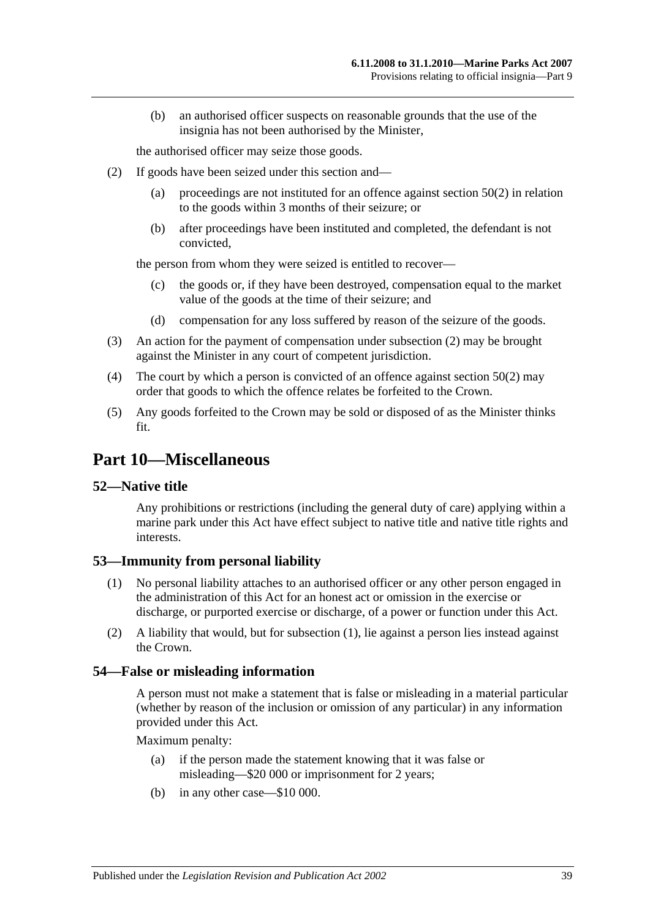(b) an authorised officer suspects on reasonable grounds that the use of the insignia has not been authorised by the Minister,

the authorised officer may seize those goods.

- <span id="page-38-4"></span>(2) If goods have been seized under this section and—
	- (a) proceedings are not instituted for an offence against [section](#page-37-6) 50(2) in relation to the goods within 3 months of their seizure; or
	- (b) after proceedings have been instituted and completed, the defendant is not convicted,

the person from whom they were seized is entitled to recover—

- (c) the goods or, if they have been destroyed, compensation equal to the market value of the goods at the time of their seizure; and
- (d) compensation for any loss suffered by reason of the seizure of the goods.
- (3) An action for the payment of compensation under [subsection](#page-38-4) (2) may be brought against the Minister in any court of competent jurisdiction.
- (4) The court by which a person is convicted of an offence against [section](#page-37-6) 50(2) may order that goods to which the offence relates be forfeited to the Crown.
- (5) Any goods forfeited to the Crown may be sold or disposed of as the Minister thinks fit.

# <span id="page-38-0"></span>**Part 10—Miscellaneous**

#### <span id="page-38-1"></span>**52—Native title**

Any prohibitions or restrictions (including the general duty of care) applying within a marine park under this Act have effect subject to native title and native title rights and interests.

# <span id="page-38-5"></span><span id="page-38-2"></span>**53—Immunity from personal liability**

- (1) No personal liability attaches to an authorised officer or any other person engaged in the administration of this Act for an honest act or omission in the exercise or discharge, or purported exercise or discharge, of a power or function under this Act.
- (2) A liability that would, but for [subsection](#page-38-5) (1), lie against a person lies instead against the Crown.

#### <span id="page-38-3"></span>**54—False or misleading information**

A person must not make a statement that is false or misleading in a material particular (whether by reason of the inclusion or omission of any particular) in any information provided under this Act.

Maximum penalty:

- (a) if the person made the statement knowing that it was false or misleading—\$20 000 or imprisonment for 2 years;
- (b) in any other case—\$10 000.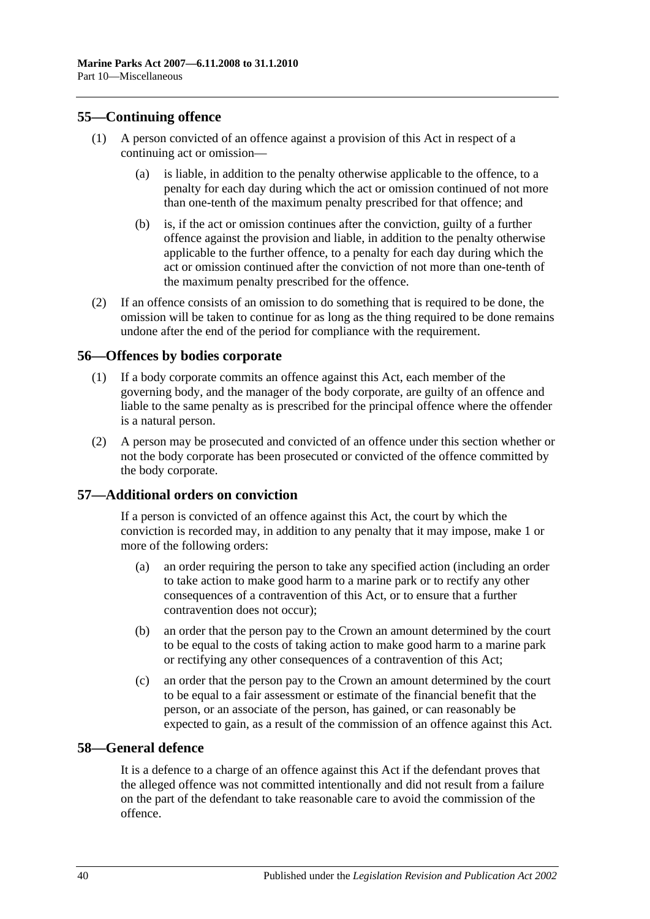# <span id="page-39-0"></span>**55—Continuing offence**

- (1) A person convicted of an offence against a provision of this Act in respect of a continuing act or omission—
	- (a) is liable, in addition to the penalty otherwise applicable to the offence, to a penalty for each day during which the act or omission continued of not more than one-tenth of the maximum penalty prescribed for that offence; and
	- (b) is, if the act or omission continues after the conviction, guilty of a further offence against the provision and liable, in addition to the penalty otherwise applicable to the further offence, to a penalty for each day during which the act or omission continued after the conviction of not more than one-tenth of the maximum penalty prescribed for the offence.
- (2) If an offence consists of an omission to do something that is required to be done, the omission will be taken to continue for as long as the thing required to be done remains undone after the end of the period for compliance with the requirement.

#### <span id="page-39-1"></span>**56—Offences by bodies corporate**

- (1) If a body corporate commits an offence against this Act, each member of the governing body, and the manager of the body corporate, are guilty of an offence and liable to the same penalty as is prescribed for the principal offence where the offender is a natural person.
- (2) A person may be prosecuted and convicted of an offence under this section whether or not the body corporate has been prosecuted or convicted of the offence committed by the body corporate.

# <span id="page-39-2"></span>**57—Additional orders on conviction**

If a person is convicted of an offence against this Act, the court by which the conviction is recorded may, in addition to any penalty that it may impose, make 1 or more of the following orders:

- (a) an order requiring the person to take any specified action (including an order to take action to make good harm to a marine park or to rectify any other consequences of a contravention of this Act, or to ensure that a further contravention does not occur);
- (b) an order that the person pay to the Crown an amount determined by the court to be equal to the costs of taking action to make good harm to a marine park or rectifying any other consequences of a contravention of this Act;
- (c) an order that the person pay to the Crown an amount determined by the court to be equal to a fair assessment or estimate of the financial benefit that the person, or an associate of the person, has gained, or can reasonably be expected to gain, as a result of the commission of an offence against this Act.

#### <span id="page-39-3"></span>**58—General defence**

It is a defence to a charge of an offence against this Act if the defendant proves that the alleged offence was not committed intentionally and did not result from a failure on the part of the defendant to take reasonable care to avoid the commission of the offence.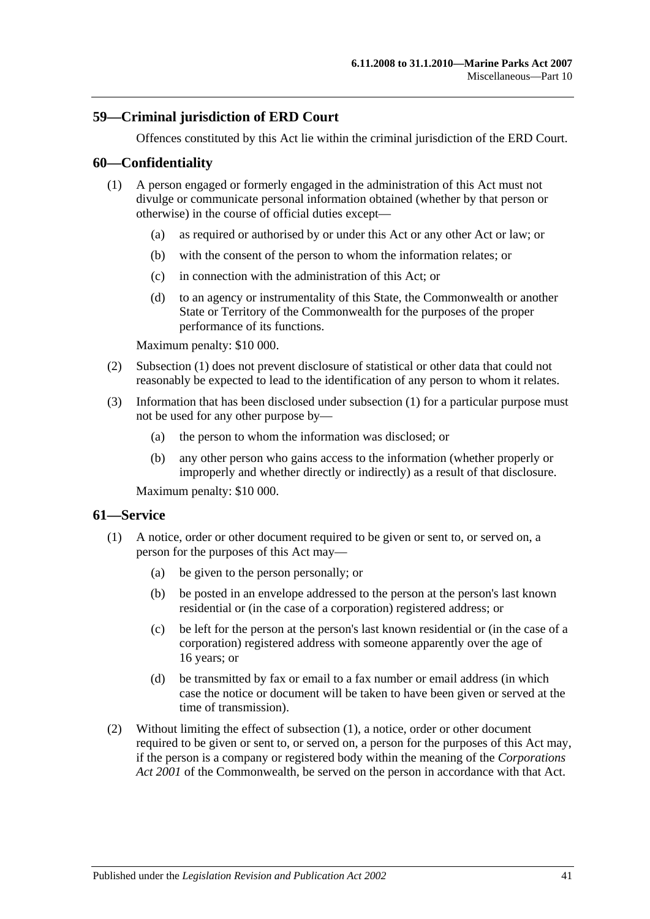# <span id="page-40-0"></span>**59—Criminal jurisdiction of ERD Court**

Offences constituted by this Act lie within the criminal jurisdiction of the ERD Court.

#### <span id="page-40-3"></span><span id="page-40-1"></span>**60—Confidentiality**

- (1) A person engaged or formerly engaged in the administration of this Act must not divulge or communicate personal information obtained (whether by that person or otherwise) in the course of official duties except—
	- (a) as required or authorised by or under this Act or any other Act or law; or
	- (b) with the consent of the person to whom the information relates; or
	- (c) in connection with the administration of this Act; or
	- (d) to an agency or instrumentality of this State, the Commonwealth or another State or Territory of the Commonwealth for the purposes of the proper performance of its functions.

Maximum penalty: \$10 000.

- (2) [Subsection](#page-40-3) (1) does not prevent disclosure of statistical or other data that could not reasonably be expected to lead to the identification of any person to whom it relates.
- (3) Information that has been disclosed under [subsection](#page-40-3) (1) for a particular purpose must not be used for any other purpose by—
	- (a) the person to whom the information was disclosed; or
	- (b) any other person who gains access to the information (whether properly or improperly and whether directly or indirectly) as a result of that disclosure.

Maximum penalty: \$10 000.

# <span id="page-40-4"></span><span id="page-40-2"></span>**61—Service**

- (1) A notice, order or other document required to be given or sent to, or served on, a person for the purposes of this Act may—
	- (a) be given to the person personally; or
	- (b) be posted in an envelope addressed to the person at the person's last known residential or (in the case of a corporation) registered address; or
	- (c) be left for the person at the person's last known residential or (in the case of a corporation) registered address with someone apparently over the age of 16 years; or
	- (d) be transmitted by fax or email to a fax number or email address (in which case the notice or document will be taken to have been given or served at the time of transmission).
- (2) Without limiting the effect of [subsection](#page-40-4) (1), a notice, order or other document required to be given or sent to, or served on, a person for the purposes of this Act may, if the person is a company or registered body within the meaning of the *Corporations Act 2001* of the Commonwealth, be served on the person in accordance with that Act.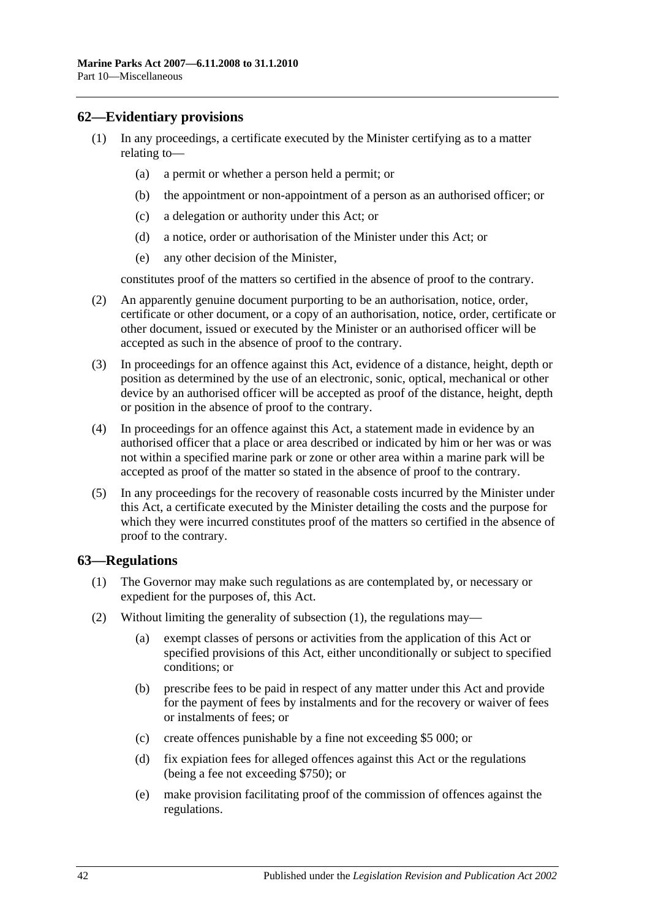# <span id="page-41-0"></span>**62—Evidentiary provisions**

- (1) In any proceedings, a certificate executed by the Minister certifying as to a matter relating to—
	- (a) a permit or whether a person held a permit; or
	- (b) the appointment or non-appointment of a person as an authorised officer; or
	- (c) a delegation or authority under this Act; or
	- (d) a notice, order or authorisation of the Minister under this Act; or
	- (e) any other decision of the Minister,

constitutes proof of the matters so certified in the absence of proof to the contrary.

- (2) An apparently genuine document purporting to be an authorisation, notice, order, certificate or other document, or a copy of an authorisation, notice, order, certificate or other document, issued or executed by the Minister or an authorised officer will be accepted as such in the absence of proof to the contrary.
- (3) In proceedings for an offence against this Act, evidence of a distance, height, depth or position as determined by the use of an electronic, sonic, optical, mechanical or other device by an authorised officer will be accepted as proof of the distance, height, depth or position in the absence of proof to the contrary.
- (4) In proceedings for an offence against this Act, a statement made in evidence by an authorised officer that a place or area described or indicated by him or her was or was not within a specified marine park or zone or other area within a marine park will be accepted as proof of the matter so stated in the absence of proof to the contrary.
- (5) In any proceedings for the recovery of reasonable costs incurred by the Minister under this Act, a certificate executed by the Minister detailing the costs and the purpose for which they were incurred constitutes proof of the matters so certified in the absence of proof to the contrary.

# <span id="page-41-2"></span><span id="page-41-1"></span>**63—Regulations**

- (1) The Governor may make such regulations as are contemplated by, or necessary or expedient for the purposes of, this Act.
- (2) Without limiting the generality of [subsection](#page-41-2) (1), the regulations may—
	- (a) exempt classes of persons or activities from the application of this Act or specified provisions of this Act, either unconditionally or subject to specified conditions; or
	- (b) prescribe fees to be paid in respect of any matter under this Act and provide for the payment of fees by instalments and for the recovery or waiver of fees or instalments of fees; or
	- (c) create offences punishable by a fine not exceeding \$5 000; or
	- (d) fix expiation fees for alleged offences against this Act or the regulations (being a fee not exceeding \$750); or
	- (e) make provision facilitating proof of the commission of offences against the regulations.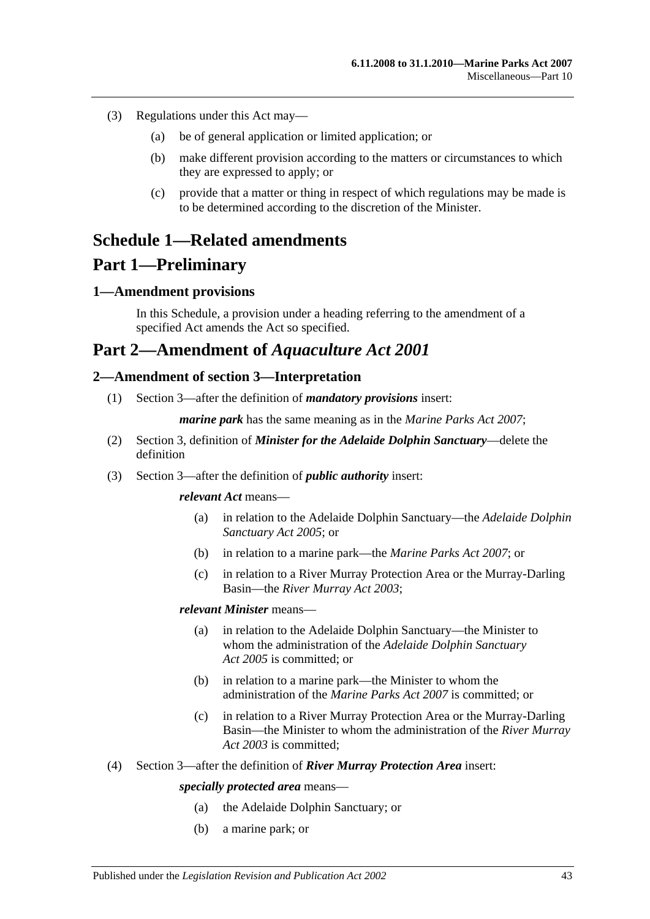- (3) Regulations under this Act may—
	- (a) be of general application or limited application; or
	- (b) make different provision according to the matters or circumstances to which they are expressed to apply; or
	- (c) provide that a matter or thing in respect of which regulations may be made is to be determined according to the discretion of the Minister.

# <span id="page-42-0"></span>**Schedule 1—Related amendments**

# **Part 1—Preliminary**

# <span id="page-42-1"></span>**1—Amendment provisions**

In this Schedule, a provision under a heading referring to the amendment of a specified Act amends the Act so specified.

# **Part 2—Amendment of** *Aquaculture Act 2001*

# <span id="page-42-2"></span>**2—Amendment of section 3—Interpretation**

(1) Section 3—after the definition of *mandatory provisions* insert:

*marine park* has the same meaning as in the *[Marine Parks Act 2007](http://www.legislation.sa.gov.au/index.aspx?action=legref&type=act&legtitle=Marine%20Parks%20Act%202007)*;

- (2) Section 3, definition of *Minister for the Adelaide Dolphin Sanctuary*—delete the definition
- (3) Section 3—after the definition of *public authority* insert:

#### *relevant Act* means—

- (a) in relation to the Adelaide Dolphin Sanctuary—the *[Adelaide Dolphin](http://www.legislation.sa.gov.au/index.aspx?action=legref&type=act&legtitle=Adelaide%20Dolphin%20Sanctuary%20Act%202005)  [Sanctuary Act](http://www.legislation.sa.gov.au/index.aspx?action=legref&type=act&legtitle=Adelaide%20Dolphin%20Sanctuary%20Act%202005) 2005*; or
- (b) in relation to a marine park—the *[Marine Parks Act 2007](http://www.legislation.sa.gov.au/index.aspx?action=legref&type=act&legtitle=Marine%20Parks%20Act%202007)*; or
- (c) in relation to a River Murray Protection Area or the Murray-Darling Basin—the *[River Murray Act](http://www.legislation.sa.gov.au/index.aspx?action=legref&type=act&legtitle=River%20Murray%20Act%202003) 2003*;

#### *relevant Minister* means—

- (a) in relation to the Adelaide Dolphin Sanctuary—the Minister to whom the administration of the *[Adelaide Dolphin Sanctuary](http://www.legislation.sa.gov.au/index.aspx?action=legref&type=act&legtitle=Adelaide%20Dolphin%20Sanctuary%20Act%202005)  Act [2005](http://www.legislation.sa.gov.au/index.aspx?action=legref&type=act&legtitle=Adelaide%20Dolphin%20Sanctuary%20Act%202005)* is committed; or
- (b) in relation to a marine park—the Minister to whom the administration of the *[Marine Parks Act](http://www.legislation.sa.gov.au/index.aspx?action=legref&type=act&legtitle=Marine%20Parks%20Act%202007) 2007* is committed; or
- (c) in relation to a River Murray Protection Area or the Murray-Darling Basin—the Minister to whom the administration of the *[River Murray](http://www.legislation.sa.gov.au/index.aspx?action=legref&type=act&legtitle=River%20Murray%20Act%202003)  Act [2003](http://www.legislation.sa.gov.au/index.aspx?action=legref&type=act&legtitle=River%20Murray%20Act%202003)* is committed;
- (4) Section 3—after the definition of *River Murray Protection Area* insert:

#### *specially protected area* means—

- (a) the Adelaide Dolphin Sanctuary; or
- (b) a marine park; or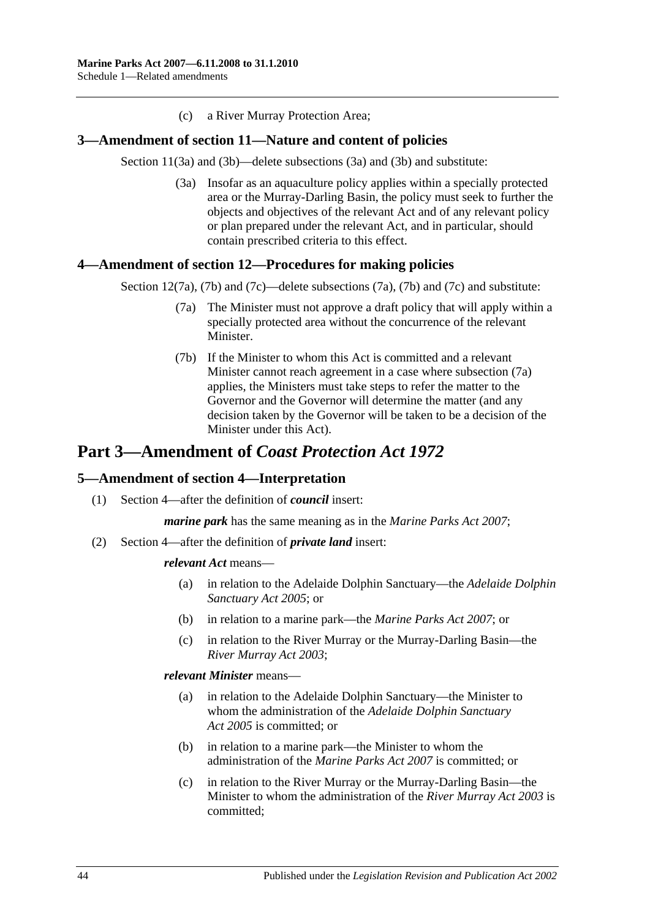(c) a River Murray Protection Area;

#### <span id="page-43-0"></span>**3—Amendment of section 11—Nature and content of policies**

Section 11(3a) and (3b)—delete subsections (3a) and (3b) and substitute:

(3a) Insofar as an aquaculture policy applies within a specially protected area or the Murray-Darling Basin, the policy must seek to further the objects and objectives of the relevant Act and of any relevant policy or plan prepared under the relevant Act, and in particular, should contain prescribed criteria to this effect.

#### <span id="page-43-3"></span><span id="page-43-1"></span>**4—Amendment of section 12—Procedures for making policies**

Section 12(7a), (7b) and (7c)—delete subsections (7a), (7b) and (7c) and substitute:

- (7a) The Minister must not approve a draft policy that will apply within a specially protected area without the concurrence of the relevant Minister.
- (7b) If the Minister to whom this Act is committed and a relevant Minister cannot reach agreement in a case where [subsection](#page-43-3) (7a) applies, the Ministers must take steps to refer the matter to the Governor and the Governor will determine the matter (and any decision taken by the Governor will be taken to be a decision of the Minister under this Act).

# **Part 3—Amendment of** *Coast Protection Act 1972*

#### <span id="page-43-2"></span>**5—Amendment of section 4—Interpretation**

(1) Section 4—after the definition of *council* insert:

*marine park* has the same meaning as in the *[Marine Parks Act 2007](http://www.legislation.sa.gov.au/index.aspx?action=legref&type=act&legtitle=Marine%20Parks%20Act%202007)*;

(2) Section 4—after the definition of *private land* insert:

#### *relevant Act* means—

- (a) in relation to the Adelaide Dolphin Sanctuary—the *[Adelaide Dolphin](http://www.legislation.sa.gov.au/index.aspx?action=legref&type=act&legtitle=Adelaide%20Dolphin%20Sanctuary%20Act%202005)  [Sanctuary Act](http://www.legislation.sa.gov.au/index.aspx?action=legref&type=act&legtitle=Adelaide%20Dolphin%20Sanctuary%20Act%202005) 2005*; or
- (b) in relation to a marine park—the *[Marine Parks Act 2007](http://www.legislation.sa.gov.au/index.aspx?action=legref&type=act&legtitle=Marine%20Parks%20Act%202007)*; or
- (c) in relation to the River Murray or the Murray-Darling Basin—the *[River Murray Act](http://www.legislation.sa.gov.au/index.aspx?action=legref&type=act&legtitle=River%20Murray%20Act%202003) 2003*;

#### *relevant Minister* means—

- (a) in relation to the Adelaide Dolphin Sanctuary—the Minister to whom the administration of the *[Adelaide Dolphin Sanctuary](http://www.legislation.sa.gov.au/index.aspx?action=legref&type=act&legtitle=Adelaide%20Dolphin%20Sanctuary%20Act%202005)  Act [2005](http://www.legislation.sa.gov.au/index.aspx?action=legref&type=act&legtitle=Adelaide%20Dolphin%20Sanctuary%20Act%202005)* is committed; or
- (b) in relation to a marine park—the Minister to whom the administration of the *[Marine Parks Act](http://www.legislation.sa.gov.au/index.aspx?action=legref&type=act&legtitle=Marine%20Parks%20Act%202007) 2007* is committed; or
- (c) in relation to the River Murray or the Murray-Darling Basin—the Minister to whom the administration of the *[River Murray Act](http://www.legislation.sa.gov.au/index.aspx?action=legref&type=act&legtitle=River%20Murray%20Act%202003) 2003* is committed;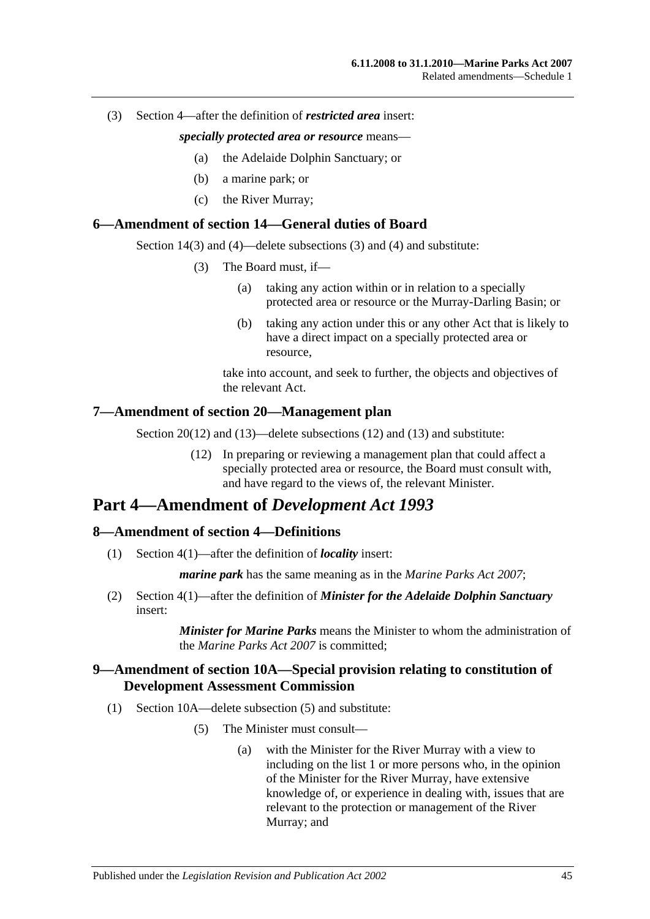#### (3) Section 4—after the definition of *restricted area* insert:

#### *specially protected area or resource* means—

- (a) the Adelaide Dolphin Sanctuary; or
- (b) a marine park; or
- (c) the River Murray;

#### <span id="page-44-0"></span>**6—Amendment of section 14—General duties of Board**

Section 14(3) and (4)—delete subsections (3) and (4) and substitute:

- (3) The Board must, if—
	- (a) taking any action within or in relation to a specially protected area or resource or the Murray-Darling Basin; or
	- (b) taking any action under this or any other Act that is likely to have a direct impact on a specially protected area or resource,

take into account, and seek to further, the objects and objectives of the relevant Act.

#### <span id="page-44-1"></span>**7—Amendment of section 20—Management plan**

Section 20(12) and (13)—delete subsections (12) and (13) and substitute:

(12) In preparing or reviewing a management plan that could affect a specially protected area or resource, the Board must consult with, and have regard to the views of, the relevant Minister.

# **Part 4—Amendment of** *Development Act 1993*

# <span id="page-44-2"></span>**8—Amendment of section 4—Definitions**

(1) Section 4(1)—after the definition of *locality* insert:

*marine park* has the same meaning as in the *[Marine Parks Act 2007](http://www.legislation.sa.gov.au/index.aspx?action=legref&type=act&legtitle=Marine%20Parks%20Act%202007)*;

(2) Section 4(1)—after the definition of *Minister for the Adelaide Dolphin Sanctuary* insert:

> *Minister for Marine Parks* means the Minister to whom the administration of the *[Marine Parks Act 2007](http://www.legislation.sa.gov.au/index.aspx?action=legref&type=act&legtitle=Marine%20Parks%20Act%202007)* is committed;

#### <span id="page-44-3"></span>**9—Amendment of section 10A—Special provision relating to constitution of Development Assessment Commission**

- (1) Section 10A—delete subsection (5) and substitute:
	- (5) The Minister must consult—
		- (a) with the Minister for the River Murray with a view to including on the list 1 or more persons who, in the opinion of the Minister for the River Murray, have extensive knowledge of, or experience in dealing with, issues that are relevant to the protection or management of the River Murray; and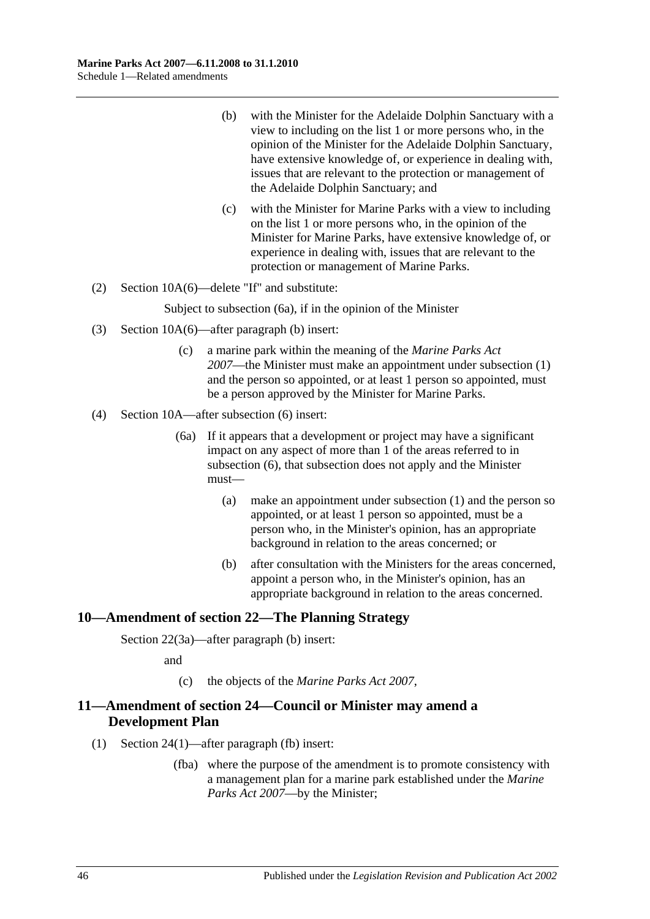- (b) with the Minister for the Adelaide Dolphin Sanctuary with a view to including on the list 1 or more persons who, in the opinion of the Minister for the Adelaide Dolphin Sanctuary, have extensive knowledge of, or experience in dealing with, issues that are relevant to the protection or management of the Adelaide Dolphin Sanctuary; and
- (c) with the Minister for Marine Parks with a view to including on the list 1 or more persons who, in the opinion of the Minister for Marine Parks, have extensive knowledge of, or experience in dealing with, issues that are relevant to the protection or management of Marine Parks.
- (2) Section 10A(6)—delete "If" and substitute:

Subject to subsection (6a), if in the opinion of the Minister

- (3) Section 10A(6)—after paragraph (b) insert:
	- (c) a marine park within the meaning of the *[Marine Parks Act](http://www.legislation.sa.gov.au/index.aspx?action=legref&type=act&legtitle=Marine%20Parks%20Act%202007)  [2007](http://www.legislation.sa.gov.au/index.aspx?action=legref&type=act&legtitle=Marine%20Parks%20Act%202007)*—the Minister must make an appointment under subsection (1) and the person so appointed, or at least 1 person so appointed, must be a person approved by the Minister for Marine Parks.
- (4) Section 10A—after subsection (6) insert:
	- (6a) If it appears that a development or project may have a significant impact on any aspect of more than 1 of the areas referred to in subsection (6), that subsection does not apply and the Minister must—
		- (a) make an appointment under subsection (1) and the person so appointed, or at least 1 person so appointed, must be a person who, in the Minister's opinion, has an appropriate background in relation to the areas concerned; or
		- (b) after consultation with the Ministers for the areas concerned, appoint a person who, in the Minister's opinion, has an appropriate background in relation to the areas concerned.

# <span id="page-45-0"></span>**10—Amendment of section 22—The Planning Strategy**

Section 22(3a)—after paragraph (b) insert:

and

(c) the objects of the *[Marine Parks Act](http://www.legislation.sa.gov.au/index.aspx?action=legref&type=act&legtitle=Marine%20Parks%20Act%202007) 2007*,

# <span id="page-45-1"></span>**11—Amendment of section 24—Council or Minister may amend a Development Plan**

- (1) Section 24(1)—after paragraph (fb) insert:
	- (fba) where the purpose of the amendment is to promote consistency with a management plan for a marine park established under the *[Marine](http://www.legislation.sa.gov.au/index.aspx?action=legref&type=act&legtitle=Marine%20Parks%20Act%202007)  [Parks Act 2007](http://www.legislation.sa.gov.au/index.aspx?action=legref&type=act&legtitle=Marine%20Parks%20Act%202007)*—by the Minister;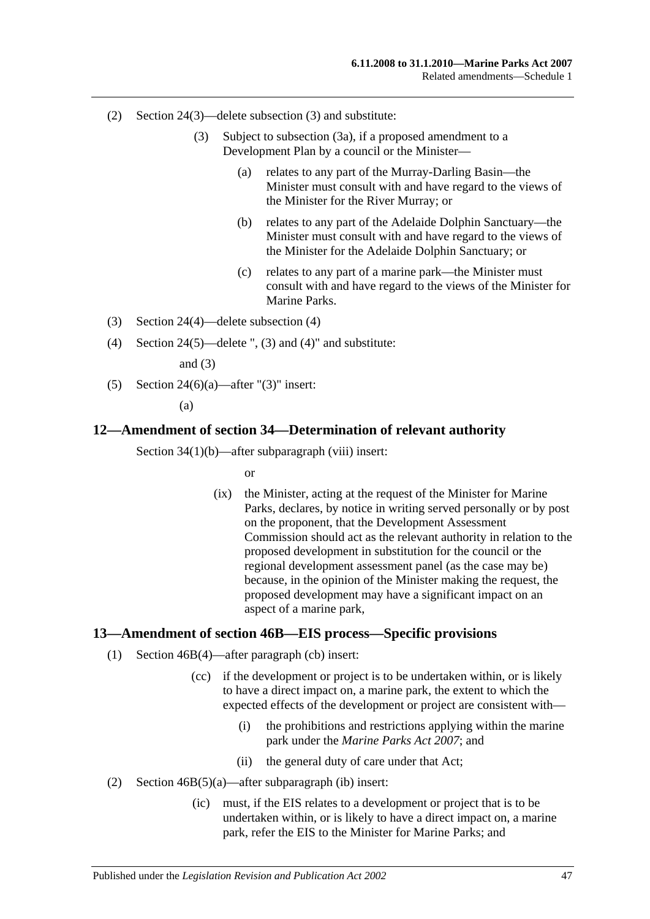- (2) Section 24(3)—delete subsection (3) and substitute:
	- (3) Subject to subsection (3a), if a proposed amendment to a Development Plan by a council or the Minister—
		- (a) relates to any part of the Murray-Darling Basin—the Minister must consult with and have regard to the views of the Minister for the River Murray; or
		- (b) relates to any part of the Adelaide Dolphin Sanctuary—the Minister must consult with and have regard to the views of the Minister for the Adelaide Dolphin Sanctuary; or
		- (c) relates to any part of a marine park—the Minister must consult with and have regard to the views of the Minister for Marine Parks.
- (3) Section 24(4)—delete subsection (4)
- (4) Section 24(5)—delete ", (3) and (4)" and substitute:

and  $(3)$ 

(5) Section 24(6)(a)—after " $(3)$ " insert:

(a)

#### <span id="page-46-0"></span>**12—Amendment of section 34—Determination of relevant authority**

Section 34(1)(b)—after subparagraph (viii) insert:

or

(ix) the Minister, acting at the request of the Minister for Marine Parks, declares, by notice in writing served personally or by post on the proponent, that the Development Assessment Commission should act as the relevant authority in relation to the proposed development in substitution for the council or the regional development assessment panel (as the case may be) because, in the opinion of the Minister making the request, the proposed development may have a significant impact on an aspect of a marine park,

#### <span id="page-46-1"></span>**13—Amendment of section 46B—EIS process—Specific provisions**

- (1) Section 46B(4)—after paragraph (cb) insert:
	- (cc) if the development or project is to be undertaken within, or is likely to have a direct impact on, a marine park, the extent to which the expected effects of the development or project are consistent with—
		- (i) the prohibitions and restrictions applying within the marine park under the *[Marine Parks Act 2007](http://www.legislation.sa.gov.au/index.aspx?action=legref&type=act&legtitle=Marine%20Parks%20Act%202007)*; and
		- (ii) the general duty of care under that Act;
- (2) Section 46B(5)(a)—after subparagraph (ib) insert:
	- (ic) must, if the EIS relates to a development or project that is to be undertaken within, or is likely to have a direct impact on, a marine park, refer the EIS to the Minister for Marine Parks; and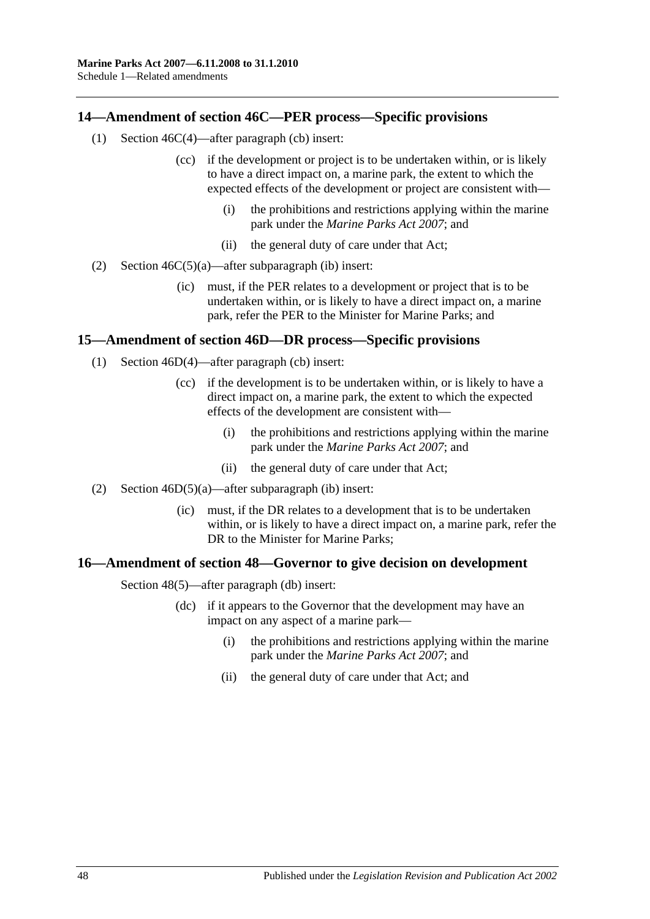# <span id="page-47-0"></span>**14—Amendment of section 46C—PER process—Specific provisions**

- (1) Section 46C(4)—after paragraph (cb) insert:
	- (cc) if the development or project is to be undertaken within, or is likely to have a direct impact on, a marine park, the extent to which the expected effects of the development or project are consistent with—
		- (i) the prohibitions and restrictions applying within the marine park under the *[Marine Parks Act 2007](http://www.legislation.sa.gov.au/index.aspx?action=legref&type=act&legtitle=Marine%20Parks%20Act%202007)*; and
		- (ii) the general duty of care under that Act;
- (2) Section  $46C(5)(a)$ —after subparagraph (ib) insert:
	- (ic) must, if the PER relates to a development or project that is to be undertaken within, or is likely to have a direct impact on, a marine park, refer the PER to the Minister for Marine Parks; and

#### <span id="page-47-1"></span>**15—Amendment of section 46D—DR process—Specific provisions**

- (1) Section 46D(4)—after paragraph (cb) insert:
	- (cc) if the development is to be undertaken within, or is likely to have a direct impact on, a marine park, the extent to which the expected effects of the development are consistent with—
		- (i) the prohibitions and restrictions applying within the marine park under the *[Marine Parks Act 2007](http://www.legislation.sa.gov.au/index.aspx?action=legref&type=act&legtitle=Marine%20Parks%20Act%202007)*; and
		- (ii) the general duty of care under that Act;
- (2) Section 46D(5)(a)—after subparagraph (ib) insert:
	- (ic) must, if the DR relates to a development that is to be undertaken within, or is likely to have a direct impact on, a marine park, refer the DR to the Minister for Marine Parks;

#### <span id="page-47-2"></span>**16—Amendment of section 48—Governor to give decision on development**

Section 48(5)—after paragraph (db) insert:

- (dc) if it appears to the Governor that the development may have an impact on any aspect of a marine park—
	- (i) the prohibitions and restrictions applying within the marine park under the *[Marine Parks Act 2007](http://www.legislation.sa.gov.au/index.aspx?action=legref&type=act&legtitle=Marine%20Parks%20Act%202007)*; and
	- (ii) the general duty of care under that Act; and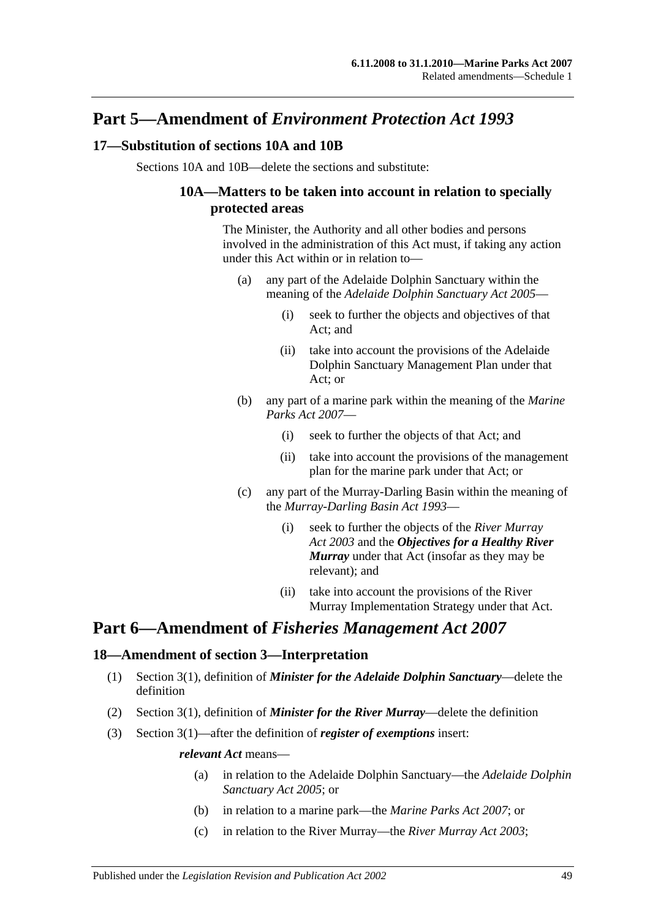# **Part 5—Amendment of** *Environment Protection Act 1993*

# <span id="page-48-0"></span>**17—Substitution of sections 10A and 10B**

Sections 10A and 10B—delete the sections and substitute:

# **10A—Matters to be taken into account in relation to specially protected areas**

The Minister, the Authority and all other bodies and persons involved in the administration of this Act must, if taking any action under this Act within or in relation to—

- (a) any part of the Adelaide Dolphin Sanctuary within the meaning of the *[Adelaide Dolphin Sanctuary Act](http://www.legislation.sa.gov.au/index.aspx?action=legref&type=act&legtitle=Adelaide%20Dolphin%20Sanctuary%20Act%202005) 2005*—
	- (i) seek to further the objects and objectives of that Act; and
	- (ii) take into account the provisions of the Adelaide Dolphin Sanctuary Management Plan under that Act; or
- (b) any part of a marine park within the meaning of the *[Marine](http://www.legislation.sa.gov.au/index.aspx?action=legref&type=act&legtitle=Marine%20Parks%20Act%202007)  [Parks Act 2007](http://www.legislation.sa.gov.au/index.aspx?action=legref&type=act&legtitle=Marine%20Parks%20Act%202007)*—
	- (i) seek to further the objects of that Act; and
	- (ii) take into account the provisions of the management plan for the marine park under that Act; or
- (c) any part of the Murray-Darling Basin within the meaning of the *[Murray-Darling Basin Act](http://www.legislation.sa.gov.au/index.aspx?action=legref&type=act&legtitle=Murray-Darling%20Basin%20Act%201993) 1993*—
	- (i) seek to further the objects of the *[River Murray](http://www.legislation.sa.gov.au/index.aspx?action=legref&type=act&legtitle=River%20Murray%20Act%202003)  Act [2003](http://www.legislation.sa.gov.au/index.aspx?action=legref&type=act&legtitle=River%20Murray%20Act%202003)* and the *Objectives for a Healthy River Murray* under that Act (insofar as they may be relevant); and
	- (ii) take into account the provisions of the River Murray Implementation Strategy under that Act.

# **Part 6—Amendment of** *Fisheries Management Act 2007*

# <span id="page-48-1"></span>**18—Amendment of section 3—Interpretation**

- (1) Section 3(1), definition of *Minister for the Adelaide Dolphin Sanctuary*—delete the definition
- (2) Section 3(1), definition of *Minister for the River Murray*—delete the definition
- (3) Section 3(1)—after the definition of *register of exemptions* insert:

#### *relevant Act* means—

- (a) in relation to the Adelaide Dolphin Sanctuary—the *[Adelaide Dolphin](http://www.legislation.sa.gov.au/index.aspx?action=legref&type=act&legtitle=Adelaide%20Dolphin%20Sanctuary%20Act%202005)  [Sanctuary Act](http://www.legislation.sa.gov.au/index.aspx?action=legref&type=act&legtitle=Adelaide%20Dolphin%20Sanctuary%20Act%202005) 2005*; or
- (b) in relation to a marine park—the *[Marine Parks Act 2007](http://www.legislation.sa.gov.au/index.aspx?action=legref&type=act&legtitle=Marine%20Parks%20Act%202007)*; or
- (c) in relation to the River Murray—the *[River Murray Act](http://www.legislation.sa.gov.au/index.aspx?action=legref&type=act&legtitle=River%20Murray%20Act%202003) 2003*;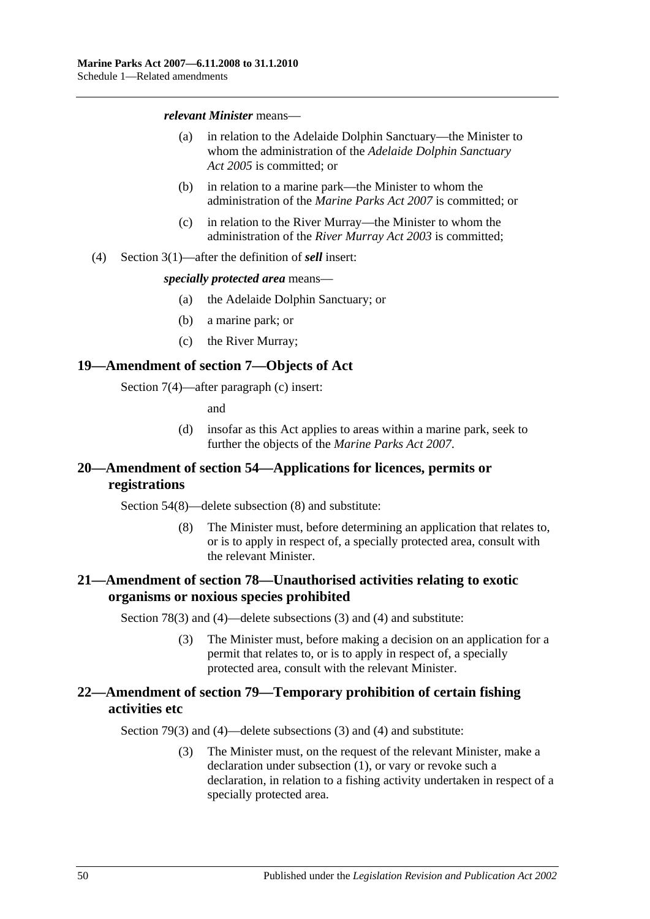#### *relevant Minister* means—

- (a) in relation to the Adelaide Dolphin Sanctuary—the Minister to whom the administration of the *[Adelaide Dolphin Sanctuary](http://www.legislation.sa.gov.au/index.aspx?action=legref&type=act&legtitle=Adelaide%20Dolphin%20Sanctuary%20Act%202005)  Act [2005](http://www.legislation.sa.gov.au/index.aspx?action=legref&type=act&legtitle=Adelaide%20Dolphin%20Sanctuary%20Act%202005)* is committed; or
- (b) in relation to a marine park—the Minister to whom the administration of the *[Marine Parks Act 2007](http://www.legislation.sa.gov.au/index.aspx?action=legref&type=act&legtitle=Marine%20Parks%20Act%202007)* is committed; or
- (c) in relation to the River Murray—the Minister to whom the administration of the *[River Murray Act](http://www.legislation.sa.gov.au/index.aspx?action=legref&type=act&legtitle=River%20Murray%20Act%202003) 2003* is committed;
- (4) Section 3(1)—after the definition of *sell* insert:

#### *specially protected area* means—

- (a) the Adelaide Dolphin Sanctuary; or
- (b) a marine park; or
- (c) the River Murray;

#### <span id="page-49-0"></span>**19—Amendment of section 7—Objects of Act**

Section 7(4)—after paragraph (c) insert:

and

(d) insofar as this Act applies to areas within a marine park, seek to further the objects of the *[Marine Parks Act](http://www.legislation.sa.gov.au/index.aspx?action=legref&type=act&legtitle=Marine%20Parks%20Act%202007) 2007*.

# <span id="page-49-1"></span>**20—Amendment of section 54—Applications for licences, permits or registrations**

Section 54(8)—delete subsection (8) and substitute:

(8) The Minister must, before determining an application that relates to, or is to apply in respect of, a specially protected area, consult with the relevant Minister.

# <span id="page-49-2"></span>**21—Amendment of section 78—Unauthorised activities relating to exotic organisms or noxious species prohibited**

Section 78(3) and (4)—delete subsections (3) and (4) and substitute:

(3) The Minister must, before making a decision on an application for a permit that relates to, or is to apply in respect of, a specially protected area, consult with the relevant Minister.

# <span id="page-49-3"></span>**22—Amendment of section 79—Temporary prohibition of certain fishing activities etc**

Section 79(3) and (4)—delete subsections (3) and (4) and substitute:

(3) The Minister must, on the request of the relevant Minister, make a declaration under subsection (1), or vary or revoke such a declaration, in relation to a fishing activity undertaken in respect of a specially protected area.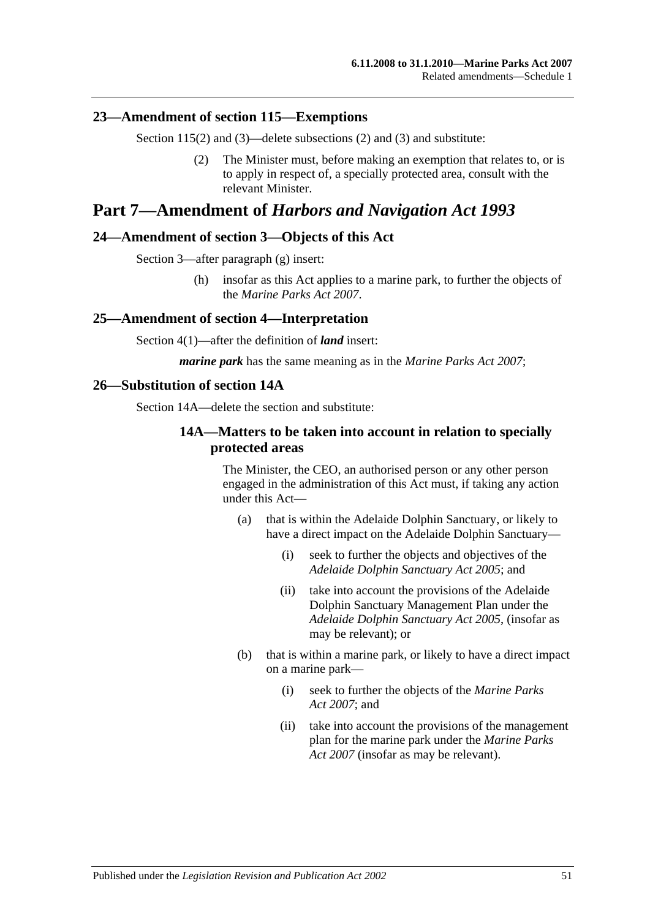#### <span id="page-50-0"></span>**23—Amendment of section 115—Exemptions**

Section 115(2) and (3)—delete subsections (2) and (3) and substitute:

(2) The Minister must, before making an exemption that relates to, or is to apply in respect of, a specially protected area, consult with the relevant Minister.

# **Part 7—Amendment of** *Harbors and Navigation Act 1993*

#### <span id="page-50-1"></span>**24—Amendment of section 3—Objects of this Act**

Section 3—after paragraph (g) insert:

(h) insofar as this Act applies to a marine park, to further the objects of the *[Marine Parks Act](http://www.legislation.sa.gov.au/index.aspx?action=legref&type=act&legtitle=Marine%20Parks%20Act%202007) 2007*.

#### <span id="page-50-2"></span>**25—Amendment of section 4—Interpretation**

Section 4(1)—after the definition of *land* insert:

*marine park* has the same meaning as in the *[Marine Parks Act 2007](http://www.legislation.sa.gov.au/index.aspx?action=legref&type=act&legtitle=Marine%20Parks%20Act%202007)*;

#### <span id="page-50-3"></span>**26—Substitution of section 14A**

Section 14A—delete the section and substitute:

### **14A—Matters to be taken into account in relation to specially protected areas**

The Minister, the CEO, an authorised person or any other person engaged in the administration of this Act must, if taking any action under this Act—

- (a) that is within the Adelaide Dolphin Sanctuary, or likely to have a direct impact on the Adelaide Dolphin Sanctuary—
	- (i) seek to further the objects and objectives of the *[Adelaide Dolphin Sanctuary Act](http://www.legislation.sa.gov.au/index.aspx?action=legref&type=act&legtitle=Adelaide%20Dolphin%20Sanctuary%20Act%202005) 2005*; and
	- (ii) take into account the provisions of the Adelaide Dolphin Sanctuary Management Plan under the *[Adelaide Dolphin Sanctuary Act](http://www.legislation.sa.gov.au/index.aspx?action=legref&type=act&legtitle=Adelaide%20Dolphin%20Sanctuary%20Act%202005) 2005*, (insofar as may be relevant); or
- (b) that is within a marine park, or likely to have a direct impact on a marine park—
	- (i) seek to further the objects of the *[Marine Parks](http://www.legislation.sa.gov.au/index.aspx?action=legref&type=act&legtitle=Marine%20Parks%20Act%202007)  Act [2007](http://www.legislation.sa.gov.au/index.aspx?action=legref&type=act&legtitle=Marine%20Parks%20Act%202007)*; and
	- (ii) take into account the provisions of the management plan for the marine park under the *[Marine Parks](http://www.legislation.sa.gov.au/index.aspx?action=legref&type=act&legtitle=Marine%20Parks%20Act%202007)  [Act 2007](http://www.legislation.sa.gov.au/index.aspx?action=legref&type=act&legtitle=Marine%20Parks%20Act%202007)* (insofar as may be relevant).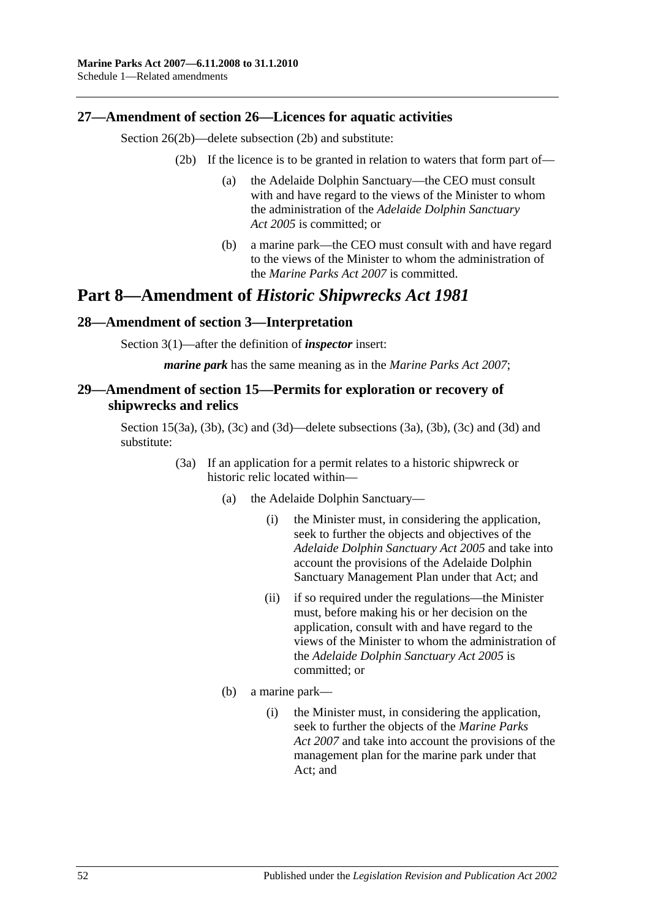# <span id="page-51-0"></span>**27—Amendment of section 26—Licences for aquatic activities**

Section 26(2b)—delete subsection (2b) and substitute:

- (2b) If the licence is to be granted in relation to waters that form part of—
	- (a) the Adelaide Dolphin Sanctuary—the CEO must consult with and have regard to the views of the Minister to whom the administration of the *[Adelaide Dolphin Sanctuary](http://www.legislation.sa.gov.au/index.aspx?action=legref&type=act&legtitle=Adelaide%20Dolphin%20Sanctuary%20Act%202005)  Act [2005](http://www.legislation.sa.gov.au/index.aspx?action=legref&type=act&legtitle=Adelaide%20Dolphin%20Sanctuary%20Act%202005)* is committed; or
	- (b) a marine park—the CEO must consult with and have regard to the views of the Minister to whom the administration of the *[Marine Parks Act 2007](http://www.legislation.sa.gov.au/index.aspx?action=legref&type=act&legtitle=Marine%20Parks%20Act%202007)* is committed.

# **Part 8—Amendment of** *Historic Shipwrecks Act 1981*

#### <span id="page-51-1"></span>**28—Amendment of section 3—Interpretation**

Section 3(1)—after the definition of *inspector* insert:

*marine park* has the same meaning as in the *[Marine Parks Act 2007](http://www.legislation.sa.gov.au/index.aspx?action=legref&type=act&legtitle=Marine%20Parks%20Act%202007)*;

# <span id="page-51-2"></span>**29—Amendment of section 15—Permits for exploration or recovery of shipwrecks and relics**

Section 15(3a), (3b), (3c) and (3d)—delete subsections (3a), (3b), (3c) and (3d) and substitute:

- (3a) If an application for a permit relates to a historic shipwreck or historic relic located within—
	- (a) the Adelaide Dolphin Sanctuary—
		- (i) the Minister must, in considering the application, seek to further the objects and objectives of the *[Adelaide Dolphin Sanctuary Act](http://www.legislation.sa.gov.au/index.aspx?action=legref&type=act&legtitle=Adelaide%20Dolphin%20Sanctuary%20Act%202005) 2005* and take into account the provisions of the Adelaide Dolphin Sanctuary Management Plan under that Act; and
		- (ii) if so required under the regulations—the Minister must, before making his or her decision on the application, consult with and have regard to the views of the Minister to whom the administration of the *[Adelaide Dolphin Sanctuary Act](http://www.legislation.sa.gov.au/index.aspx?action=legref&type=act&legtitle=Adelaide%20Dolphin%20Sanctuary%20Act%202005) 2005* is committed; or
	- (b) a marine park—
		- (i) the Minister must, in considering the application, seek to further the objects of the *[Marine Parks](http://www.legislation.sa.gov.au/index.aspx?action=legref&type=act&legtitle=Marine%20Parks%20Act%202007) Act [2007](http://www.legislation.sa.gov.au/index.aspx?action=legref&type=act&legtitle=Marine%20Parks%20Act%202007)* and take into account the provisions of the management plan for the marine park under that Act; and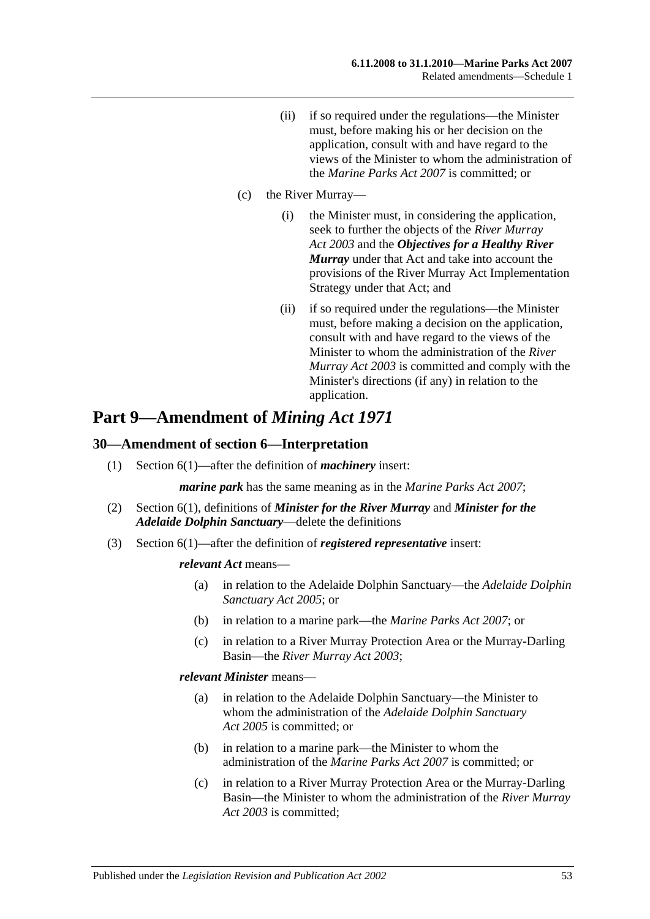(ii) if so required under the regulations—the Minister must, before making his or her decision on the application, consult with and have regard to the views of the Minister to whom the administration of the *[Marine Parks Act 2007](http://www.legislation.sa.gov.au/index.aspx?action=legref&type=act&legtitle=Marine%20Parks%20Act%202007)* is committed; or

#### (c) the River Murray—

- (i) the Minister must, in considering the application, seek to further the objects of the *[River Murray](http://www.legislation.sa.gov.au/index.aspx?action=legref&type=act&legtitle=River%20Murray%20Act%202003)  Act [2003](http://www.legislation.sa.gov.au/index.aspx?action=legref&type=act&legtitle=River%20Murray%20Act%202003)* and the *Objectives for a Healthy River Murray* under that Act and take into account the provisions of the River Murray Act Implementation Strategy under that Act; and
- (ii) if so required under the regulations—the Minister must, before making a decision on the application, consult with and have regard to the views of the Minister to whom the administration of the *[River](http://www.legislation.sa.gov.au/index.aspx?action=legref&type=act&legtitle=River%20Murray%20Act%202003)  [Murray Act](http://www.legislation.sa.gov.au/index.aspx?action=legref&type=act&legtitle=River%20Murray%20Act%202003) 2003* is committed and comply with the Minister's directions (if any) in relation to the application.

# **Part 9—Amendment of** *Mining Act 1971*

#### <span id="page-52-0"></span>**30—Amendment of section 6—Interpretation**

(1) Section 6(1)—after the definition of *machinery* insert:

*marine park* has the same meaning as in the *[Marine Parks Act 2007](http://www.legislation.sa.gov.au/index.aspx?action=legref&type=act&legtitle=Marine%20Parks%20Act%202007)*;

- (2) Section 6(1), definitions of *Minister for the River Murray* and *Minister for the Adelaide Dolphin Sanctuary*—delete the definitions
- (3) Section 6(1)—after the definition of *registered representative* insert:

#### *relevant Act* means—

- (a) in relation to the Adelaide Dolphin Sanctuary—the *[Adelaide Dolphin](http://www.legislation.sa.gov.au/index.aspx?action=legref&type=act&legtitle=Adelaide%20Dolphin%20Sanctuary%20Act%202005)  [Sanctuary Act](http://www.legislation.sa.gov.au/index.aspx?action=legref&type=act&legtitle=Adelaide%20Dolphin%20Sanctuary%20Act%202005) 2005*; or
- (b) in relation to a marine park—the *[Marine Parks Act 2007](http://www.legislation.sa.gov.au/index.aspx?action=legref&type=act&legtitle=Marine%20Parks%20Act%202007)*; or
- (c) in relation to a River Murray Protection Area or the Murray-Darling Basin—the *[River Murray Act](http://www.legislation.sa.gov.au/index.aspx?action=legref&type=act&legtitle=River%20Murray%20Act%202003) 2003*;

#### *relevant Minister* means—

- (a) in relation to the Adelaide Dolphin Sanctuary—the Minister to whom the administration of the *[Adelaide Dolphin Sanctuary](http://www.legislation.sa.gov.au/index.aspx?action=legref&type=act&legtitle=Adelaide%20Dolphin%20Sanctuary%20Act%202005)  Act [2005](http://www.legislation.sa.gov.au/index.aspx?action=legref&type=act&legtitle=Adelaide%20Dolphin%20Sanctuary%20Act%202005)* is committed; or
- (b) in relation to a marine park—the Minister to whom the administration of the *[Marine Parks Act 2007](http://www.legislation.sa.gov.au/index.aspx?action=legref&type=act&legtitle=Marine%20Parks%20Act%202007)* is committed; or
- (c) in relation to a River Murray Protection Area or the Murray-Darling Basin—the Minister to whom the administration of the *[River Murray](http://www.legislation.sa.gov.au/index.aspx?action=legref&type=act&legtitle=River%20Murray%20Act%202003)  Act [2003](http://www.legislation.sa.gov.au/index.aspx?action=legref&type=act&legtitle=River%20Murray%20Act%202003)* is committed;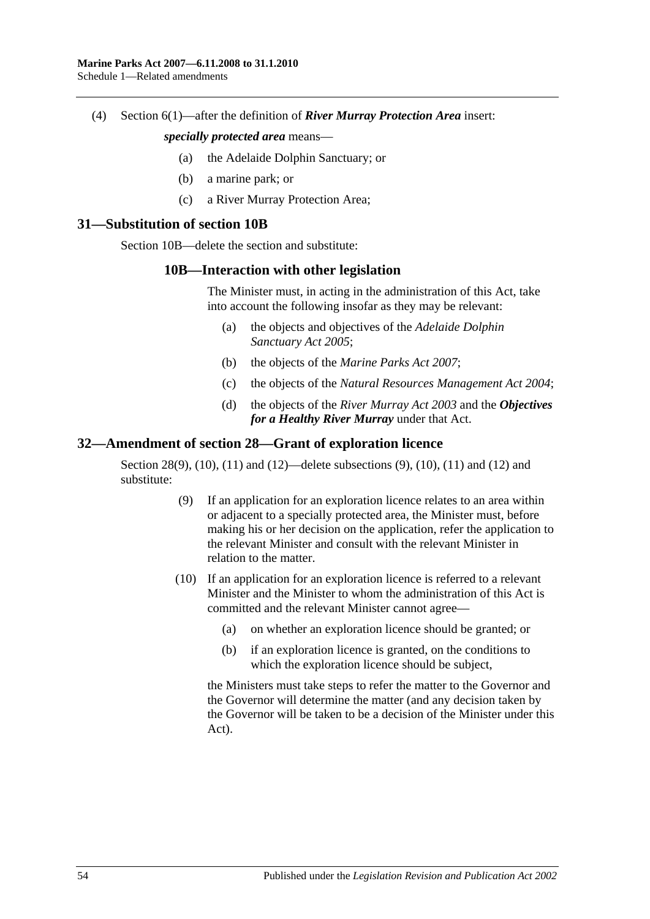(4) Section 6(1)—after the definition of *River Murray Protection Area* insert:

#### *specially protected area* means—

- (a) the Adelaide Dolphin Sanctuary; or
- (b) a marine park; or
- (c) a River Murray Protection Area;

#### <span id="page-53-0"></span>**31—Substitution of section 10B**

Section 10B—delete the section and substitute:

#### **10B—Interaction with other legislation**

The Minister must, in acting in the administration of this Act, take into account the following insofar as they may be relevant:

- (a) the objects and objectives of the *[Adelaide Dolphin](http://www.legislation.sa.gov.au/index.aspx?action=legref&type=act&legtitle=Adelaide%20Dolphin%20Sanctuary%20Act%202005)  [Sanctuary Act](http://www.legislation.sa.gov.au/index.aspx?action=legref&type=act&legtitle=Adelaide%20Dolphin%20Sanctuary%20Act%202005) 2005*;
- (b) the objects of the *[Marine Parks Act](http://www.legislation.sa.gov.au/index.aspx?action=legref&type=act&legtitle=Marine%20Parks%20Act%202007) 2007*;
- (c) the objects of the *[Natural Resources Management Act](http://www.legislation.sa.gov.au/index.aspx?action=legref&type=act&legtitle=Natural%20Resources%20Management%20Act%202004) 2004*;
- (d) the objects of the *[River Murray Act](http://www.legislation.sa.gov.au/index.aspx?action=legref&type=act&legtitle=River%20Murray%20Act%202003) 2003* and the *Objectives for a Healthy River Murray* under that Act.

# <span id="page-53-1"></span>**32—Amendment of section 28—Grant of exploration licence**

Section 28(9), (10), (11) and (12)—delete subsections (9), (10), (11) and (12) and substitute:

- (9) If an application for an exploration licence relates to an area within or adjacent to a specially protected area, the Minister must, before making his or her decision on the application, refer the application to the relevant Minister and consult with the relevant Minister in relation to the matter.
- (10) If an application for an exploration licence is referred to a relevant Minister and the Minister to whom the administration of this Act is committed and the relevant Minister cannot agree—
	- (a) on whether an exploration licence should be granted; or
	- (b) if an exploration licence is granted, on the conditions to which the exploration licence should be subject,

the Ministers must take steps to refer the matter to the Governor and the Governor will determine the matter (and any decision taken by the Governor will be taken to be a decision of the Minister under this Act).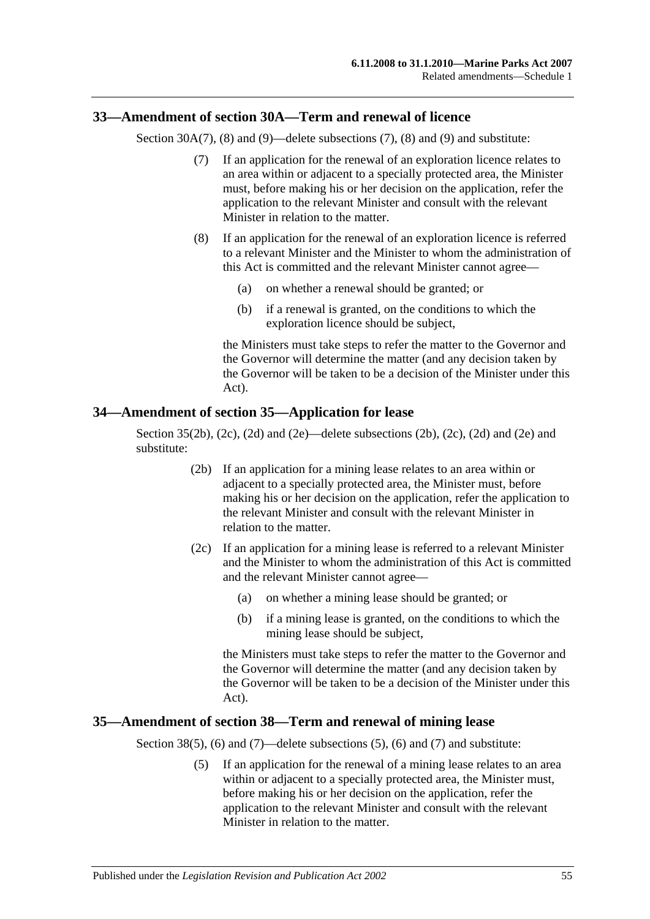# <span id="page-54-0"></span>**33—Amendment of section 30A—Term and renewal of licence**

Section 30A(7), (8) and (9)—delete subsections (7), (8) and (9) and substitute:

- (7) If an application for the renewal of an exploration licence relates to an area within or adjacent to a specially protected area, the Minister must, before making his or her decision on the application, refer the application to the relevant Minister and consult with the relevant Minister in relation to the matter.
- (8) If an application for the renewal of an exploration licence is referred to a relevant Minister and the Minister to whom the administration of this Act is committed and the relevant Minister cannot agree—
	- (a) on whether a renewal should be granted; or
	- (b) if a renewal is granted, on the conditions to which the exploration licence should be subject,

the Ministers must take steps to refer the matter to the Governor and the Governor will determine the matter (and any decision taken by the Governor will be taken to be a decision of the Minister under this Act).

#### <span id="page-54-1"></span>**34—Amendment of section 35—Application for lease**

Section  $35(2b)$ ,  $(2c)$ ,  $(2d)$  and  $(2e)$ —delete subsections  $(2b)$ ,  $(2c)$ ,  $(2d)$  and  $(2e)$  and substitute:

- (2b) If an application for a mining lease relates to an area within or adjacent to a specially protected area, the Minister must, before making his or her decision on the application, refer the application to the relevant Minister and consult with the relevant Minister in relation to the matter.
- (2c) If an application for a mining lease is referred to a relevant Minister and the Minister to whom the administration of this Act is committed and the relevant Minister cannot agree—
	- (a) on whether a mining lease should be granted; or
	- (b) if a mining lease is granted, on the conditions to which the mining lease should be subject,

the Ministers must take steps to refer the matter to the Governor and the Governor will determine the matter (and any decision taken by the Governor will be taken to be a decision of the Minister under this Act).

#### <span id="page-54-2"></span>**35—Amendment of section 38—Term and renewal of mining lease**

Section 38(5), (6) and (7)—delete subsections (5), (6) and (7) and substitute:

(5) If an application for the renewal of a mining lease relates to an area within or adjacent to a specially protected area, the Minister must, before making his or her decision on the application, refer the application to the relevant Minister and consult with the relevant Minister in relation to the matter.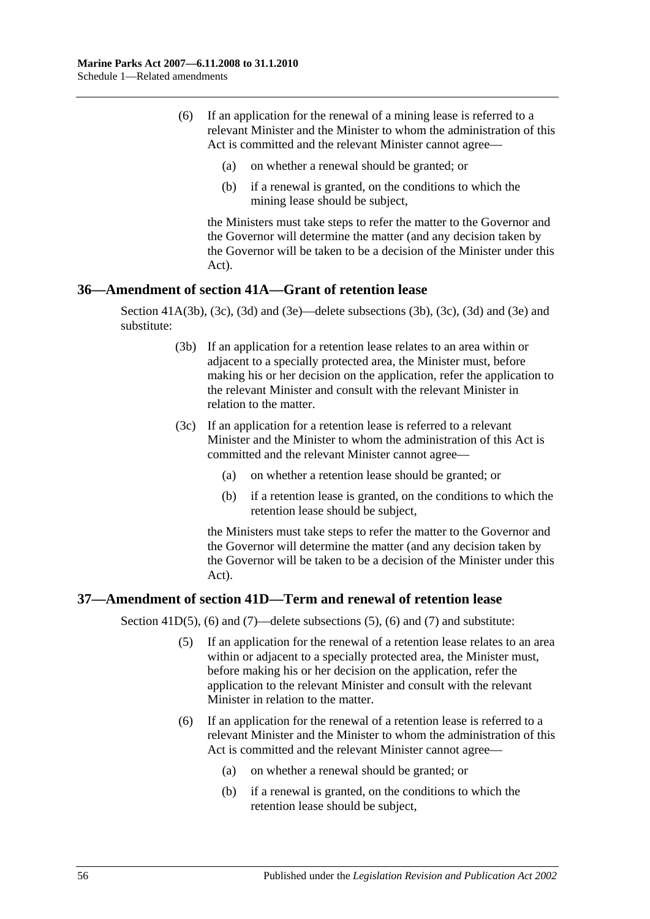- (6) If an application for the renewal of a mining lease is referred to a relevant Minister and the Minister to whom the administration of this Act is committed and the relevant Minister cannot agree—
	- (a) on whether a renewal should be granted; or
	- (b) if a renewal is granted, on the conditions to which the mining lease should be subject,

the Ministers must take steps to refer the matter to the Governor and the Governor will determine the matter (and any decision taken by the Governor will be taken to be a decision of the Minister under this Act).

# <span id="page-55-0"></span>**36—Amendment of section 41A—Grant of retention lease**

Section 41A(3b), (3c), (3d) and (3e)—delete subsections (3b), (3c), (3d) and (3e) and substitute:

- (3b) If an application for a retention lease relates to an area within or adjacent to a specially protected area, the Minister must, before making his or her decision on the application, refer the application to the relevant Minister and consult with the relevant Minister in relation to the matter.
- (3c) If an application for a retention lease is referred to a relevant Minister and the Minister to whom the administration of this Act is committed and the relevant Minister cannot agree—
	- (a) on whether a retention lease should be granted; or
	- (b) if a retention lease is granted, on the conditions to which the retention lease should be subject,

the Ministers must take steps to refer the matter to the Governor and the Governor will determine the matter (and any decision taken by the Governor will be taken to be a decision of the Minister under this Act).

# <span id="page-55-1"></span>**37—Amendment of section 41D—Term and renewal of retention lease**

Section 41D(5), (6) and (7)—delete subsections (5), (6) and (7) and substitute:

- (5) If an application for the renewal of a retention lease relates to an area within or adjacent to a specially protected area, the Minister must, before making his or her decision on the application, refer the application to the relevant Minister and consult with the relevant Minister in relation to the matter.
- (6) If an application for the renewal of a retention lease is referred to a relevant Minister and the Minister to whom the administration of this Act is committed and the relevant Minister cannot agree—
	- (a) on whether a renewal should be granted; or
	- (b) if a renewal is granted, on the conditions to which the retention lease should be subject,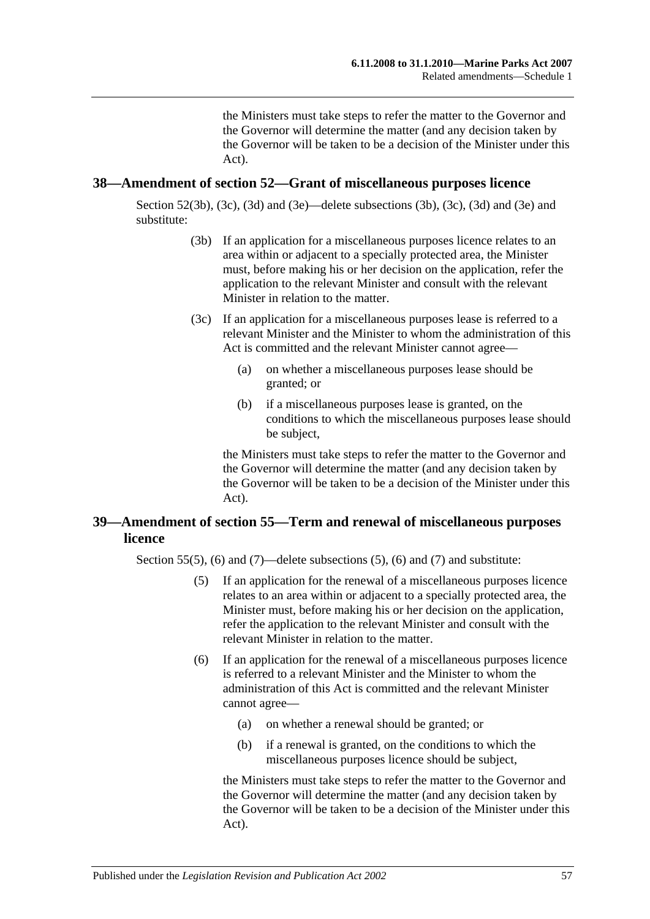the Ministers must take steps to refer the matter to the Governor and the Governor will determine the matter (and any decision taken by the Governor will be taken to be a decision of the Minister under this Act).

#### <span id="page-56-0"></span>**38—Amendment of section 52—Grant of miscellaneous purposes licence**

Section 52(3b), (3c), (3d) and (3e)—delete subsections (3b), (3c), (3d) and (3e) and substitute:

- (3b) If an application for a miscellaneous purposes licence relates to an area within or adjacent to a specially protected area, the Minister must, before making his or her decision on the application, refer the application to the relevant Minister and consult with the relevant Minister in relation to the matter.
- (3c) If an application for a miscellaneous purposes lease is referred to a relevant Minister and the Minister to whom the administration of this Act is committed and the relevant Minister cannot agree—
	- (a) on whether a miscellaneous purposes lease should be granted; or
	- (b) if a miscellaneous purposes lease is granted, on the conditions to which the miscellaneous purposes lease should be subject,

the Ministers must take steps to refer the matter to the Governor and the Governor will determine the matter (and any decision taken by the Governor will be taken to be a decision of the Minister under this Act).

# <span id="page-56-1"></span>**39—Amendment of section 55—Term and renewal of miscellaneous purposes licence**

Section 55(5), (6) and (7)—delete subsections (5), (6) and (7) and substitute:

- (5) If an application for the renewal of a miscellaneous purposes licence relates to an area within or adjacent to a specially protected area, the Minister must, before making his or her decision on the application, refer the application to the relevant Minister and consult with the relevant Minister in relation to the matter.
- (6) If an application for the renewal of a miscellaneous purposes licence is referred to a relevant Minister and the Minister to whom the administration of this Act is committed and the relevant Minister cannot agree—
	- (a) on whether a renewal should be granted; or
	- (b) if a renewal is granted, on the conditions to which the miscellaneous purposes licence should be subject,

the Ministers must take steps to refer the matter to the Governor and the Governor will determine the matter (and any decision taken by the Governor will be taken to be a decision of the Minister under this Act).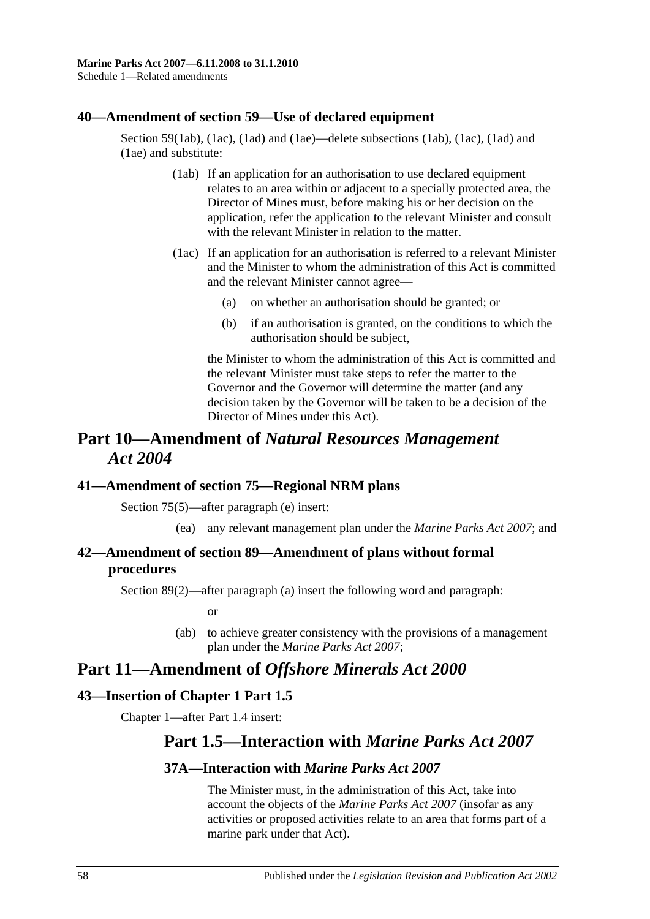### <span id="page-57-0"></span>**40—Amendment of section 59—Use of declared equipment**

Section 59(1ab), (1ac), (1ad) and (1ae)—delete subsections (1ab), (1ac), (1ad) and (1ae) and substitute:

- (1ab) If an application for an authorisation to use declared equipment relates to an area within or adjacent to a specially protected area, the Director of Mines must, before making his or her decision on the application, refer the application to the relevant Minister and consult with the relevant Minister in relation to the matter.
- (1ac) If an application for an authorisation is referred to a relevant Minister and the Minister to whom the administration of this Act is committed and the relevant Minister cannot agree—
	- (a) on whether an authorisation should be granted; or
	- (b) if an authorisation is granted, on the conditions to which the authorisation should be subject,

the Minister to whom the administration of this Act is committed and the relevant Minister must take steps to refer the matter to the Governor and the Governor will determine the matter (and any decision taken by the Governor will be taken to be a decision of the Director of Mines under this Act).

# **Part 10—Amendment of** *Natural Resources Management Act 2004*

# <span id="page-57-1"></span>**41—Amendment of section 75—Regional NRM plans**

Section 75(5)—after paragraph (e) insert:

(ea) any relevant management plan under the *[Marine Parks Act](http://www.legislation.sa.gov.au/index.aspx?action=legref&type=act&legtitle=Marine%20Parks%20Act%202007) 2007*; and

# <span id="page-57-2"></span>**42—Amendment of section 89—Amendment of plans without formal procedures**

Section 89(2)—after paragraph (a) insert the following word and paragraph:

or

(ab) to achieve greater consistency with the provisions of a management plan under the *[Marine Parks Act](http://www.legislation.sa.gov.au/index.aspx?action=legref&type=act&legtitle=Marine%20Parks%20Act%202007) 2007*;

# **Part 11—Amendment of** *Offshore Minerals Act 2000*

# <span id="page-57-3"></span>**43—Insertion of Chapter 1 Part 1.5**

Chapter 1—after Part 1.4 insert:

# **Part 1.5—Interaction with** *Marine Parks Act 2007*

# **37A—Interaction with** *Marine Parks Act 2007*

The Minister must, in the administration of this Act, take into account the objects of the *[Marine Parks Act 2007](http://www.legislation.sa.gov.au/index.aspx?action=legref&type=act&legtitle=Marine%20Parks%20Act%202007)* (insofar as any activities or proposed activities relate to an area that forms part of a marine park under that Act).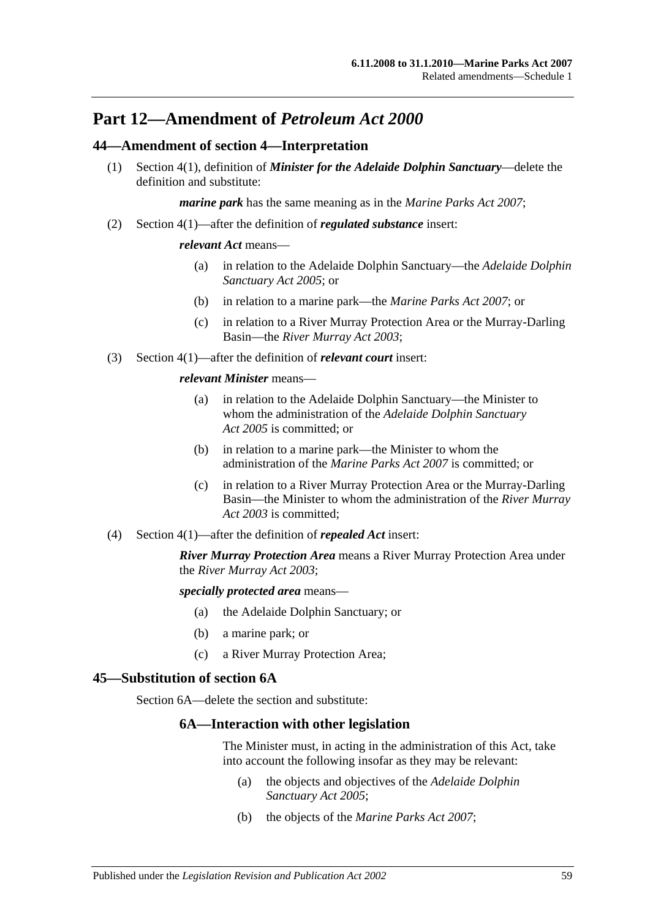# **Part 12—Amendment of** *Petroleum Act 2000*

# <span id="page-58-0"></span>**44—Amendment of section 4—Interpretation**

(1) Section 4(1), definition of *Minister for the Adelaide Dolphin Sanctuary*—delete the definition and substitute:

*marine park* has the same meaning as in the *[Marine Parks Act 2007](http://www.legislation.sa.gov.au/index.aspx?action=legref&type=act&legtitle=Marine%20Parks%20Act%202007)*;

(2) Section 4(1)—after the definition of *regulated substance* insert:

#### *relevant Act* means—

- (a) in relation to the Adelaide Dolphin Sanctuary—the *[Adelaide Dolphin](http://www.legislation.sa.gov.au/index.aspx?action=legref&type=act&legtitle=Adelaide%20Dolphin%20Sanctuary%20Act%202005)  [Sanctuary Act](http://www.legislation.sa.gov.au/index.aspx?action=legref&type=act&legtitle=Adelaide%20Dolphin%20Sanctuary%20Act%202005) 2005*; or
- (b) in relation to a marine park—the *[Marine Parks Act 2007](http://www.legislation.sa.gov.au/index.aspx?action=legref&type=act&legtitle=Marine%20Parks%20Act%202007)*; or
- (c) in relation to a River Murray Protection Area or the Murray-Darling Basin—the *[River Murray Act](http://www.legislation.sa.gov.au/index.aspx?action=legref&type=act&legtitle=River%20Murray%20Act%202003) 2003*;
- (3) Section 4(1)—after the definition of *relevant court* insert:

#### *relevant Minister* means—

- (a) in relation to the Adelaide Dolphin Sanctuary—the Minister to whom the administration of the *[Adelaide Dolphin Sanctuary](http://www.legislation.sa.gov.au/index.aspx?action=legref&type=act&legtitle=Adelaide%20Dolphin%20Sanctuary%20Act%202005)  Act [2005](http://www.legislation.sa.gov.au/index.aspx?action=legref&type=act&legtitle=Adelaide%20Dolphin%20Sanctuary%20Act%202005)* is committed; or
- (b) in relation to a marine park—the Minister to whom the administration of the *[Marine Parks Act 2007](http://www.legislation.sa.gov.au/index.aspx?action=legref&type=act&legtitle=Marine%20Parks%20Act%202007)* is committed; or
- (c) in relation to a River Murray Protection Area or the Murray-Darling Basin—the Minister to whom the administration of the *[River Murray](http://www.legislation.sa.gov.au/index.aspx?action=legref&type=act&legtitle=River%20Murray%20Act%202003)  Act [2003](http://www.legislation.sa.gov.au/index.aspx?action=legref&type=act&legtitle=River%20Murray%20Act%202003)* is committed;
- (4) Section 4(1)—after the definition of *repealed Act* insert:

*River Murray Protection Area* means a River Murray Protection Area under the *[River Murray Act](http://www.legislation.sa.gov.au/index.aspx?action=legref&type=act&legtitle=River%20Murray%20Act%202003) 2003*;

*specially protected area* means—

- (a) the Adelaide Dolphin Sanctuary; or
- (b) a marine park; or
- (c) a River Murray Protection Area;

#### <span id="page-58-1"></span>**45—Substitution of section 6A**

Section 6A—delete the section and substitute:

### **6A—Interaction with other legislation**

The Minister must, in acting in the administration of this Act, take into account the following insofar as they may be relevant:

- (a) the objects and objectives of the *[Adelaide Dolphin](http://www.legislation.sa.gov.au/index.aspx?action=legref&type=act&legtitle=Adelaide%20Dolphin%20Sanctuary%20Act%202005)  [Sanctuary Act](http://www.legislation.sa.gov.au/index.aspx?action=legref&type=act&legtitle=Adelaide%20Dolphin%20Sanctuary%20Act%202005) 2005*;
- (b) the objects of the *[Marine Parks Act](http://www.legislation.sa.gov.au/index.aspx?action=legref&type=act&legtitle=Marine%20Parks%20Act%202007) 2007*;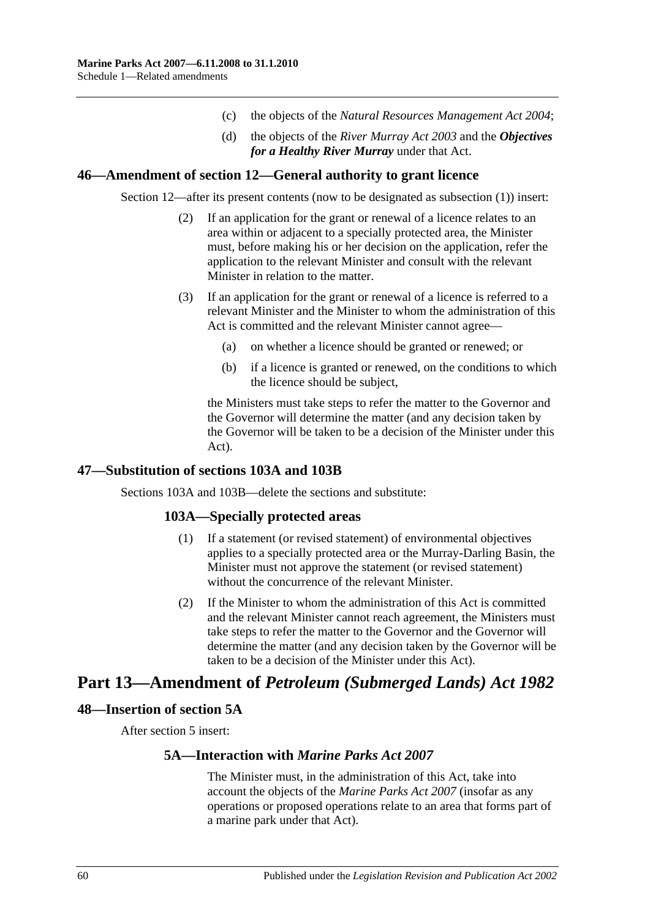- (c) the objects of the *[Natural Resources Management Act](http://www.legislation.sa.gov.au/index.aspx?action=legref&type=act&legtitle=Natural%20Resources%20Management%20Act%202004) 2004*;
- (d) the objects of the *[River Murray Act](http://www.legislation.sa.gov.au/index.aspx?action=legref&type=act&legtitle=River%20Murray%20Act%202003) 2003* and the *Objectives for a Healthy River Murray* under that Act.

#### <span id="page-59-0"></span>**46—Amendment of section 12—General authority to grant licence**

Section 12—after its present contents (now to be designated as subsection (1)) insert:

- (2) If an application for the grant or renewal of a licence relates to an area within or adjacent to a specially protected area, the Minister must, before making his or her decision on the application, refer the application to the relevant Minister and consult with the relevant Minister in relation to the matter.
- (3) If an application for the grant or renewal of a licence is referred to a relevant Minister and the Minister to whom the administration of this Act is committed and the relevant Minister cannot agree—
	- (a) on whether a licence should be granted or renewed; or
	- (b) if a licence is granted or renewed, on the conditions to which the licence should be subject,

the Ministers must take steps to refer the matter to the Governor and the Governor will determine the matter (and any decision taken by the Governor will be taken to be a decision of the Minister under this Act).

# <span id="page-59-1"></span>**47—Substitution of sections 103A and 103B**

Sections 103A and 103B—delete the sections and substitute:

# **103A—Specially protected areas**

- (1) If a statement (or revised statement) of environmental objectives applies to a specially protected area or the Murray-Darling Basin, the Minister must not approve the statement (or revised statement) without the concurrence of the relevant Minister.
- (2) If the Minister to whom the administration of this Act is committed and the relevant Minister cannot reach agreement, the Ministers must take steps to refer the matter to the Governor and the Governor will determine the matter (and any decision taken by the Governor will be taken to be a decision of the Minister under this Act).

# **Part 13—Amendment of** *Petroleum (Submerged Lands) Act 1982*

#### <span id="page-59-2"></span>**48—Insertion of section 5A**

After section 5 insert:

#### **5A—Interaction with** *Marine Parks Act 2007*

The Minister must, in the administration of this Act, take into account the objects of the *[Marine Parks](http://www.legislation.sa.gov.au/index.aspx?action=legref&type=act&legtitle=Marine%20Parks%20Act%202007) Act 2007* (insofar as any operations or proposed operations relate to an area that forms part of a marine park under that Act).